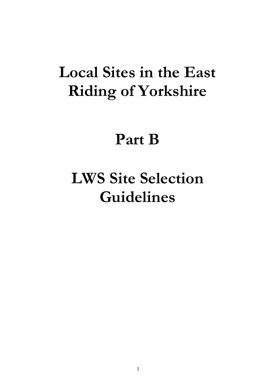# **Local Sites in the East Riding of Yorkshire**

# **Part B**

# **LWS Site Selection Guidelines**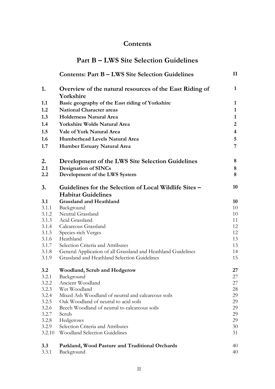# **Contents**

|                | <b>Contents: Part B - LWS Site Selection Guidelines</b>       | $\mathbf{I}$            |
|----------------|---------------------------------------------------------------|-------------------------|
| 1.             | Overview of the natural resources of the East Riding of       | $\mathbf{1}$            |
|                | Yorkshire                                                     |                         |
| 1.1            | Basic geography of the East riding of Yorkshire               | 1                       |
| 1.2            | <b>National Character areas</b>                               | $\mathbf{1}$            |
| 1.3            | <b>Holderness Natural Area</b>                                | 1                       |
| 1.4            | <b>Yorkshire Wolds Natural Area</b>                           | $\overline{2}$          |
| 1.5            | Vale of York Natural Area                                     | $\overline{\mathbf{4}}$ |
| 1.6            | Humberhead Levels Natural Area                                | 5                       |
| 1.7            | <b>Humber Estuary Natural Area</b>                            | 7                       |
| 2.             | Development of the LWS Site Selection Guidelines              | 8                       |
| 2.1            | <b>Designation of SINCs</b>                                   | 8                       |
| 2.2            | Development of the LWS System                                 | 8                       |
| 3.             | Guidelines for the Selection of Local Wildlife Sites –        | 10                      |
|                | <b>Habitat Guidelines</b>                                     |                         |
| 3.1            | <b>Grassland and Heathland</b>                                | 10                      |
| 3.1.1          | Background                                                    | 10                      |
| 3.1.2          | Neutral Grassland                                             | 10                      |
| 3.1.3<br>3.1.4 | Acid Grassland<br>Calcareous Grassland                        | 11<br>12                |
| 3.1.5          | Species-rich Verges                                           | 12                      |
| 3.1.6          | Heathland                                                     | 13                      |
| 3.1.7          | Selection Criteria and Attributes                             | 13                      |
| 3.1.8          | General Application of all Grassland and Heathland Guidelines | 14                      |
| 3.1.9          | Grassland and Heathland Selection Guidelines                  | 15                      |
| 3.2            | <b>Woodland, Scrub and Hedgerow</b>                           | 27                      |
| 3.2.1          | Background                                                    | 27                      |
| 3.2.2          | Ancient Woodland                                              | 27                      |
| 3.2.3          | Wet Woodland                                                  | 28                      |
| 3.2.4          | Mixed Ash Woodland of neutral and calcareous soils            | 29                      |
| 3.2.5          | Oak Woodland of neutral to acid soils                         | 29                      |
| 3.2.6          | Beech Woodland of neutral to calcareous soils                 | 29                      |
| 3.2.7          | Scrub                                                         | 29                      |
| 3.2.8<br>3.2.9 | Hedgerows<br>Selection Criteria and Attributes                | 29<br>30                |
| 3.2.10         | <b>Woodland Selection Guidelines</b>                          | 31                      |
|                |                                                               |                         |
| 3.3            | Parkland, Wood Pasture and Traditional Orchards               | 40                      |
| 3.3.1          | Background                                                    | 40                      |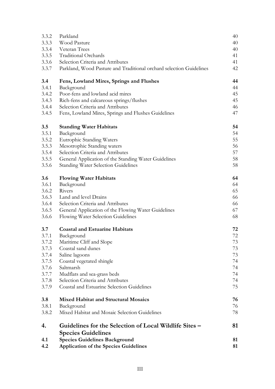| 4.1<br>4.2 | <b>Species Guidelines Background</b><br><b>Application of the Species Guidelines</b> | 81<br>81 |
|------------|--------------------------------------------------------------------------------------|----------|
| 4.         | Guidelines for the Selection of Local Wildlife Sites –<br><b>Species Guidelines</b>  | 81       |
| 3.8.2      | Mixed Habitat and Mosaic Selection Guidelines                                        | 78       |
| 3.8.1      | Background                                                                           | 76       |
| 3.8        | <b>Mixed Habitat and Structural Mosaics</b>                                          | 76       |
| 3.7.9      | Coastal and Estuarine Selection Guidelines                                           | 75       |
| 3.7.8      | Selection Criteria and Attributes                                                    | 74       |
| 3.7.7      | Mudflats and sea-grass beds                                                          | 74       |
| 3.7.6      | Saltmarsh                                                                            | 74       |
| 3.7.5      | Coastal vegetated shingle                                                            | 74       |
| 3.7.4      | Saline lagoons                                                                       | 73       |
| 3.7.3      | Coastal sand dunes                                                                   | 73       |
| 3.7.2      | Maritime Cliff and Slope                                                             | 73       |
| 3.7.1      | Background                                                                           | 72       |
| 3.7        | <b>Coastal and Estuarine Habitats</b>                                                | 72       |
| 3.6.6      | Flowing Water Selection Guidelines                                                   | 68       |
| 3.6.5      | General Application of the Flowing Water Guidelines                                  | 67       |
| 3.6.4      | Selection Criteria and Attributes                                                    | 66       |
| 3.6.3      | Land and level Drains                                                                | 66       |
| 3.6.2      | Rivers                                                                               | 65       |
| 3.6.1      | Background                                                                           | 64       |
| 3.6        | <b>Flowing Water Habitats</b>                                                        | 64       |
|            |                                                                                      |          |
| 3.5.6      | <b>Standing Water Selection Guidelines</b>                                           | 58       |
| 3.5.5      | General Application of the Standing Water Guidelines                                 | 58       |
| 3.5.4      | Selection Criteria and Attributes                                                    | 57       |
| 3.5.3      | Mesotrophic Standing waters                                                          | 56       |
| 3.5.2      | Eutrophic Standing Waters                                                            | 55       |
| 3.5.1      | Background                                                                           | 54       |
| 3.5        | <b>Standing Water Habitats</b>                                                       | 54       |
| 3.4.5      | Fens, Lowland Mires, Springs and Flushes Guidelines                                  | 47       |
| 3.4.4      | Selection Criteria and Attributes                                                    | 46       |
| 3.4.3      | Rich-fens and calcareous springs/flushes                                             | 45       |
| 3.4.2      | Poor-fens and lowland acid mires                                                     | 45       |
| 3.4.1      | Background                                                                           | 44       |
| 3.4        | Fens, Lowland Mires, Springs and Flushes                                             | 44       |
| 3.3.7      | Parkland, Wood Pasture and Traditional orchard selection Guidelines                  | 42       |
| 3.3.6      | Selection Criteria and Attributes                                                    | 41       |
| 3.3.5      | <b>Traditional Orchards</b>                                                          | 41       |
| 3.3.4      | Veteran Trees                                                                        | 40       |
| 3.3.3      | Wood Pasture                                                                         | 40       |
| 3.3.2      | Parkland                                                                             | 40       |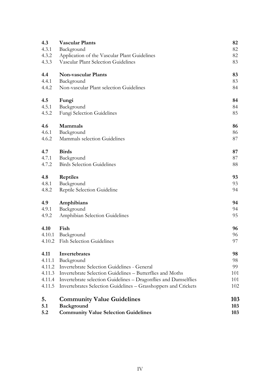| 4.3    | <b>Vascular Plants</b>                                                 | 82  |
|--------|------------------------------------------------------------------------|-----|
| 4.3.1  | Background                                                             | 82  |
| 4.3.2  | Application of the Vascular Plant Guidelines                           | 82  |
| 4.3.3  | Vascular Plant Selection Guidelines                                    | 83  |
| 4.4    | <b>Non-vascular Plants</b>                                             | 83  |
| 4.4.1  | Background                                                             | 83  |
| 4.4.2  | Non-vascular Plant selection Guidelines                                | 84  |
| 4.5    | Fungi                                                                  | 84  |
| 4.5.1  | Background                                                             | 84  |
| 4.5.2  | Fungi Selection Guidelines                                             | 85  |
| 4.6    | Mammals                                                                | 86  |
| 4.6.1  | Background                                                             | 86  |
| 4.6.2  | Mammals selection Guidelines                                           | 87  |
| 4.7    | <b>Birds</b>                                                           | 87  |
| 4.7.1  | Background                                                             | 87  |
| 4.7.2  | <b>Birds Selection Guidelines</b>                                      | 88  |
| 4.8    | <b>Reptiles</b>                                                        | 93  |
| 4.8.1  | Background                                                             | 93  |
| 4.8.2  | Reptile Selection Guideline                                            | 94  |
| 4.9    | Amphibians                                                             | 94  |
| 4.9.1  | Background                                                             | 94  |
| 4.9.2  | Amphibian Selection Guidelines                                         | 95  |
| 4.10   | Fish                                                                   | 96  |
|        | 4.10.1 Background                                                      | 96  |
|        | 4.10.2 Fish Selection Guidelines                                       | 97  |
| 4.11   | Invertebrates                                                          | 98  |
| 4.11.1 | Background                                                             | 98  |
| 4.11.2 | Invertebrate Selection Guidelines - General                            | 99  |
| 4.11.3 | Invertebrate Selection Guidelines - Butterflies and Moths              | 101 |
|        | 4.11.4 Invertebrate selection Guidelines - Dragonflies and Damselflies | 101 |
| 4.11.5 | Invertebrates Selection Guidelines - Grasshoppers and Crickets         | 102 |
| 5.     | <b>Community Value Guidelines</b>                                      | 103 |
| 5.1    | Background                                                             | 103 |
| 5.2    | <b>Community Value Selection Guidelines</b>                            | 103 |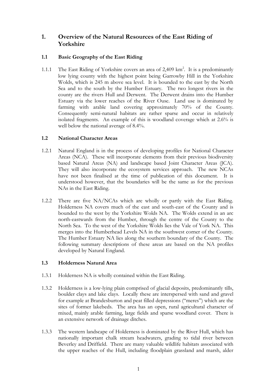# **1. Overview of the Natural Resources of the East Riding of Yorkshire**

# **1.1 Basic Geography of the East Riding**

1.1.1 The East Riding of Yorkshire covers an area of 2,409 km<sup>2</sup>. It is a predominantly low lying county with the highest point being Garrowby Hill in the Yorkshire Wolds, which is 245 m above sea level. It is bounded to the east by the North Sea and to the south by the Humber Estuary. The two longest rivers in the county are the rivers Hull and Derwent. The Derwent drains into the Humber Estuary via the lower reaches of the River Ouse. Land use is dominated by farming with arable land covering approximately 70% of the County. Consequently semi-natural habitats are rather sparse and occur in relatively isolated fragments. An example of this is woodland coverage which at 2.6% is well below the national average of 8.4%.

### **1.2 National Character Areas**

- 1.2.1 Natural England is in the process of developing profiles for National Character Areas (NCA). These will incorporate elements from their previous biodiversity based Natural Areas (NA) and landscape based Joint Character Areas (JCA). They will also incorporate the ecosystem services approach. The new NCAs have not been finalised at the time of publication of this document. It is understood however, that the boundaries will be the same as for the previous NAs in the East Riding.
- 1.2.2 There are five NA/NCAs which are wholly or partly with the East Riding. Holderness NA covers much of the east and south-east of the County and is bounded to the west by the Yorkshire Wolds NA. The Wolds extend in an arc north-eastwards from the Humber, through the centre of the County to the North Sea. To the west of the Yorkshire Wolds lies the Vale of York NA. This merges into the Humberhead Levels NA in the southwest corner of the County. The Humber Estuary NA lies along the southern boundary of the County. The following summary descriptions of these areas are based on the NA profiles developed by Natural England.

### **1.3 Holderness Natural Area**

- 1.3.1 Holderness NA is wholly contained within the East Riding.
- 1.3.2 Holderness is a low-lying plain comprised of glacial deposits, predominantly tills, boulder clays and lake clays. Locally these are interspersed with sand and gravel for example at Brandesburton and peat filled depressions ("meres") which are the sites of former lakebeds. The area has an open, rural agricultural character of mixed, mainly arable farming, large fields and sparse woodland cover. There is an extensive network of drainage ditches.
- 1.3.3 The western landscape of Holderness is dominated by the River Hull, which has nationally important chalk stream headwaters, grading to tidal river between Beverley and Driffield. There are many valuable wildlife habitats associated with the upper reaches of the Hull, including floodplain grassland and marsh, alder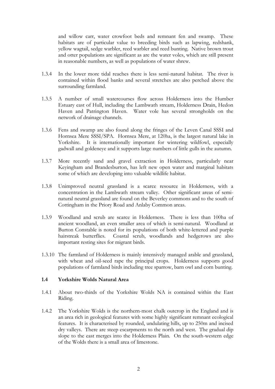and willow carr, water crowfoot beds and remnant fen and swamp. These habitats are of particular value to breeding birds such as lapwing, redshank, yellow wagtail, sedge warbler, reed warbler and reed bunting. Native brown trout and otter populations are significant as are the water voles, which are still present in reasonable numbers, as well as populations of water shrew.

- 1.3.4 In the lower more tidal reaches there is less semi-natural habitat. The river is contained within flood banks and several stretches are also perched above the surrounding farmland.
- 1.3.5 A number of small watercourses flow across Holderness into the Humber Estuary east of Hull, including the Lambwath stream, Holderness Drain, Hedon Haven and Patrington Haven. Water vole has several strongholds on the network of drainage channels.
- 1.3.6 Fens and swamp are also found along the fringes of the Leven Canal SSSI and Hornsea Mere SSSI/SPA. Hornsea Mere, at 120ha, is the largest natural lake in Yorkshire. It is internationally important for wintering wildfowl, especially gadwall and goldeneye and it supports large numbers of little gulls in the autumn.
- 1.3.7 More recently sand and gravel extraction in Holderness, particularly near Keyingham and Brandesburton, has left new open water and marginal habitats some of which are developing into valuable wildlife habitat.
- 1.3.8 Unimproved neutral grassland is a scarce resource in Holderness, with a concentration in the Lambwath stream valley. Other significant areas of seminatural neutral grassland are found on the Beverley commons and to the south of Cottingham in the Priory Road and Anlaby Common areas.
- 1.3.9 Woodland and scrub are scarce in Holderness. There is less than 100ha of ancient woodland, an even smaller area of which is semi-natural. Woodland at Burton Constable is noted for its populations of both white-lettered and purple hairstreak butterflies. Coastal scrub, woodlands and hedgerows are also important resting sites for migrant birds.
- 1.3.10 The farmland of Holderness is mainly intensively managed arable and grassland, with wheat and oil-seed rape the principal crops. Holderness supports good populations of farmland birds including tree sparrow, barn owl and corn bunting.

#### **1.4 Yorkshire Wolds Natural Area**

- 1.4.1 About two-thirds of the Yorkshire Wolds NA is contained within the East Riding.
- 1.4.2 The Yorkshire Wolds is the northern-most chalk outcrop in the England and is an area rich in geological features with some highly significant remnant ecological features. It is characterised by rounded, undulating hills, up to 250m and incised dry valleys. There are steep escarpments to the north and west. The gradual dip slope to the east merges into the Holderness Plain. On the south-western edge of the Wolds there is a small area of limestone.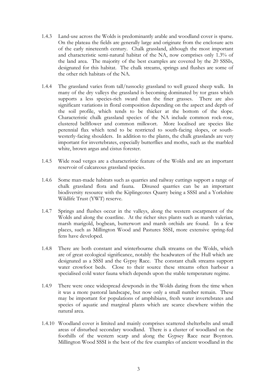- 1.4.3 Land-use across the Wolds is predominantly arable and woodland cover is sparse. On the plateau the fields are generally large and originate from the enclosure acts of the early nineteenth century. Chalk grassland, although the most important and characteristic semi-natural habitat of the NA, now comprises only 1.3% of the land area. The majority of the best examples are covered by the 20 SSSIs, designated for this habitat. The chalk streams, springs and flushes are some of the other rich habitats of the NA.
- 1.4.4 The grassland varies from tall/tussocky grassland to well grazed sheep walk. In many of the dry valleys the grassland is becoming dominated by tor grass which supports a less species-rich sward than the finer grasses. There are also significant variations in floral composition depending on the aspect and depth of the soil profile, which tends to be thicker at the bottom of the slope. Characteristic chalk grassland species of the NA include common rock-rose, clustered bellflower and common milkwort. More localised are species like perennial flax which tend to be restricted to south-facing slopes, or southwesterly-facing shoulders. In addition to the plants, the chalk grasslands are very important for invertebrates, especially butterflies and moths, such as the marbled white, brown argus and cistus forester.
- 1.4.5 Wide road verges are a characteristic feature of the Wolds and are an important reservoir of calcareous grassland species.
- 1.4.6 Some man-made habitats such as quarries and railway cuttings support a range of chalk grassland flora and fauna. Disused quarries can be an important biodiversity resource with the Kiplingcotes Quarry being a SSSI and a Yorkshire Wildlife Trust (YWT) reserve.
- 1.4.7 Springs and flushes occur in the valleys, along the western escarpment of the Wolds and along the coastline. At the richer sites plants such as marsh valerian, marsh marigold, bogbean, butterwort and marsh orchids are found. In a few places, such as Millington Wood and Pastures SSSI, more extensive spring-fed fens have developed.
- 1.4.8 There are both constant and winterbourne chalk streams on the Wolds, which are of great ecological significance, notably the headwaters of the Hull which are designated as a SSSI and the Gypsy Race. The constant chalk streams support water crowfoot beds. Close to their source these streams often harbour a specialised cold water fauna which depends upon the stable temperature regime.
- 1.4.9 There were once widespread dewponds in the Wolds dating from the time when it was a more pastoral landscape, but now only a small number remain. These may be important for populations of amphibians, fresh water invertebrates and species of aquatic and marginal plants which are scarce elsewhere within the natural area.
- 1.4.10 Woodland cover is limited and mainly comprises scattered shelterbelts and small areas of disturbed secondary woodland. There is a cluster of woodland on the foothills of the western scarp and along the Gypsey Race near Boynton. Millington Wood SSSI is the best of the few examples of ancient woodland in the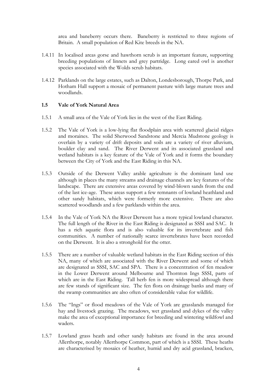area and baneberry occurs there. Baneberry is restricted to three regions of Britain. A small population of Red Kite breeds in the NA.

- 1.4.11 In localised areas gorse and hawthorn scrub is an important feature, supporting breeding populations of linnets and grey partridge. Long eared owl is another species associated with the Wolds scrub habitats.
- 1.4.12 Parklands on the large estates, such as Dalton, Londesborough, Thorpe Park, and Hotham Hall support a mosaic of permanent pasture with large mature trees and woodlands.

# **1.5 Vale of York Natural Area**

- 1.5.1 A small area of the Vale of York lies in the west of the East Riding.
- 1.5.2 The Vale of York is a low-lying flat floodplain area with scattered glacial ridges and moraines. The solid Sherwood Sandstone and Mercia Mudstone geology is overlain by a variety of drift deposits and soils are a variety of river alluvium, boulder clay and sand. The River Derwent and its associated grassland and wetland habitats is a key feature of the Vale of York and it forms the boundary between the City of York and the East Riding in this NA.
- 1.5.3 Outside of the Derwent Valley arable agriculture is the dominant land use although in places the many streams and drainage channels are key features of the landscape. There are extensive areas covered by wind-blown sands from the end of the last ice-age. These areas support a few remnants of lowland heathland and other sandy habitats, which were formerly more extensive. There are also scattered woodlands and a few parklands within the area.
- 1.5.4 In the Vale of York NA the River Derwent has a more typical lowland character. The full length of the River in the East Riding is designated as SSSI and SAC. It has a rich aquatic flora and is also valuable for its invertebrate and fish communities. A number of nationally scarce invertebrates have been recorded on the Derwent. It is also a stronghold for the otter.
- 1.5.5 There are a number of valuable wetland habitats in the East Riding section of this NA, many of which are associated with the River Derwent and some of which are designated as SSSI, SAC and SPA. There is a concentration of fen meadow in the Lower Derwent around Melbourne and Thornton Ings SSSI, parts of which are in the East Riding. Tall herb fen is more widespread although there are few stands of significant size. The fen flora on drainage banks and many of the swamp communities are also often of considerable value for wildlife.
- 1.5.6 The "Ings" or flood meadows of the Vale of York are grasslands managed for hay and livestock grazing. The meadows, wet grassland and dykes of the valley make the area of exceptional importance for breeding and wintering wildfowl and waders.
- 1.5.7 Lowland grass heath and other sandy habitats are found in the area around Allerthorpe, notably Allerthorpe Common, part of which is a SSSI. These heaths are characterised by mosaics of heather, humid and dry acid grassland, bracken,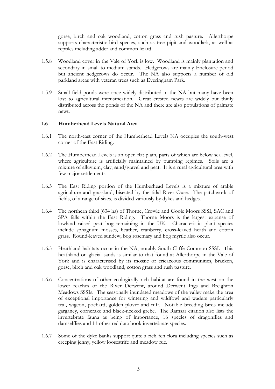gorse, birch and oak woodland, cotton grass and rush pasture. Allerthorpe supports characteristic bird species, such as tree pipit and woodlark, as well as reptiles including adder and common lizard.

- 1.5.8 Woodland cover in the Vale of York is low. Woodland is mainly plantation and secondary in small to medium stands. Hedgerows are mainly Enclosure period but ancient hedgerows do occur. The NA also supports a number of old parkland areas with veteran trees such as Everingham Park.
- 1.5.9 Small field ponds were once widely distributed in the NA but many have been lost to agricultural intensification. Great crested newts are widely but thinly distributed across the ponds of the NA and there are also populations of palmate newt.

### **1.6 Humberhead Levels Natural Area**

- 1.6.1 The north-east corner of the Humberhead Levels NA occupies the south-west corner of the East Riding.
- 1.6.2 The Humberhead Levels is an open flat plain, parts of which are below sea level, where agriculture is artificially maintained by pumping regimes. Soils are a mixture of alluvium, clay, sand/gravel and peat. It is a rural agricultural area with few major settlements.
- 1.6.3 The East Riding portion of the Humberhead Levels is a mixture of arable agriculture and grassland, bisected by the tidal River Ouse. The patchwork of fields, of a range of sizes, is divided variously by dykes and hedges.
- 1.6.4 The northern third (634 ha) of Thorne, Crowle and Goole Moors SSSI, SAC and SPA falls within the East Riding. Thorne Moors is the largest expanse of lowland raised peat bog remaining in the UK. Characteristic plant species include sphagnum mosses, heather, cranberry, cross-leaved heath and cotton grass. Round-leaved sundew, bog rosemary and bog myrtle also occur.
- 1.6.5 Heathland habitats occur in the NA, notably South Cliffe Common SSSI. This heathland on glacial sands is similar to that found at Allerthorpe in the Vale of York and is characterised by its mosaic of ericaceous communities, bracken, gorse, birch and oak woodland, cotton grass and rush pasture.
- 1.6.6 Concentrations of other ecologically rich habitat are found in the west on the lower reaches of the River Derwent, around Derwent Ings and Breighton Meadows SSSIs. The seasonally inundated meadows of the valley make the area of exceptional importance for wintering and wildfowl and waders particularly teal, wigeon, pochard, golden plover and ruff. Notable breeding birds include garganey, corncrake and black-necked grebe. The Ramsar citation also lists the invertebrate fauna as being of importance, 16 species of dragonflies and damselflies and 11 other red data book invertebrate species.
- 1.6.7 Some of the dyke banks support quite a rich fen flora including species such as creeping jenny, yellow loosestrife and meadow rue.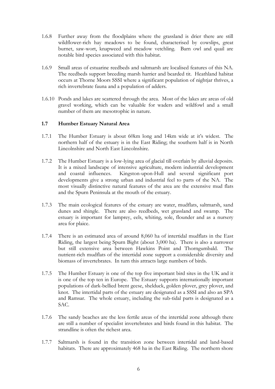- 1.6.8 Further away from the floodplains where the grassland is drier there are still wildflower-rich hay meadows to be found, characterised by cowslips, great burnet, saw-wort, knapweed and meadow vetchling. Barn owl and quail are notable bird species associated with this habitat.
- 1.6.9 Small areas of estuarine reedbeds and saltmarsh are localised features of this NA. The reedbeds support breeding marsh harrier and bearded tit. Heathland habitat occurs at Thorne Moors SSSI where a significant population of nightjar thrives, a rich invertebrate fauna and a population of adders.
- 1.6.10 Ponds and lakes are scattered through the area. Most of the lakes are areas of old gravel working, which can be valuable for waders and wildfowl and a small number of them are mesotrophic in nature.

# **1.7 Humber Estuary Natural Area**

- 1.7.1 The Humber Estuary is about 60km long and 14km wide at it's widest. The northern half of the estuary is in the East Riding; the southern half is in North Lincolnshire and North East Lincolnshire.
- 1.7.2 The Humber Estuary is a low-lying area of glacial till overlain by alluvial deposits. It is a mixed landscape of intensive agriculture, modern industrial development and coastal influences. Kingston-upon-Hull and several significant port developments give a strong urban and industrial feel to parts of the NA. The most visually distinctive natural features of the area are the extensive mud flats and the Spurn Peninsula at the mouth of the estuary.
- 1.7.3 The main ecological features of the estuary are water, mudflats, saltmarsh, sand dunes and shingle. There are also reedbeds, wet grassland and swamp. The estuary is important for lamprey, eels, whiting, sole, flounder and as a nursery area for plaice.
- 1.7.4 There is an estimated area of around 8,060 ha of intertidal mudflats in the East Riding, the largest being Spurn Bight (about 3,000 ha). There is also a narrower but still extensive area between Hawkins Point and Thorngumbald. The nutrient-rich mudflats of the intertidal zone support a considerable diversity and biomass of invertebrates. In turn this attracts large numbers of birds.
- 1.7.5 The Humber Estuary is one of the top five important bird sites in the UK and it is one of the top ten in Europe. The Estuary supports internationally important populations of dark-bellied brent geese, shelduck, golden plover, grey plover, and knot. The intertidal parts of the estuary are designated as a SSSI and also an SPA and Ramsar. The whole estuary, including the sub-tidal parts is designated as a SAC.
- 1.7.6 The sandy beaches are the less fertile areas of the intertidal zone although there are still a number of specialist invertebrates and birds found in this habitat. The strandline is often the richest area.
- 1.7.7 Saltmarsh is found in the transition zone between intertidal and land-based habitats. There are approximately 468 ha in the East Riding. The northern shore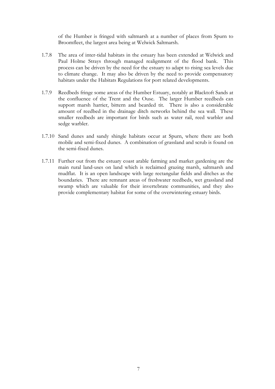of the Humber is fringed with saltmarsh at a number of places from Spurn to Broomfleet, the largest area being at Welwick Saltmarsh.

- 1.7.8 The area of inter-tidal habitats in the estuary has been extended at Welwick and Paul Holme Strays through managed realignment of the flood bank. This process can be driven by the need for the estuary to adapt to rising sea levels due to climate change. It may also be driven by the need to provide compensatory habitats under the Habitats Regulations for port related developments.
- 1.7.9 Reedbeds fringe some areas of the Humber Estuary, notably at Blacktoft Sands at the confluence of the Trent and the Ouse. The larger Humber reedbeds can support marsh harrier, bittern and bearded tit. There is also a considerable amount of reedbed in the drainage ditch networks behind the sea wall. These smaller reedbeds are important for birds such as water rail, reed warbler and sedge warbler.
- 1.7.10 Sand dunes and sandy shingle habitats occur at Spurn, where there are both mobile and semi-fixed dunes. A combination of grassland and scrub is found on the semi-fixed dunes.
- 1.7.11 Further out from the estuary coast arable farming and market gardening are the main rural land-uses on land which is reclaimed grazing marsh, saltmarsh and mudflat. It is an open landscape with large rectangular fields and ditches as the boundaries. There are remnant areas of freshwater reedbeds, wet grassland and swamp which are valuable for their invertebrate communities, and they also provide complementary habitat for some of the overwintering estuary birds.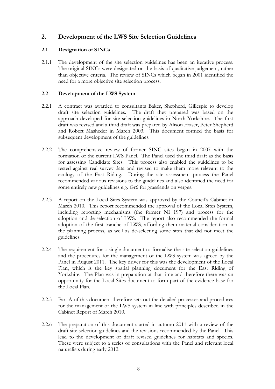# **2. Development of the LWS Site Selection Guidelines**

# **2.1 Designation of SINCs**

2.1.1 The development of the site selection guidelines has been an iterative process. The original SINCs were designated on the basis of qualitative judgement, rather than objective criteria. The review of SINCs which began in 2001 identified the need for a more objective site selection process.

# **2.2 Development of the LWS System**

- 2.2.1 A contract was awarded to consultants Baker, Shepherd, Gillespie to develop draft site selection guidelines. The draft they prepared was based on the approach developed for site selection guidelines in North Yorkshire. The first draft was revised and a third draft was prepared by Alison Fraser, Peter Shepherd and Robert Masheder in March 2003. This document formed the basis for subsequent development of the guidelines.
- 2.2.2 The comprehensive review of former SINC sites began in 2007 with the formation of the current LWS Panel. The Panel used the third draft as the basis for assessing Candidate Sites. This process also enabled the guidelines to be tested against real survey data and revised to make them more relevant to the ecology of the East Riding. During the site assessment process the Panel recommended various revisions to the guidelines and also identified the need for some entirely new guidelines e.g. Gr6 for grasslands on verges.
- 2.2.3 A report on the Local Sites System was approved by the Council's Cabinet in March 2010. This report recommended the approval of the Local Sites System, including reporting mechanisms (the former NI 197) and process for the adoption and de-selection of LWS. The report also recommended the formal adoption of the first tranche of LWS, affording them material consideration in the planning process, as well as de-selecting some sites that did not meet the guidelines.
- 2.2.4 The requirement for a single document to formalise the site selection guidelines and the procedures for the management of the LWS system was agreed by the Panel in August 2011. The key driver for this was the development of the Local Plan, which is the key spatial planning document for the East Riding of Yorkshire. The Plan was in preparation at that time and therefore there was an opportunity for the Local Sites document to form part of the evidence base for the Local Plan.
- 2.2.5 Part A of this document therefore sets out the detailed processes and procedures for the management of the LWS system in line with principles described in the Cabinet Report of March 2010.
- 2.2.6 The preparation of this document started in autumn 2011 with a review of the draft site selection guidelines and the revisions recommended by the Panel. This lead to the development of draft revised guidelines for habitats and species. These were subject to a series of consultations with the Panel and relevant local naturalists during early 2012.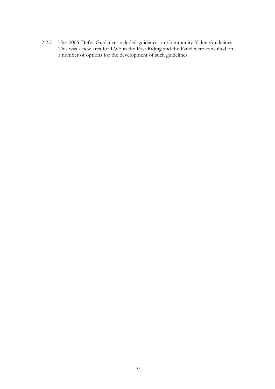2.2.7 The 2006 Defra Guidance included guidance on Community Value Guidelines. This was a new area for LWS in the East Riding and the Panel were consulted on a number of options for the development of such guidelines.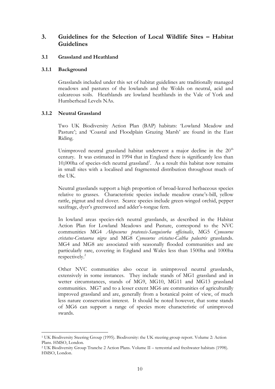# **3. Guidelines for the Selection of Local Wildlife Sites – Habitat Guidelines**

### **3.1 Grassland and Heathland**

#### **3.1.1 Background**

Grasslands included under this set of habitat guidelines are traditionally managed meadows and pastures of the lowlands and the Wolds on neutral, acid and calcareous soils. Heathlands are lowland heathlands in the Vale of York and Humberhead Levels NAs.

### **3.1.2 Neutral Grassland**

Two UK Biodiversity Action Plan (BAP) habitats: 'Lowland Meadow and Pasture'; and 'Coastal and Floodplain Grazing Marsh' are found in the East Riding.

Unimproved neutral grassland habitat underwent a major decline in the  $20<sup>th</sup>$ century. It was estimated in 1994 that in England there is significantly less than 10,000ha of species-rich neutral grassland<sup>1</sup>. As a result this habitat now remains in small sites with a localised and fragmented distribution throughout much of the UK.

Neutral grasslands support a high proportion of broad-leaved herbaceous species relative to grasses. Characteristic species include meadow crane's-bill, yellow rattle, pignut and red clover. Scarce species include green-winged orchid, pepper saxifrage, dyer's greenweed and adder's-tongue fern.

In lowland areas species-rich neutral grasslands, as described in the Habitat Action Plan for Lowland Meadows and Pasture, correspond to the NVC communities MG4 *Alopecurus pratensis-Sanguisorba officinalis*, MG5 *Cynosurus cristatus-Centaurea nigra* and MG8 *Cynosurus cristatus-Caltha palustris* grasslands. MG4 and MG8 are associated with seasonally flooded communities and are particularly rare, covering in England and Wales less than 1500ha and 1000ha respectively.<sup>2</sup>

Other NVC communities also occur in unimproved neutral grasslands, extensively in some instances. They include stands of MG1 grassland and in wetter circumstances, stands of MG9, MG10, MG11 and MG13 grassland communities. MG7 and to a lesser extent MG6 are communities of agriculturally improved grassland and are, generally from a botanical point of view, of much less nature conservation interest. It should be noted however, that some stands of MG6 can support a range of species more characteristic of unimproved swards.

<sup>1</sup> <sup>1</sup> UK Biodiversity Steering Group (1995). Biodiversity: the UK steering group report. Volume 2: Action Plans. HMSO, London.

<sup>2</sup> UK Biodiversity Group Tranche 2 Action Plans. Volume II – terrestrial and freshwater habitats (1998). HMSO, London.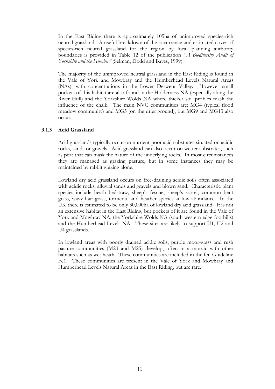In the East Riding there is approximately 105ha of unimproved species-rich neutral grassland. A useful breakdown of the occurrence and estimated cover of species-rich neutral grassland for the region by local planning authority boundaries is provided in Table 12 of the publication *"A Biodiversity Audit of Yorkshire and the Humber"* (Selman, Dodd and Bayes, 1999).

The majority of the unimproved neutral grassland in the East Riding is found in the Vale of York and Mowbray and the Humberhead Levels Natural Areas (NAs), with concentrations in the Lower Derwent Valley. However small pockets of this habitat are also found in the Holderness NA (especially along the River Hull) and the Yorkshire Wolds NA where thicker soil profiles mask the influence of the chalk. The main NVC communities are: MG4 (typical flood meadow community) and MG5 (on the drier ground), but MG9 and MG13 also occur.

### **3.1.3 Acid Grassland**

Acid grasslands typically occur on nutrient-poor acid substrates situated on acidic rocks, sands or gravels. Acid grassland can also occur on wetter substrates, such as peat that can mask the nature of the underlying rocks. In most circumstances they are managed as grazing pasture, but in some instances they may be maintained by rabbit grazing alone.

Lowland dry acid grassland occurs on free-draining acidic soils often associated with acidic rocks, alluvial sands and gravels and blown sand. Characteristic plant species include heath bedstraw, sheep's fescue, sheep's sorrel, common bent grass, wavy hair-grass, tormentil and heather species at low abundance. In the UK there is estimated to be only 30,000ha of lowland dry acid grassland. It is not an extensive habitat in the East Riding, but pockets of it are found in the Vale of York and Mowbray NA, the Yorkshire Wolds NA (south western edge foothills) and the Humberhead Levels NA. These sites are likely to support U1, U2 and U4 grasslands.

In lowland areas with poorly drained acidic soils, purple moor-grass and rush pasture communities (M23 and M25) develop, often in a mosaic with other habitats such as wet heath. These communities are included in the fen Guideline Fe1. These communities are present in the Vale of York and Mowbray and Humberhead Levels Natural Areas in the East Riding, but are rare.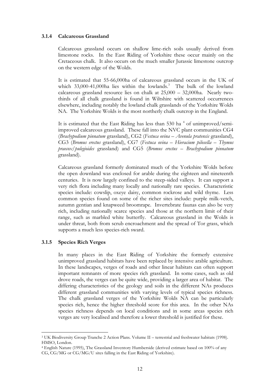#### **3.1.4 Calcareous Grassland**

Calcareous grassland occurs on shallow lime-rich soils usually derived from limestone rocks. In the East Riding of Yorkshire these occur mainly on the Cretaceous chalk. It also occurs on the much smaller Jurassic limestone outcrop on the western edge of the Wolds.

It is estimated that 55-66,000ha of calcareous grassland occurs in the UK of which  $33,000-41,000$ ha lies within the lowlands.<sup>3</sup> The bulk of the lowland calcareous grassland resource lies on chalk at 25,000 – 32,000ha. Nearly twothirds of all chalk grassland is found in Wiltshire with scattered occurrences elsewhere, including notably the lowland chalk grasslands of the Yorkshire Wolds NA. The Yorkshire Wolds is the most northerly chalk outcrop in the England.

It is estimated that the East Riding has less than 530 ha<sup>4</sup> of unimproved/semiimproved calcareous grassland. These fall into the NVC plant communities CG4 (*Brachypodium pinnatum* grassland), CG2 (*Festuca ovina – Avenula pratensis* grassland), CG3 (*Bromus erectus* grassland), CG7 (*Festuca ovina – Hieracium pilosella – Thymus praecox/pulegioides* grassland) and CG5 (*Bromus erectus – Brachypodium pinnatum*  grassland).

Calcareous grassland formerly dominated much of the Yorkshire Wolds before the open downland was enclosed for arable during the eighteen and nineteenth centuries. It is now largely confined to the steep-sided valleys. It can support a very rich flora including many locally and nationally rare species. Characteristic species include: cowslip, oxeye daisy, common rockrose and wild thyme. Less common species found on some of the richer sites include: purple milk-vetch, autumn gentian and knapweed broomrape. Invertebrate faunas can also be very rich, including nationally scarce species and those at the northern limit of their range, such as marbled white butterfly. Calcareous grassland in the Wolds is under threat, both from scrub encroachment and the spread of Tor grass, which supports a much less species-rich sward.

#### **3.1.5 Species Rich Verges**

1

In many places in the East Riding of Yorkshire the formerly extensive unimproved grassland habitats have been replaced by intensive arable agriculture. In these landscapes, verges of roads and other linear habitats can often support important remnants of more species rich grassland. In some cases, such as old drove roads, the verges can be quite wide, providing a larger area of habitat. The differing characteristics of the geology and soils in the different NAs produces different grassland communities with varying levels of typical species richness. The chalk grassland verges of the Yorkshire Wolds NA can be particularly species rich, hence the higher threshold score for this area. In the other NAs species richness depends on local conditions and in some areas species rich verges are very localised and therefore a lower threshold is justified for these.

<sup>3</sup> UK Biodiversity Group Tranche 2 Action Plans. Volume II – terrestrial and freshwater habitats (1998). HMSO, London.

<sup>4</sup> English Nature (1995), The Grassland Inventory Humberside (derived estimate based on 100% of any CG, CG/MG or CG/MG/U sites falling in the East Riding of Yorkshire).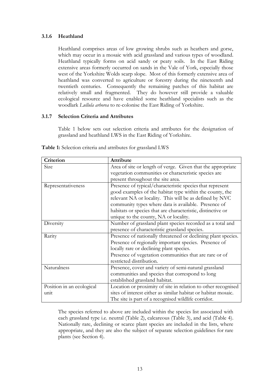### **3.1.6 Heathland**

Heathland comprises areas of low growing shrubs such as heathers and gorse, which may occur in a mosaic with acid grassland and various types of woodland. Heathland typically forms on acid sandy or peaty soils. In the East Riding extensive areas formerly occurred on sands in the Vale of York, especially those west of the Yorkshire Wolds scarp slope. Most of this formerly extensive area of heathland was converted to agriculture or forestry during the nineteenth and twentieth centuries. Consequently the remaining patches of this habitat are relatively small and fragmented. They do however still provide a valuable ecological resource and have enabled some heathland specialists such as the woodlark *Lullula arborea* to re-colonise the East Riding of Yorkshire.

### **3.1.7 Selection Criteria and Attributes**

Table 1 below sets out selection criteria and attributes for the designation of grassland and heathland LWS in the East Riding of Yorkshire.

| Criterion                 | Attribute                                                      |  |  |
|---------------------------|----------------------------------------------------------------|--|--|
| Size                      | Area of site or length of verge. Given that the appropriate    |  |  |
|                           | vegetation communities or characteristic species are           |  |  |
|                           | present throughout the site area.                              |  |  |
| Representativeness        | Presence of typical/characteristic species that represent      |  |  |
|                           | good examples of the habitat type within the county, the       |  |  |
|                           | relevant NA or locality. This will be as defined by NVC        |  |  |
|                           | community types where data is available. Presence of           |  |  |
|                           | habitats or species that are characteristic, distinctive or    |  |  |
|                           | unique to the county, NA or locality.                          |  |  |
| Diversity                 | Number of grassland plant species recorded as a total and      |  |  |
|                           | presence of characteristic grassland species.                  |  |  |
| Rarity                    | Presence of nationally threatened or declining plant species.  |  |  |
|                           | Presence of regionally important species. Presence of          |  |  |
|                           | locally rare or declining plant species.                       |  |  |
|                           | Presence of vegetation communities that are rare or of         |  |  |
|                           | restricted distribution.                                       |  |  |
| Naturalness               | Presence, cover and variety of semi-natural grassland          |  |  |
|                           | communities and species that correspond to long                |  |  |
|                           | established grassland habitat.                                 |  |  |
| Position in an ecological | Location or proximity of site in relation to other recognised  |  |  |
| unit                      | sites of interest either as similar habitat or habitat mosaic. |  |  |
|                           | The site is part of a recognised wildlife corridor.            |  |  |

**Table 1:** Selection criteria and attributes for grassland LWS

The species referred to above are included within the species list associated with each grassland type i.e. neutral (Table 2), calcareous (Table 3), and acid (Table 4). Nationally rare, declining or scarce plant species are included in the lists, where appropriate, and they are also the subject of separate selection guidelines for rare plants (see Section 4).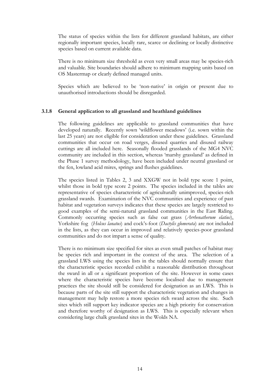The status of species within the lists for different grassland habitats, are either regionally important species, locally rare, scarce or declining or locally distinctive species based on current available data.

There is no minimum size threshold as even very small areas may be species-rich and valuable. Site boundaries should adhere to minimum mapping units based on OS Mastermap or clearly defined managed units.

Species which are believed to be 'non-native' in origin or present due to unauthorised introductions should be disregarded.

### **3.1.8 General application to all grassland and heathland guidelines**

The following guidelines are applicable to grassland communities that have developed naturally. Recently sown 'wildflower meadows' (i.e. sown within the last 25 years) are not eligible for consideration under these guidelines. Grassland communities that occur on road verges, disused quarries and disused railway cuttings are all included here. Seasonally flooded grasslands of the MG4 NVC community are included in this section, whereas 'marshy grassland' as defined in the Phase 1 survey methodology, have been included under neutral grassland or the fen, lowland acid mires, springs and flushes guidelines.

The species listed in Tables 2, 3 and XXGW not in bold type score 1 point, whilst those in bold type score 2 points. The species included in the tables are representative of species characteristic of agriculturally unimproved, species-rich grassland swards. Examination of the NVC communities and experience of past habitat and vegetation surveys indicates that these species are largely restricted to good examples of the semi-natural grassland communities in the East Riding. Commonly occurring species such as false oat grass (*Arrhenatherum elatius*), Yorkshire fog (*Holcus lanatus*) and cock's-foot (*Dactylis glomerata*) are not included in the lists, as they can occur in improved and relatively species-poor grassland communities and do not impart a sense of quality.

There is no minimum size specified for sites as even small patches of habitat may be species rich and important in the context of the area. The selection of a grassland LWS using the species lists in the tables should normally ensure that the characteristic species recorded exhibit a reasonable distribution throughout the sward in all or a significant proportion of the site. However in some cases where the characteristic species have become localised due to management practices the site should still be considered for designation as an LWS. This is because parts of the site still support the characteristic vegetation and changes in management may help restore a more species rich sward across the site. Such sites which still support key indicator species are a high priority for conservation and therefore worthy of designation as LWS. This is especially relevant when considering large chalk grassland sites in the Wolds NA.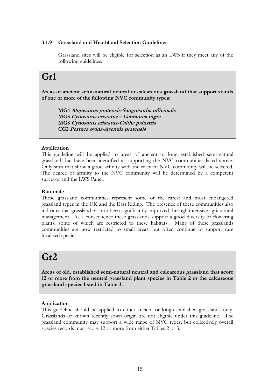### **3.1.9 Grassland and Heathland Selection Guidelines**

Grassland sites will be eligible for selection as an LWS if they meet any of the following guidelines.

# **Gr1**

**Areas of ancient semi-natural neutral or calcareous grassland that support stands of one or more of the following NVC community types:**

**MG4 Alopecurus pratensis-Sanguisorba officinalis MG5 Cynosurus cristatus – Centaurea nigra MG8 Cynosorus cristatus-Caltha palustris CG2 Festuca ovina-Avenula pratensis**

# **Application**

This guideline will be applied to areas of ancient or long established semi-natural grassland that have been identified as supporting the NVC communities listed above. Only sites that show a good affinity with the relevant NVC community will be selected. The degree of affinity to the NVC community will be determined by a competent surveyor and the LWS Panel.

### **Rationale**

These grassland communities represent some of the rarest and most endangered grassland types in the UK and the East Riding. The presence of these communities also indicates that grassland has not been significantly improved through intensive agricultural management. As a consequence these grasslands support a good diversity of flowering plants, some of which are restricted to these habitats. Many of these grasslands communities are now restricted to small areas, but often continue to support rare localised species.

# **Gr2**

**Areas of old, established semi-natural neutral and calcareous grassland that score 12 or more from the neutral grassland plant species in Table 2 or the calcareous grassland species listed in Table 3.**

# **Application**

This guideline should be applied to either ancient or long-established grasslands only. Grasslands of known recently sown origin are not eligible under this guideline. The grassland community may support a wide range of NVC types, but collectively overall species records must score 12 or more from either Tables 2 or 3.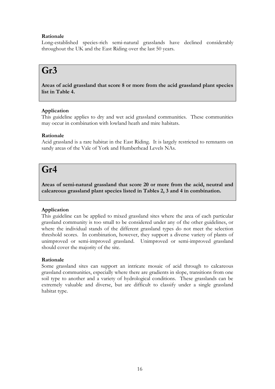# **Rationale**

Long-established species-rich semi-natural grasslands have declined considerably throughout the UK and the East Riding over the last 50 years.

# **Gr3**

**Areas of acid grassland that score 8 or more from the acid grassland plant species list in Table 4.** 

# **Application**

This guideline applies to dry and wet acid grassland communities. These communities may occur in combination with lowland heath and mire habitats.

# **Rationale**

Acid grassland is a rare habitat in the East Riding. It is largely restricted to remnants on sandy areas of the Vale of York and Humberhead Levels NAs.

# **Gr4**

**Areas of semi-natural grassland that score 20 or more from the acid, neutral and calcareous grassland plant species listed in Tables 2, 3 and 4 in combination.**

# **Application**

This guideline can be applied to mixed grassland sites where the area of each particular grassland community is too small to be considered under any of the other guidelines, or where the individual stands of the different grassland types do not meet the selection threshold scores. In combination, however, they support a diverse variety of plants of unimproved or semi-improved grassland. Unimproved or semi-improved grassland should cover the majority of the site.

# **Rationale**

Some grassland sites can support an intricate mosaic of acid through to calcareous grassland communities, especially where there are gradients in slope, transitions from one soil type to another and a variety of hydrological conditions. These grasslands can be extremely valuable and diverse, but are difficult to classify under a single grassland habitat type.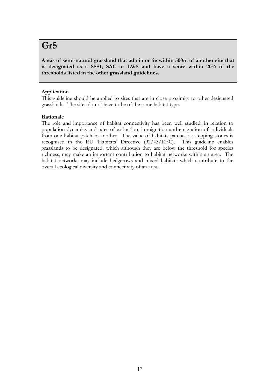# **Gr5**

**Areas of semi-natural grassland that adjoin or lie within 500m of another site that is designated as a SSSI, SAC or LWS and have a score within 20% of the thresholds listed in the other grassland guidelines.**

# **Application**

This guideline should be applied to sites that are in close proximity to other designated grasslands. The sites do not have to be of the same habitat type.

# **Rationale**

The role and importance of habitat connectivity has been well studied, in relation to population dynamics and rates of extinction, immigration and emigration of individuals from one habitat patch to another. The value of habitats patches as stepping stones is recognised in the EU 'Habitats' Directive (92/43/EEC). This guideline enables grasslands to be designated, which although they are below the threshold for species richness, may make an important contribution to habitat networks within an area. The habitat networks may include hedgerows and mixed habitats which contribute to the overall ecological diversity and connectivity of an area.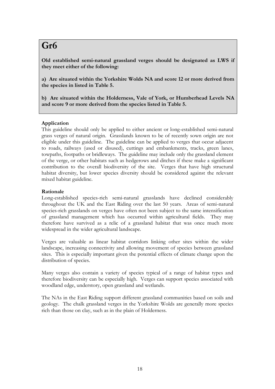# **Gr6**

**Old established semi-natural grassland verges should be designated as LWS if they meet either of the following:**

**a) Are situated within the Yorkshire Wolds NA and score 12 or more derived from the species in listed in Table 5.**

**b) Are situated within the Holderness, Vale of York, or Humberhead Levels NA and score 9 or more derived from the species listed in Table 5.**

# **Application**

This guideline should only be applied to either ancient or long-established semi-natural grass verges of natural origin. Grasslands known to be of recently sown origin are not eligible under this guideline. The guideline can be applied to verges that occur adjacent to roads, railways (used or disused), cuttings and embankments, tracks, green lanes, towpaths, footpaths or bridleways. The guideline may include only the grassland element of the verge, or other habitats such as hedgerows and ditches if these make a significant contribution to the overall biodiversity of the site. Verges that have high structural habitat diversity, but lower species diversity should be considered against the relevant mixed habitat guideline.

### **Rationale**

Long-established species-rich semi-natural grasslands have declined considerably throughout the UK and the East Riding over the last 50 years. Areas of semi-natural species-rich grasslands on verges have often not been subject to the same intensification of grassland management which has occurred within agricultural fields. They may therefore have survived as a relic of a grassland habitat that was once much more widespread in the wider agricultural landscape.

Verges are valuable as linear habitat corridors linking other sites within the wider landscape, increasing connectivity and allowing movement of species between grassland sites. This is especially important given the potential effects of climate change upon the distribution of species.

Many verges also contain a variety of species typical of a range of habitat types and therefore biodiversity can be especially high. Verges can support species associated with woodland edge, understory, open grassland and wetlands.

The NAs in the East Riding support different grassland communities based on soils and geology. The chalk grassland verges in the Yorkshire Wolds are generally more species rich than those on clay, such as in the plain of Holderness.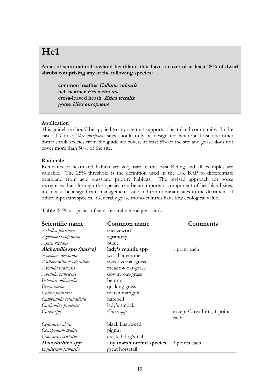# **He1**

**Areas of semi-natural lowland heathland that have a cover of at least 25% of dwarf shrubs comprising any of the following species:**

**common heather Calluna vulgaris bell heather Erica cinerea cross-leaved heath Erica tetralix gorse Ulex europaeus**

### **Application**

This guideline should be applied to any site that supports a heathland community. In the case of Gorse *Ulex europaeus* sites should only be designated where at least one other dwarf shrub species from the guideline covers at least 5% of the site and gorse does not cover more than 50% of the site.

### **Rationale**

Remnants of heathland habitat are very rare in the East Riding and all examples are valuable. The 25% threshold is the definition used in the UK BAP to differentiate heathland from acid grassland priority habitats. The revised approach for gorse recognises that although this species can be an important component of heathland sites, it can also be a significant management issue and can dominate sites to the detriment of other important species. Generally gorse mono-cultures have low ecological value.

**Table 2:** Plant species of semi-natural neutral grassland**.**

| Scientific name         | Common name              | Comments                    |
|-------------------------|--------------------------|-----------------------------|
| Achillea ptarmica       | sneezewort               |                             |
| Agrimonia eupatoria     | agrimony                 |                             |
| Ajuga reptans           | bugle                    |                             |
| Alchemilla spp (native) | lady's mantle spp        | 1 point each                |
| Anemone nemorosa        | wood anemone             |                             |
| Anthoxanthum odoratum   | sweet vernal-grass       |                             |
| Avenula pratensis       | meadow oat-grass         |                             |
| Avenula pubescens       | downy oat-grass          |                             |
| Betonica officinalis    | betony                   |                             |
| Briza media             | quaking grass            |                             |
| Caltha palustris        | marsh marigold           |                             |
| Campanula rotundifolia  | harebell                 |                             |
| Cardamine pratensis     | lady's smock             |                             |
| Carex spp               | Carex spp                | except Carex hirta, 1 point |
|                         |                          | each                        |
| Centaurea nigra         | black knapweed           |                             |
| Conopodium majus        | pignut                   |                             |
| Cynosurus cristatus     | crested dog's-tail       |                             |
| Dactylorhiza spp.       | any marsh orchid species | 2 points each               |
| Equisetum telmateia     | great horsetail          |                             |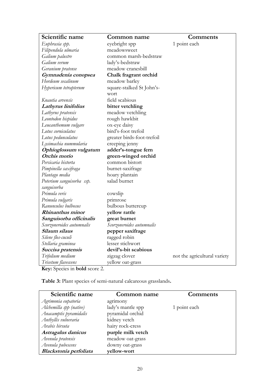| Scientific name                                                                                                   | Common name                | <b>Comments</b>              |
|-------------------------------------------------------------------------------------------------------------------|----------------------------|------------------------------|
| Euphrasia spp.                                                                                                    | eyebright spp              | 1 point each                 |
| Filipendula ulmaria                                                                                               | meadowsweet                |                              |
| Galium palustre                                                                                                   | common marsh-bedstraw      |                              |
| Galium verum                                                                                                      | lady's-bedstraw            |                              |
| Geranium pratense                                                                                                 | meadow cranesbill          |                              |
| Gymnadenia conopsea                                                                                               | Chalk fragrant orchid      |                              |
| Hordeum secalinum                                                                                                 | meadow barley              |                              |
| Hypericum tetrapterum                                                                                             | square-stalked St John's-  |                              |
|                                                                                                                   | wort                       |                              |
| Knautia arvensis                                                                                                  | field scabious             |                              |
| Lathyrus linifolius                                                                                               | bitter vetchling           |                              |
| Lathyrus pratensis                                                                                                | meadow vetchling           |                              |
| Leontodon hispidus                                                                                                | rough hawkbit              |                              |
| Leucanthemum vulgare                                                                                              | ox-eye daisy               |                              |
| Lotus corniculatus                                                                                                | bird's-foot trefoil        |                              |
| Lotus pedunculatus                                                                                                | greater birds-foot-trefoil |                              |
| Lysimachia nummularia                                                                                             | creeping jenny             |                              |
| Ophioglossum vulgatum                                                                                             | adder's-tongue fern        |                              |
| Orchis morio                                                                                                      | green-winged orchid        |                              |
| Persicaria bistorta                                                                                               | common bistort             |                              |
| Pimpinella saxifraga                                                                                              | burnet-saxifrage           |                              |
| Plantago media                                                                                                    | hoary plantain             |                              |
| Poterium sanguisorba ssp.                                                                                         | salad burnet               |                              |
| sanguisorba                                                                                                       |                            |                              |
| Primula veris                                                                                                     | cowslip                    |                              |
| Primula vulgaris                                                                                                  | primrose                   |                              |
| Ranunculus bulbosus                                                                                               | bulbous buttercup          |                              |
| Rhinanthus minor                                                                                                  | yellow rattle              |                              |
| Sanguisorba officinalis                                                                                           | great burnet               |                              |
| Scorzoneroides autumnalis                                                                                         | Scorzoneroides autumnalis  |                              |
| Silaum silaus                                                                                                     | pepper saxifrage           |                              |
| Silene flos-cuculi                                                                                                | ragged robin               |                              |
| Stellaria graminea                                                                                                | lesser stichwort           |                              |
| Succisa pratensis                                                                                                 | devil's-bit scabious       |                              |
| Trifolium medium                                                                                                  | zigzag clover              | not the agricultural variety |
| Trisetum flavescens<br>$\boldsymbol{V}$ and $\boldsymbol{V}$ are the set of $\boldsymbol{V}$ and $\boldsymbol{V}$ | yellow oat-grass           |                              |

**Key:** Species in **bold** score 2.

**Table 3:** Plant species of semi-natural calcareous grasslands**.**

| Scientific name         | Common name       | Comments     |
|-------------------------|-------------------|--------------|
| Agrimonia eupatoria     | agrimony          |              |
| Alchemilla spp (native) | lady's mantle spp | 1 point each |
| Anacamptis pyramidalis  | pyramidal orchid  |              |
| Anthyllis vulneraria    | kidney vetch      |              |
| Arabis hirsuta          | hairy rock-cress  |              |
| Astragalus danicus      | purple milk vetch |              |
| Avenula pratensis       | meadow oat-grass  |              |
| Avenula pubescens       | downy oat-grass   |              |
| Blackstonia perfoliata  | vellow-wort       |              |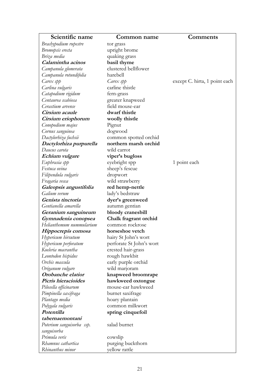| Scientific name                                 | <b>Common name</b>                       | Comments                      |
|-------------------------------------------------|------------------------------------------|-------------------------------|
| Brachypodium rupestre                           | tor grass                                |                               |
| Bromopsis erecta                                | upright brome                            |                               |
| Briza media                                     | quaking grass                            |                               |
| Calamintha acinos                               | basil thyme                              |                               |
| Campanula glomerata                             | clustered bellflower                     |                               |
| Campanula rotundifolia                          | harebell                                 |                               |
| Carex spp                                       | Carex spp                                | except C. hirta, 1 point each |
| Carlina vulgaris                                | carline thistle                          |                               |
| Catapodium rigidum                              | fern-grass                               |                               |
| Centaurea scabiosa                              | greater knapweed                         |                               |
| Cerastium arvense                               | field mouse-ear                          |                               |
| <i>Cirsium acaule</i>                           | dwarf thistle                            |                               |
| Cirsium eriophorum                              | woolly thistle                           |                               |
| Conopodium majus                                | Pignut                                   |                               |
| Cornus sanguinea                                | dogwood                                  |                               |
| Dactylorhiza fuchsii                            | common spotted orchid                    |                               |
| Dactylorhiza purpurella                         | northern marsh orchid                    |                               |
| Daucus carota                                   | wild carrot                              |                               |
| Echium vulgare                                  | viper's bugloss                          |                               |
| Euphrasia spp                                   | eyebright spp                            | 1 point each                  |
| Festuca ovina                                   | sheep's fescue                           |                               |
| Filipendula vulgaris                            | dropwort                                 |                               |
| Fragaria vesca                                  | wild strawberry                          |                               |
| Galeopsis angustifolia                          | red hemp-nettle                          |                               |
| Galium verum                                    | lady's bedstraw                          |                               |
| Genista tinctoria                               | dyer's greenweed                         |                               |
| Gentianella amarella                            |                                          |                               |
|                                                 | autumn gentian                           |                               |
| Geranium sanguineum                             | bloody cranesbill                        |                               |
| Gymnadenia conopsea<br>Helianthemum nummularium | Chalk fragrant orchid<br>common rockrose |                               |
|                                                 | horseshoe vetch                          |                               |
| Hippocrepis comosa                              |                                          |                               |
| Hypericum hirsutum                              | hairy St John's wort                     |                               |
| Hypericum perforatum                            | perforate St John's wort                 |                               |
| Koeleria macrantha                              | crested hair-grass                       |                               |
| Leontodon hispidus                              | rough hawkbit                            |                               |
| Orchis mascula                                  | early purple orchid                      |                               |
| Origanum vulgare                                | wild marjoram                            |                               |
| Orobanche elatior                               | knapweed broomrape                       |                               |
| Picris hieracioides                             | hawkweed oxtongue                        |                               |
| Pilosella officinarum                           | mouse-ear hawkweed                       |                               |
| Pimpinella saxifraga                            | burnet saxifrage                         |                               |
| Plantago media                                  | hoary plantain                           |                               |
| Polygala vulgaris                               | common milkwort                          |                               |
| Potentilla                                      | spring cinquefoil                        |                               |
| tabernaemontani                                 |                                          |                               |
| Poterium sanguisorba ssp.                       | salad burnet                             |                               |
| sanguisorba                                     |                                          |                               |
| Primula veris                                   | cowslip                                  |                               |
| Rhamnus cathartica                              | purging buckthorn                        |                               |
| Rhinanthus minor                                | yellow rattle                            |                               |

٦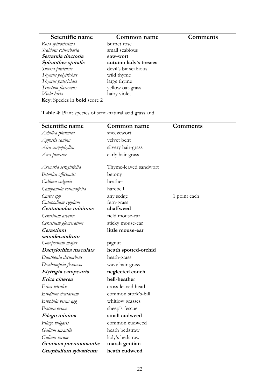| Scientific name                                                                                                                                                                                                                                                                                                                  | Common name           | <b>Comments</b> |
|----------------------------------------------------------------------------------------------------------------------------------------------------------------------------------------------------------------------------------------------------------------------------------------------------------------------------------|-----------------------|-----------------|
| Rosa spinosissima                                                                                                                                                                                                                                                                                                                | burnet rose           |                 |
| Scabiosa columbaria                                                                                                                                                                                                                                                                                                              | small scabious        |                 |
| Serratula tinctoria                                                                                                                                                                                                                                                                                                              | saw-wort              |                 |
| Spiranthes spiralis                                                                                                                                                                                                                                                                                                              | autumn lady's tresses |                 |
| Succisa pratensis                                                                                                                                                                                                                                                                                                                | devil's bit scabious  |                 |
| Thymus polytrichus                                                                                                                                                                                                                                                                                                               | wild thyme            |                 |
| Thymus pulegioides                                                                                                                                                                                                                                                                                                               | large thyme           |                 |
| Trisetum flavescens                                                                                                                                                                                                                                                                                                              | yellow oat-grass      |                 |
| Viola hirta                                                                                                                                                                                                                                                                                                                      | hairy violet          |                 |
| $\mathbf{r}$ $\alpha$ $\mathbf{r}$ $\mathbf{r}$ $\mathbf{r}$ $\mathbf{r}$ $\mathbf{r}$ $\mathbf{r}$ $\mathbf{r}$ $\mathbf{r}$ $\mathbf{r}$ $\mathbf{r}$ $\mathbf{r}$ $\mathbf{r}$ $\mathbf{r}$ $\mathbf{r}$ $\mathbf{r}$ $\mathbf{r}$ $\mathbf{r}$ $\mathbf{r}$ $\mathbf{r}$ $\mathbf{r}$ $\mathbf{r}$ $\mathbf{r}$ $\mathbf{r}$ |                       |                 |

**Key**: Species in **bold** score 2

**Table 4:** Plant species of semi-natural acid grassland.

| Scientific name        | Common name           | <b>Comments</b> |
|------------------------|-----------------------|-----------------|
| Achillea ptarmica      | sneezewort            |                 |
| Agrostis canina        | velvet bent           |                 |
| Aira caryophyllea      | silvery hair-grass    |                 |
| Aira praecox           | early hair-grass      |                 |
|                        |                       |                 |
| Arenaria serpyllifolia | Thyme-leaved sandwort |                 |
| Betonica officinalis   | betony                |                 |
| Calluna vulgaris       | heather               |                 |
| Campanula rotundifolia | harebell              |                 |
| Carex spp              | any sedge             | 1 point each    |
| Catapodium rigidum     | fern-grass            |                 |
| Centunculus minimus    | chaffweed             |                 |
| Cerastium arvense      | field mouse-ear       |                 |
| Cerastium glomeratum   | sticky mouse-ear      |                 |
| Cerastium              | little mouse-ear      |                 |
| semidecandrum          |                       |                 |
| Conopodium majus       | pignut                |                 |
| Dactylorhiza maculata  | heath spotted-orchid  |                 |
| Danthonia decumbens    | heath-grass           |                 |
| Deschampsia flexuosa   | wavy hair-grass       |                 |
| Elytrigia campestris   | neglected couch       |                 |
| Erica cinerea          | bell-heather          |                 |
| Erica tetralix         | cross-leaved heath    |                 |
| Erodium cicutarium     | common stork's-bill   |                 |
| Erophila verna agg     | whitlow grasses       |                 |
| Festuca ovina          | sheep's fescue        |                 |
| Filago minima          | small cudweed         |                 |
| Filago vulgaris        | common cudweed        |                 |
| Galium saxatile        | heath bedstraw        |                 |
| Galium verum           | lady's bedstraw       |                 |
| Gentiana pneumonanthe  | marsh gentian         |                 |
| Gnaphalium sylvaticum  | heath cudweed         |                 |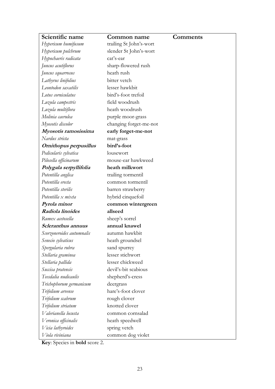| Scientific name           | Common name             | Comments |
|---------------------------|-------------------------|----------|
| Hypericum humifusum       | trailing St John's-wort |          |
| Hypericum pulchrum        | slender St John's-wort  |          |
| Hypochaeris radicata      | cat's-ear               |          |
| Juncus acutiflorus        | sharp-flowered rush     |          |
| Juncus squarrosus         | heath rush              |          |
| Lathyrus linifolius       | bitter vetch            |          |
| Leontodon saxatilis       | lesser hawkbit          |          |
| Lotus corniculatus        | bird's-foot trefoil     |          |
| Luzula campestris         | field woodrush          |          |
| Luzula multiflora         | heath woodrush          |          |
| Molinia caerulea          | purple moor-grass       |          |
| Myosotis discolor         | changing forget-me-not  |          |
| Myosotis ramosissima      | early forget-me-not     |          |
| Nardus stricta            | mat-grass               |          |
| Ornithopus perpusillus    | bird's-foot             |          |
| Pedicularis sylvatica     | lousewort               |          |
| Pilosella officinarum     | mouse-ear hawkweed      |          |
| Polygala serpyllifolia    | heath milkwort          |          |
| Potentilla anglica        | trailing tormentil      |          |
| Potentilla erecta         | common tormentil        |          |
| Potentilla sterilis       | barren strawberry       |          |
| Potentilla x mixta        | hybrid cinquefoil       |          |
| Pyrola minor              | common wintergreen      |          |
| Radiola linoides          | allseed                 |          |
| Rumex acetosella          | sheep's sorrel          |          |
| Scleranthus annuus        | annual knawel           |          |
| Scorzoneroides autumnalis | autumn hawkbit          |          |
| Senecio sylvaticus        | heath groundsel         |          |
| Spergularia rubra         | sand spurrey            |          |
| Stellaria graminea        | lesser stichwort        |          |
| Stellaria pallida         | lesser chickweed        |          |
| Succisa pratensis         | devil's-bit scabious    |          |
| Teesdalia nudicaulis      | shepherd's-cress        |          |
| Trichophorum germanicum   | deergrass               |          |
| Trifolium arvense         | hare's-foot clover      |          |
| Trifolium scabrum         | rough clover            |          |
| Trifolium striatum        | knotted clover          |          |
| Valerianella locusta      | common cornsalad        |          |
| Veronica officinalis      | heath speedwell         |          |
| Vicia lathyroides         | spring vetch            |          |
| Viola riviniana           | common dog violet       |          |

**Key**: Species in **bold** score 2.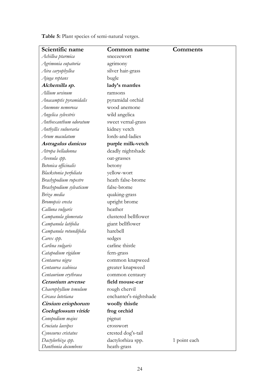**Table 5:** Plant species of semi-natural verges.

| Scientific name         | Common name            | <b>Comments</b> |
|-------------------------|------------------------|-----------------|
| Achillea ptarmica       | sneezewort             |                 |
| Agrimonia eupatoria     | agrimony               |                 |
| Aira caryophyllea       | silver hair-grass      |                 |
| Ajuga reptans           | bugle                  |                 |
| Alchemilla sp.          | lady's mantles         |                 |
| Allium ursinum          | ramsons                |                 |
| Anacamptis pyramidalis  | pyramidal orchid       |                 |
| Anemone nemorosa        | wood anemone           |                 |
| Angelica sylvestris     | wild angelica          |                 |
| Anthoxanthum odoratum   | sweet vernal-grass     |                 |
| Anthyllis vulneraria    | kidney vetch           |                 |
| Arum maculatum          | lords-and-ladies       |                 |
| Astragalus danicus      | purple milk-vetch      |                 |
| Atropa belladonna       | deadly nightshade      |                 |
| Avenula spp.            | oat-grasses            |                 |
| Betonica officinalis    | betony                 |                 |
| Blackstonia perfoliata  | yellow-wort            |                 |
| Brachypodium rupestre   | heath false-brome      |                 |
| Brachypodium sylvaticum | false-brome            |                 |
| Briza media             | quaking-grass          |                 |
| Bromopsis erecta        | upright brome          |                 |
| Calluna vulgaris        | heather                |                 |
| Campanula glomerata     | clustered bellflower   |                 |
| Campanula latifolia     | giant bellflower       |                 |
| Campanula rotundifolia  | harebell               |                 |
| Carex spp.              | sedges                 |                 |
| Carlina vulgaris        | carline thistle        |                 |
| Catapodium rigidum      | fern-grass             |                 |
| Centaurea nigra         | common knapweed        |                 |
| Centaurea scabiosa      | greater knapweed       |                 |
| Centaurium erythraea    | common centaury        |                 |
| Cerastium arvense       | field mouse-ear        |                 |
| Chaerophyllum temulum   | rough chervil          |                 |
| Circaea lutetiana       | enchanter's-nightshade |                 |
| Cirsium eriophorum      | woolly thistle         |                 |
| Coeloglossum viride     | frog orchid            |                 |
| Conopodium majus        | pignut                 |                 |
| Cruciata laevipes       | crosswort              |                 |
| Cynosurus cristatus     | crested dog's-tail     |                 |
| Dactylorhiza spp.       | dactylorhiza spp.      | 1 point each    |
| Danthonia decumbens     | heath-grass            |                 |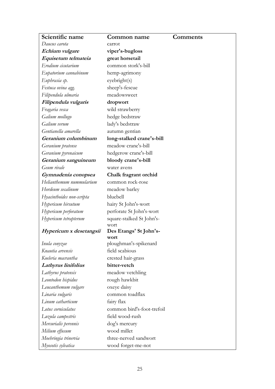| Scientific name           | Common name                   | Comments |
|---------------------------|-------------------------------|----------|
| Daucus carota             | carrot                        |          |
| Echium vulgare            | viper's-bugloss               |          |
| Equisetum telmateia       | great horsetail               |          |
| Erodium cicutarium        | common stork's-bill           |          |
| Eupatorium cannabinum     | hemp-agrimony                 |          |
| Euphrasia sp.             | eyebright(s)                  |          |
| Festuca ovina agg.        | sheep's-fescue                |          |
| Filipendula ulmaria       | meadowsweet                   |          |
| Filipendula vulgaris      | dropwort                      |          |
| Fragaria vesca            | wild strawberry               |          |
| Galium mollugo            | hedge bedstraw                |          |
| Galium verum              | lady's bedstraw               |          |
| Gentianella amarella      | autumn gentian                |          |
| Geranium columbinum       | long-stalked crane's-bill     |          |
| Geranium pratense         | meadow crane's-bill           |          |
| Geranium pyrenaicum       | hedgerow crane's-bill         |          |
| Geranium sanguineum       | bloody crane's-bill           |          |
| Geum rivale               | water avens                   |          |
| Gymnadenia conopsea       | Chalk fragrant orchid         |          |
| Helianthemum nummularium  | common rock-rose              |          |
| Hordeum secalinum         | meadow barley                 |          |
| Hyacinthoides non-scripta | bluebell                      |          |
| Hypericum hirsutum        | hairy St John's-wort          |          |
| Hypericum perforatum      | perforate St John's-wort      |          |
| Hypericum tetrapterum     | square-stalked St John's-     |          |
|                           | wort                          |          |
| Hypericum x desetangsii   | Des Etangs' St John's-        |          |
| Inula conyzae             | wort<br>ploughman's-spikenard |          |
| Knautia arvensis          | field scabious                |          |
| Koeleria macrantha        | crested hair-grass            |          |
| Lathyrus linifolius       | bitter-vetch                  |          |
| Lathyrus pratensis        | meadow vetchling              |          |
| Leontodon hispidus        | rough hawkbit                 |          |
| Leucanthemum vulgare      | oxeye daisy                   |          |
| Linaria vulgaris          | common toadflax               |          |
| Linum catharticum         | fairy flax                    |          |
| Lotus corniculatus        | common bird's-foot-trefoil    |          |
| Luzula campestris         | field wood-rush               |          |
| Mercurialis perennis      | dog's mercury                 |          |
| Milium effusum            | wood millet                   |          |
| Moehringia trinervia      | three-nerved sandwort         |          |
| Myosotis sylvatica        | wood forget-me-not            |          |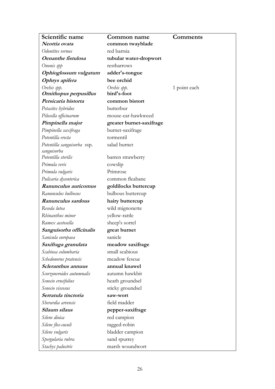| Scientific name                            | Common name              | <b>Comments</b> |
|--------------------------------------------|--------------------------|-----------------|
| Neottia ovata                              | common twayblade         |                 |
| Odontites vernus                           | red bartsia              |                 |
| Oenanthe fistulosa                         | tubular water-dropwort   |                 |
| Ononis spp                                 | restharrows              |                 |
| Ophioglossum vulgatum                      | adder's-tongue           |                 |
| Ophrys apifera                             | bee orchid               |                 |
| Orchis spp.                                | Orchis spp.              | 1 point each    |
| Ornithopus perpusillus                     | bird's-foot              |                 |
| Persicaria bistorta                        | common bistort           |                 |
| Petasites hybridus                         | butterbur                |                 |
| Pilosella officinarum                      | mouse-ear-hawkweed       |                 |
| Pimpinella major                           | greater burnet-saxifrage |                 |
| Pimpinella saxifraga                       | burnet-saxifrage         |                 |
| Potentilla erecta                          | tormentil                |                 |
| Potentilla sanguisorba ssp.<br>sanguisorba | salad burnet             |                 |
| Potentilla sterilis                        | barren strawberry        |                 |
| Primula veris                              | cowslip                  |                 |
| Primula vulgaris                           | Primrose                 |                 |
| Pulicaria dysenterica                      | common fleabane          |                 |
| Ranunculus auricomus                       | goldilocks buttercup     |                 |
| Ranunculus bulbosus                        | bulbous buttercup        |                 |
| Ranunculus sardous                         | hairy buttercup          |                 |
| Reseda lutea                               | wild mignonette          |                 |
| Rhinanthus minor                           | yellow-rattle            |                 |
| Rumex acetosella                           | sheep's sorrel           |                 |
| Sanguisorba officinalis                    | great burnet             |                 |
| Sanicula europaea                          | sanicle                  |                 |
| Saxifraga granulata                        | meadow saxifrage         |                 |
| Scabiosa columbaria                        | small scabious           |                 |
| Schedonorus pratensis                      | meadow fescue            |                 |
| Scleranthus annuus                         | annual knawel            |                 |
| Scorzoneroides autumnalis                  | autumn hawkbit           |                 |
| Senecio erucifolius                        | heath groundsel          |                 |
| Senecio viscosus                           | sticky groundsel         |                 |
| Serratula tinctoria                        | saw-wort                 |                 |
| Sherardia arvensis                         | field madder             |                 |
| Silaum silaus                              | pepper-saxifrage         |                 |
| Silene dioica                              | red campion              |                 |
| Silene flos-cuculi                         | ragged-robin             |                 |
| Silene vulgaris                            | bladder campion          |                 |
| Spergularia rubra                          | sand spurrey             |                 |
| Stachys palustris                          | marsh woundwort          |                 |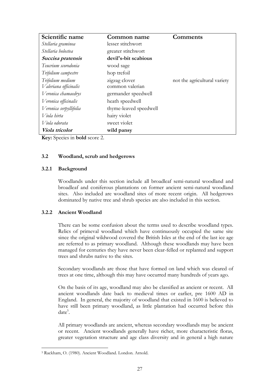| Scientific name        | Common name            | Comments                     |
|------------------------|------------------------|------------------------------|
| Stellaria graminea     | lesser stitchwort      |                              |
| Stellaria holostea     | greater stitchwort     |                              |
| Succisa pratensis      | devil's-bit scabious   |                              |
| Teucrium scorodonia    | wood sage              |                              |
| Trifolium campestre    | hop trefoil            |                              |
| Trifolium medium       | zigzag clover          | not the agricultural variety |
| Valeriana officinalis  | common valerian        |                              |
| Veronica chamaedrys    | germander speedwell    |                              |
| Veronica officinalis   | heath speedwell        |                              |
| Veronica serpyllifolia | thyme-leaved speedwell |                              |
| Viola hirta            | hairy violet           |                              |
| Viola odorata          | sweet violet           |                              |
| Viola tricolor         | wild pansy             |                              |

**Key:** Species in **bold** score 2.

### **3.2 Woodland, scrub and hedgerows**

### **3.2.1 Background**

Woodlands under this section include all broadleaf semi-natural woodland and broadleaf and coniferous plantations on former ancient semi-natural woodland sites. Also included are woodland sites of more recent origin. All hedgerows dominated by native tree and shrub species are also included in this section.

#### **3.2.2 Ancient Woodland**

There can be some confusion about the terms used to describe woodland types. Relics of primeval woodland which have continuously occupied the same site since the original wildwood covered the British Isles at the end of the last ice age are referred to as primary woodland. Although these woodlands may have been managed for centuries they have never been clear-felled or replanted and support trees and shrubs native to the sites.

Secondary woodlands are those that have formed on land which was cleared of trees at one time, although this may have occurred many hundreds of years ago.

On the basis of its age, woodland may also be classified as ancient or recent. All ancient woodlands date back to medieval times or earlier, pre 1600 AD in England. In general, the majority of woodland that existed in 1600 is believed to have still been primary woodland, as little plantation had occurred before this  $date^5$ .

All primary woodlands are ancient, whereas secondary woodlands may be ancient or recent. Ancient woodlands generally have richer, more characteristic floras, greater vegetation structure and age class diversity and in general a high nature

<sup>1</sup> <sup>5</sup> Rackham, O. (1980). Ancient Woodland. London. Arnold.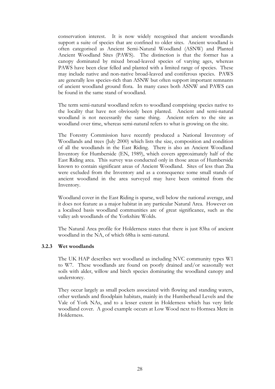conservation interest. It is now widely recognised that ancient woodlands support a suite of species that are confined to older sites. Ancient woodland is often categorised as Ancient Semi-Natural Woodland (ASNW) and Planted Ancient Woodland Sites (PAWS). The distinction is that the former has a canopy dominated by mixed broad-leaved species of varying ages, whereas PAWS have been clear felled and planted with a limited range of species. These may include native and non-native broad-leaved and coniferous species. PAWS are generally less species-rich than ASNW but often support important remnants of ancient woodland ground flora. In many cases both ASNW and PAWS can be found in the same stand of woodland.

The term semi-natural woodland refers to woodland comprising species native to the locality that have not obviously been planted. Ancient and semi-natural woodland is not necessarily the same thing. Ancient refers to the site as woodland over time, whereas semi-natural refers to what is growing on the site.

The Forestry Commission have recently produced a National Inventory of Woodlands and trees (July 2000) which lists the size, composition and condition of all the woodlands in the East Riding. There is also an Ancient Woodland Inventory for Humberside (EN, 1989), which covers approximately half of the East Riding area. This survey was conducted only in those areas of Humberside known to contain significant areas of Ancient Woodland. Sites of less than 2ha were excluded from the Inventory and as a consequence some small stands of ancient woodland in the area surveyed may have been omitted from the Inventory.

Woodland cover in the East Riding is sparse, well below the national average, and it does not feature as a major habitat in any particular Natural Area. However on a localised basis woodland communities are of great significance, such as the valley ash woodlands of the Yorkshire Wolds.

The Natural Area profile for Holderness states that there is just 83ha of ancient woodland in the NA, of which 68ha is semi-natural.

#### **3.2.3 Wet woodlands**

The UK HAP describes wet woodland as including NVC community types W1 to W7. These woodlands are found on poorly drained and/or seasonally wet soils with alder, willow and birch species dominating the woodland canopy and understorey.

They occur largely as small pockets associated with flowing and standing waters, other wetlands and floodplain habitats, mainly in the Humberhead Levels and the Vale of York NAs, and to a lesser extent in Holderness which has very little woodland cover. A good example occurs at Low Wood next to Hornsea Mere in Holderness.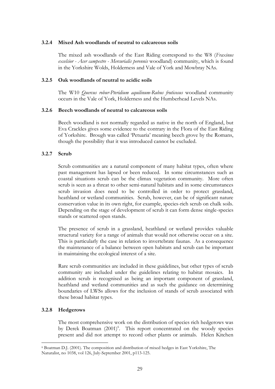### **3.2.4 Mixed Ash woodlands of neutral to calcareous soils**

The mixed ash woodlands of the East Riding correspond to the W8 (*Fraxinus excelsior - Acer campestre - Mercurialis perennis* woodland) community, which is found in the Yorkshire Wolds, Holderness and Vale of York and Mowbray NAs.

#### **3.2.5 Oak woodlands of neutral to acidic soils**

The W10 *Quercus robur-Pteridium aquilinum-Rubus fruticosus* woodland community occurs in the Vale of York, Holderness and the Humberhead Levels NAs.

### **3.2.6 Beech woodlands of neutral to calcareous soils**

Beech woodland is not normally regarded as native in the north of England, but Eva Crackles gives some evidence to the contrary in the Flora of the East Riding of Yorkshire. Brough was called 'Petuaria' meaning beech grove by the Romans, though the possibility that it was introduced cannot be excluded.

### **3.2.7 Scrub**

Scrub communities are a natural component of many habitat types, often where past management has lapsed or been reduced. In some circumstances such as coastal situations scrub can be the climax vegetation community. More often scrub is seen as a threat to other semi-natural habitats and in some circumstances scrub invasion does need to be controlled in order to protect grassland, heathland or wetland communities. Scrub, however, can be of significant nature conservation value in its own right, for example, species-rich scrub on chalk soils. Depending on the stage of development of scrub it can form dense single-species stands or scattered open stands.

The presence of scrub in a grassland, heathland or wetland provides valuable structural variety for a range of animals that would not otherwise occur on a site. This is particularly the case in relation to invertebrate faunas. As a consequence the maintenance of a balance between open habitats and scrub can be important in maintaining the ecological interest of a site.

Rare scrub communities are included in these guidelines, but other types of scrub community are included under the guidelines relating to habitat mosaics. In addition scrub is recognised as being an important component of grassland, heathland and wetland communities and as such the guidance on determining boundaries of LWSs allows for the inclusion of stands of scrub associated with these broad habitat types.

### **3.2.8 Hedgerows**

<u>.</u>

The most comprehensive work on the distribution of species rich hedgerows was by Derek Boatman (2001)<sup>6</sup>. This report concentrated on the woody species present and did not attempt to record other plants or animals. Helen Kitchen

<sup>6</sup> Boatman D.J. (2001). The composition and distribution of mixed hedges in East Yorkshire, The Naturalist, no 1038, vol 126, July-September 2001, p113-125.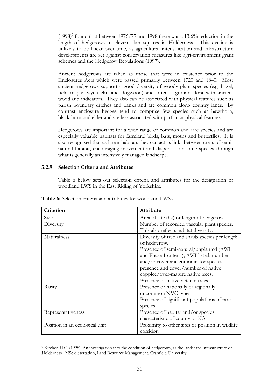$(1998)^7$  found that between 1976/77 and 1998 there was a 13.6% reduction in the length of hedgerows in eleven 1km squares in Holderness. This decline is unlikely to be linear over time, as agricultural intensification and infrastructure developments are set against conservation measures like agri-environment grant schemes and the Hedgerow Regulations (1997).

Ancient hedgerows are taken as those that were in existence prior to the Enclosures Acts which were passed primarily between 1720 and 1840. Most ancient hedgerows support a good diversity of woody plant species (e.g. hazel, field maple, wych elm and dogwood) and often a ground flora with ancient woodland indicators. They also can be associated with physical features such as parish boundary ditches and banks and are common along country lanes. By contrast enclosure hedges tend to comprise few species such as hawthorn, blackthorn and elder and are less associated with particular physical features.

Hedgerows are important for a wide range of common and rare species and are especially valuable habitats for farmland birds, bats, moths and butterflies. It is also recognised that as linear habitats they can act as links between areas of seminatural habitat, encouraging movement and dispersal for some species through what is generally an intensively managed landscape.

### **3.2.9 Selection Criteria and Attributes**

Table 6 below sets out selection criteria and attributes for the designation of woodland LWS in the East Riding of Yorkshire.

| Criterion                      | Attribute                                        |
|--------------------------------|--------------------------------------------------|
| Size                           | Area of site (ha) or length of hedgerow          |
| Diversity                      | Number of recorded vascular plant species.       |
|                                | This also reflects habitat diversity.            |
| Naturalness                    | Diversity of tree and shrub species per length   |
|                                | of hedgerow.                                     |
|                                | Presence of semi-natural/unplanted (AWI          |
|                                | and Phase 1 criteria); AWI listed; number        |
|                                | and/or cover ancient indicator species;          |
|                                | presence and cover/number of native              |
|                                | coppice/over-mature native trees.                |
|                                | Presence of native veteran trees.                |
| Rarity                         | Presence of nationally or regionally             |
|                                | uncommon NVC types.                              |
|                                | Presence of significant populations of rare      |
|                                | species                                          |
| Representativeness             | Presence of habitat and/or species               |
|                                | characteristic of county or NA                   |
| Position in an ecological unit | Proximity to other sites or position in wildlife |
|                                | corridor.                                        |

**Table 6:** Selection criteria and attributes for woodland LWSs.

<sup>&</sup>lt;u>.</u> <sup>7</sup> Kitchen H.C. (1998). An investigation into the condition of hedgerows, as the landscape infrastructure of Holderness. MSc dissertation, Land Resource Management, Cranfield University.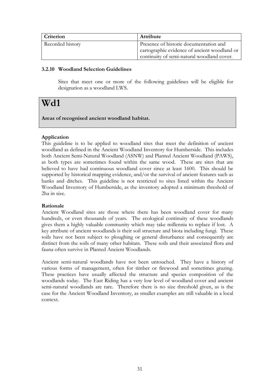| Criterion        | <b>Attribute</b>                             |
|------------------|----------------------------------------------|
| Recorded history | Presence of historic documentation and       |
|                  | cartographic evidence of ancient woodland or |
|                  | continuity of semi-natural woodland cover.   |

### **3.2.10 Woodland Selection Guidelines**

Sites that meet one or more of the following guidelines will be eligible for designation as a woodland LWS.

# **Wd1**

# **Areas of recognised ancient woodland habitat.**

# **Application**

This guideline is to be applied to woodland sites that meet the definition of ancient woodland as defined in the Ancient Woodland Inventory for Humberside. This includes both Ancient Semi-Natural Woodland (ASNW) and Planted Ancient Woodland (PAWS), as both types are sometimes found within the same wood. These are sites that are believed to have had continuous woodland cover since at least 1600. This should be supported by historical mapping evidence, and/or the survival of ancient features such as banks and ditches. This guideline is not restricted to sites listed within the Ancient Woodland Inventory of Humberside, as the inventory adopted a minimum threshold of 2ha in size.

### **Rationale**

Ancient Woodland sites are those where there has been woodland cover for many hundreds, or even thousands of years. The ecological continuity of these woodlands gives them a highly valuable community which may take millennia to replace if lost. A key attribute of ancient woodlands is their soil structure and biota including fungi. These soils have not been subject to ploughing or general disturbance and consequently are distinct from the soils of many other habitats. These soils and their associated flora and fauna often survive in Planted Ancient Woodlands.

Ancient semi-natural woodlands have not been untouched. They have a history of various forms of management, often for timber or firewood and sometimes grazing. These practices have usually affected the structure and species composition of the woodlands today. The East Riding has a very low level of woodland cover and ancient semi-natural woodlands are rare. Therefore there is no size threshold given, as is the case for the Ancient Woodland Inventory, as smaller examples are still valuable in a local context.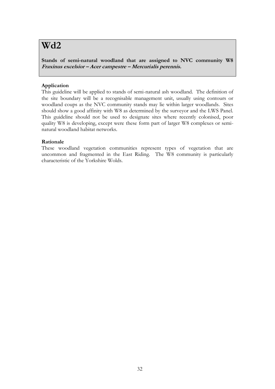# **Wd2**

**Stands of semi-natural woodland that are assigned to NVC community W8 Fraxinus excelsior – Acer campestre – Mercurialis perennis.**

# **Application**

This guideline will be applied to stands of semi-natural ash woodland. The definition of the site boundary will be a recognisable management unit, usually using contours or woodland coups as the NVC community stands may lie within larger woodlands. Sites should show a good affinity with W8 as determined by the surveyor and the LWS Panel. This guideline should not be used to designate sites where recently colonised, poor quality W8 is developing, except were these form part of larger W8 complexes or seminatural woodland habitat networks.

### **Rationale**

These woodland vegetation communities represent types of vegetation that are uncommon and fragmented in the East Riding. The W8 community is particularly characteristic of the Yorkshire Wolds.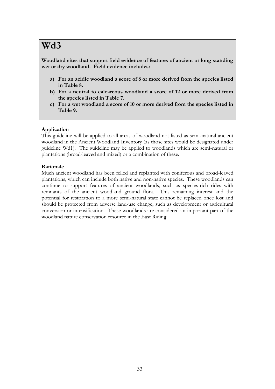**Woodland sites that support field evidence of features of ancient or long standing wet or dry woodland. Field evidence includes:**

- **a) For an acidic woodland a score of 8 or more derived from the species listed in Table 8.**
- **b) For a neutral to calcareous woodland a score of 12 or more derived from the species listed in Table 7.**
- **c) For a wet woodland a score of 10 or more derived from the species listed in Table 9.**

### **Application**

This guideline will be applied to all areas of woodland not listed as semi-natural ancient woodland in the Ancient Woodland Inventory (as those sites would be designated under guideline Wd1). The guideline may be applied to woodlands which are semi-natural or plantations (broad-leaved and mixed) or a combination of these.

#### **Rationale**

Much ancient woodland has been felled and replanted with coniferous and broad-leaved plantations, which can include both native and non-native species. These woodlands can continue to support features of ancient woodlands, such as species-rich rides with remnants of the ancient woodland ground flora. This remaining interest and the potential for restoration to a more semi-natural state cannot be replaced once lost and should be protected from adverse land-use change, such as development or agricultural conversion or intensification. These woodlands are considered an important part of the woodland nature conservation resource in the East Riding.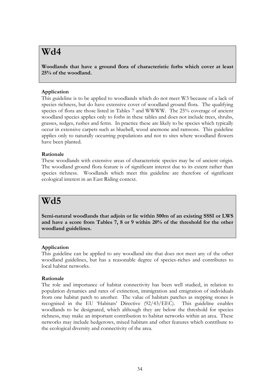**Woodlands that have a ground flora of characteristic forbs which cover at least 25% of the woodland.**

## **Application**

This guideline is to be applied to woodlands which do not meet W3 because of a lack of species richness, but do have extensive cover of woodland ground flora. The qualifying species of flora are those listed in Tables 7 and WWWW. The 25% coverage of ancient woodland species applies only to forbs in these tables and does not include trees, shrubs, grasses, sedges, rushes and ferns. In practice these are likely to be species which typically occur in extensive carpets such as bluebell, wood anemone and ramsons. This guideline applies only to naturally occurring populations and not to sites where woodland flowers have been planted.

#### **Rationale**

These woodlands with extensive areas of characteristic species may be of ancient origin. The woodland ground flora feature is of significant interest due to its extent rather than species richness. Woodlands which meet this guideline are therefore of significant ecological interest in an East Riding context.

# **Wd5**

**Semi-natural woodlands that adjoin or lie within 500m of an existing SSSI or LWS and have a score from Tables 7, 8 or 9 within 20% of the threshold for the other woodland guidelines.**

#### **Application**

This guideline can be applied to any woodland site that does not meet any of the other woodland guidelines, but has a reasonable degree of species-riches and contributes to local habitat networks.

#### **Rationale**

The role and importance of habitat connectivity has been well studied, in relation to population dynamics and rates of extinction, immigration and emigration of individuals from one habitat patch to another. The value of habitats patches as stepping stones is recognised in the EU 'Habitats' Directive (92/43/EEC). This guideline enables woodlands to be designated, which although they are below the threshold for species richness, may make an important contribution to habitat networks within an area. These networks may include hedgerows, mixed habitats and other features which contribute to the ecological diversity and connectivity of the area.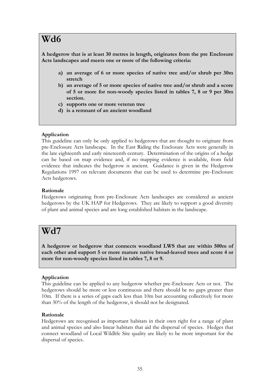**A hedgerow that is at least 30 metres in length, originates from the pre Enclosure Acts landscapes and meets one or more of the following criteria:**

- **a) an average of 6 or more species of native tree and/or shrub per 30m stretch**
- **b) an average of 5 or more species of native tree and/or shrub and a score of 5 or more for non-woody species listed in tables 7, 8 or 9 per 30m section.**
- **c) supports one or more veteran tree**
- **d) is a remnant of an ancient woodland**

# **Application**

This guideline can only be only applied to hedgerows that are thought to originate from pre-Enclosure Acts landscape. In the East Riding the Enclosure Acts were generally in the late eighteenth and early nineteenth century. Determination of the origins of a hedge can be based on map evidence and, if no mapping evidence is available, from field evidence that indicates the hedgerow is ancient. Guidance is given in the Hedgerow Regulations 1997 on relevant documents that can be used to determine pre-Enclosure Acts hedgerows.

# **Rationale**

Hedgerows originating from pre-Enclosure Acts landscapes are considered as ancient hedgerows by the UK HAP for Hedgerows. They are likely to support a good diversity of plant and animal species and are long established habitats in the landscape.

# **Wd7**

**A hedgerow or hedgerow that connects woodland LWS that are within 500m of each other and support 5 or more mature native broad-leaved trees and score 4 or more for non-woody species listed in tables 7, 8 or 9.**

# **Application**

This guideline can be applied to any hedgerow whether pre-Enclosure Acts or not. The hedgerows should be more or less continuous and there should be no gaps greater than 10m. If there is a series of gaps each less than 10m but accounting collectively for more than 30% of the length of the hedgerow, it should not be designated.

# **Rationale**

Hedgerows are recognised as important habitats in their own right for a range of plant and animal species and also linear habitats that aid the dispersal of species. Hedges that connect woodland of Local Wildlife Site quality are likely to be more important for the dispersal of species.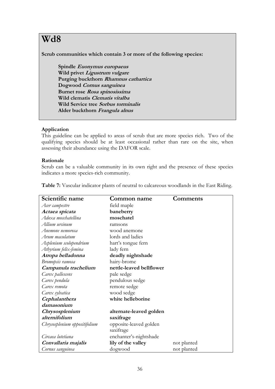**Scrub communities which contain 3 or more of the following species:**

**Spindle Euonymus europaeus Wild privet Ligustrum vulgare Purging buckthorn Rhamnus cathartica Dogwood Cornus sanguinea Burnet rose Rosa spinosissima Wild clematis Clematis vitalba Wild Service tree Sorbus torminalis Alder buckthorn Frangula alnus**

### **Application**

This guideline can be applied to areas of scrub that are more species rich. Two of the qualifying species should be at least occasional rather than rare on the site, when assessing their abundance using the DAFOR scale.

### **Rationale**

Scrub can be a valuable community in its own right and the presence of these species indicates a more species-rich community.

| Scientific name               | Common name              | Comments    |
|-------------------------------|--------------------------|-------------|
| Acer campestre                | field maple              |             |
| Actaea spicata                | baneberry                |             |
| Adoxa moschatellina           | moschatel                |             |
| Allium ursinum                | ramsons                  |             |
| Anemone nemorosa              | wood anemone             |             |
| Arum maculatum                | lords and ladies         |             |
| Asplenium scolopendrium       | hart's tongue fern       |             |
| Athyrium felix-femina         | lady fern                |             |
| Atropa belladonna             | deadly nightshade        |             |
| Bromopsis ramosa              | hairy-brome              |             |
| Campanula trachelium          | nettle-leaved bellflower |             |
| Carex pallescens              | pale sedge               |             |
| Carex pendula                 | pendulous sedge          |             |
| Carex remota                  | remote sedge             |             |
| Carex sylvatica               | wood sedge               |             |
| Cephalanthera                 | white helleborine        |             |
| damasonium                    |                          |             |
| Chrysosplenium                | alternate-leaved golden  |             |
| alternifolium                 | saxifrage                |             |
| Chrysosplenium oppositifolium | opposite-leaved golden   |             |
|                               | saxifrage                |             |
| Circaea lutetiana             | enchanter's-nightshade   |             |
| Convallaria majalis           | lily of the valley       | not planted |
| Cornus sanguinea              | dogwood                  | not planted |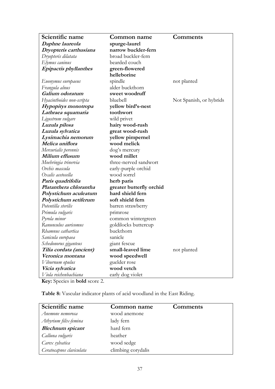| Scientific name           | Common name                      | <b>Comments</b>         |  |  |  |
|---------------------------|----------------------------------|-------------------------|--|--|--|
| Daphne laureola           | spurge-laurel                    |                         |  |  |  |
| Dryopteris carthusiana    | narrow buckler-fern              |                         |  |  |  |
| Dryopteris dilatata       | broad buckler-fern               |                         |  |  |  |
| Elymus caninus            | bearded couch                    |                         |  |  |  |
| Epipactis phyllanthes     | green-flowered                   |                         |  |  |  |
|                           | helleborine                      |                         |  |  |  |
| Euonymus europaeus        | spindle                          | not planted             |  |  |  |
| Frangula alnus            | alder buckthorn                  |                         |  |  |  |
| Galium odoratum           | sweet woodruff                   |                         |  |  |  |
| Hyacinthoides non-scripta | bluebell                         | Not Spanish, or hybrids |  |  |  |
| Hypopitys monotropa       | yellow bird's-nest               |                         |  |  |  |
| Lathraea squamaria        | toothwort                        |                         |  |  |  |
| Ligustrum vulgare         | wild privet                      |                         |  |  |  |
| Luzula pilosa             | hairy wood-rush                  |                         |  |  |  |
| Luzula sylvatica          | great wood-rush                  |                         |  |  |  |
| Lysimachia nemorum        | yellow pimpernel                 |                         |  |  |  |
| Melica uniflora           | wood melick                      |                         |  |  |  |
| Mercurialis perennis      | dog's mercury                    |                         |  |  |  |
| Milium effusum            | wood millet                      |                         |  |  |  |
| Moehringia trinervia      | three-nerved sandwort            |                         |  |  |  |
| Orchis mascula            | early-purple orchid              |                         |  |  |  |
| Oxalis acetosella         | wood sorrel                      |                         |  |  |  |
| Paris quadrifolia         | herb paris                       |                         |  |  |  |
| Platanthera chlorantha    | greater butterfly orchid         |                         |  |  |  |
| Polystichum aculeatum     | hard shield fern                 |                         |  |  |  |
| Polystichum setiferum     | soft shield fern                 |                         |  |  |  |
| Potentilla sterilis       | barren strawberry                |                         |  |  |  |
| Primula vulgaris          | primrose                         |                         |  |  |  |
| Pyrola minor              | common wintergreen               |                         |  |  |  |
| Ranunculus auricomus      | goldilocks buttercup             |                         |  |  |  |
| Rhamnus cathartica        | buckthorn                        |                         |  |  |  |
| Sanicula europaea         | sanicle                          |                         |  |  |  |
| Schedonorus giganteus     | giant fescue                     |                         |  |  |  |
| Tilia cordata (ancient)   | small-leaved lime<br>not planted |                         |  |  |  |
| Veronica montana          | wood speedwell                   |                         |  |  |  |
| Viburnum opulus           | guelder rose                     |                         |  |  |  |
| Vicia sylvatica           | wood vetch                       |                         |  |  |  |
| Viola reichenbachiana     | early dog violet                 |                         |  |  |  |

**Table 8:** Vascular indicator plants of acid woodland in the East Riding.

| Scientific name          | Common name        | <b>Comments</b> |
|--------------------------|--------------------|-----------------|
| Anemone nemorosa         | wood anemone       |                 |
| Athyrium filix-femina    | lady fern          |                 |
| <b>Blechnum</b> spicant  | hard fern          |                 |
| Calluna vulgaris         | heather            |                 |
| Carex sylvatica          | wood sedge         |                 |
| Ceratocapnos claviculata | climbing corydalis |                 |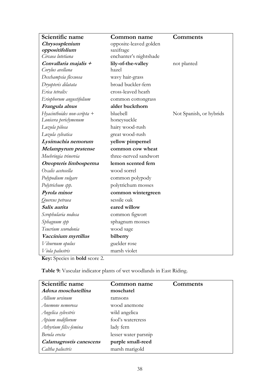| Scientific name                 | Common name            | <b>Comments</b>         |  |  |
|---------------------------------|------------------------|-------------------------|--|--|
| Chrysosplenium                  | opposite-leaved golden |                         |  |  |
| oppositifolium                  | saxifrage              |                         |  |  |
| Circaea lutetiana               | enchanter's nightshade |                         |  |  |
| Convallaria majalis +           | lily-of-the-valley     | not planted             |  |  |
| Corylus avellana                | hazel                  |                         |  |  |
| Deschampsia flexuosa            | wavy hair-grass        |                         |  |  |
| Dryopteris dilatata             | broad buckler-fern     |                         |  |  |
| Erica tetralix                  | cross-leaved heath     |                         |  |  |
| Eriophorum angustifolium        | common cottongrass     |                         |  |  |
| Frangula alnus                  | alder buckthorn        |                         |  |  |
| $Hyacinthoides$ non-scripta $+$ | bluebell               | Not Spanish, or hybrids |  |  |
| Lonicera periclymenum           | honeysuckle            |                         |  |  |
| Luzula pilosa                   | hairy wood-rush        |                         |  |  |
| Luzula sylvatica                | great wood-rush        |                         |  |  |
| Lysimachia nemorum              | yellow pimpernel       |                         |  |  |
| Melampyrum pratense             | common cow wheat       |                         |  |  |
| Moehringia trinervia            | three-nerved sandwort  |                         |  |  |
| Oreopteris limbosperma          | lemon scented fern     |                         |  |  |
| Oxalis acetosella               | wood sorrel            |                         |  |  |
| Polypodium vulgare              | common polypody        |                         |  |  |
| Polytrichum spp.                | polytrichum mosses     |                         |  |  |
| Pyrola minor                    | common wintergreen     |                         |  |  |
| Quercus petraea                 | sessile oak            |                         |  |  |
| Salix aurita                    | eared willow           |                         |  |  |
| Scrophularia nodosa             | common figwort         |                         |  |  |
| Sphagnum spp                    | sphagnum mosses        |                         |  |  |
| Teucrium scorodonia             | wood sage              |                         |  |  |
| Vaccinium myrtillus             | bilberry               |                         |  |  |
| Viburnum opulus                 | guelder rose           |                         |  |  |
| Viola palustris                 | marsh violet           |                         |  |  |

**Table 9:** Vascular indicator plants of wet woodlands in East Riding.

| Scientific name<br>Adoxa moschatellina | Common name<br>moschatel | Comments |
|----------------------------------------|--------------------------|----------|
| Allium ursinum                         | ramsons                  |          |
| Anemone nemorosa                       | wood anemone             |          |
| Angelica sylvestris                    | wild angelica            |          |
| Apium nodiflorum                       | fool's watercress        |          |
| Athyrium filix-femina                  | lady fern                |          |
| Berula erecta                          | lesser water parsnip     |          |
| Calamagrostis canescens                | purple small-reed        |          |
| Caltha palustris                       | marsh marigold           |          |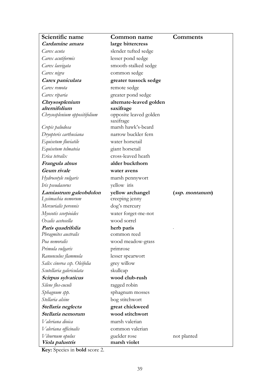| Scientific name                              | <b>Common name</b>                   | Comments               |  |  |
|----------------------------------------------|--------------------------------------|------------------------|--|--|
| Cardamine amara                              | large bittercress                    |                        |  |  |
| Carex acuta                                  | slender tufted sedge                 |                        |  |  |
| Carex acutiformis                            | lesser pond sedge                    |                        |  |  |
| Carex laevigata                              | smooth-stalked sedge                 |                        |  |  |
| Carex nigra                                  | common sedge                         |                        |  |  |
| Carex paniculata                             | greater tussock sedge                |                        |  |  |
| Carex remota                                 | remote sedge                         |                        |  |  |
| Carex riparia                                | greater pond sedge                   |                        |  |  |
| Chrysosplenium                               | alternate-leaved golden              |                        |  |  |
| alternifolium                                | saxifrage                            |                        |  |  |
| Chrysosplenium oppositifolium                | opposite leaved golden               |                        |  |  |
| Crepis paludosa                              | saxifrage<br>marsh hawk's-beard      |                        |  |  |
| Dryopteris carthusiana                       | narrow buckler fern                  |                        |  |  |
| Equisetum fluviatile                         | water horsetail                      |                        |  |  |
| Equisetum telmateia                          | giant horsetail                      |                        |  |  |
| Erica tetralix                               | cross-leaved heath                   |                        |  |  |
| Frangula alnus                               | alder buckthorn                      |                        |  |  |
| Geum rivale                                  | water avens                          |                        |  |  |
| Hydrocotyle vulgaris                         | marsh pennywort                      |                        |  |  |
| Iris pseudacorus                             | yellow iris                          |                        |  |  |
|                                              |                                      |                        |  |  |
|                                              |                                      |                        |  |  |
| Lamiastrum galeobdolon                       | yellow archangel                     | <i>(ssp. montanum)</i> |  |  |
| Lysimachia nemorum                           | creeping jenny                       |                        |  |  |
| Mercurialis perennis<br>Myosotis scorpioides | dog's mercury<br>water forget-me-not |                        |  |  |
| Oxalis acetosella                            | wood sorrel                          |                        |  |  |
| Paris quadrifolia                            |                                      |                        |  |  |
| Phragmites australis                         | herb paris<br>common reed            |                        |  |  |
| Poa nemoralis                                | wood meadow-grass                    |                        |  |  |
| Primula vulgaris                             | primrose                             |                        |  |  |
| Ranunculus flammula                          | lesser spearwort                     |                        |  |  |
| Salix cinerea ssp. Oleifolia                 | grey willow                          |                        |  |  |
| Scutellaria galericulata                     | skullcap                             |                        |  |  |
| Scirpus sylvaticus                           | wood club-rush                       |                        |  |  |
| Silene flos-cuculi                           | ragged robin                         |                        |  |  |
| Sphagnum spp.                                | sphagnum mosses                      |                        |  |  |
| Stellaria alsine                             | bog stitchwort                       |                        |  |  |
| Stellaria neglecta                           | great chickweed                      |                        |  |  |
| Stellaria nemorum                            | wood stitchwort                      |                        |  |  |
| Valeriana dioica                             | marsh valerian                       |                        |  |  |
| Valeriana officinalis                        | common valerian                      |                        |  |  |
| Viburnum opulus<br>Viola palustris           | guelder rose<br>marsh violet         | not planted            |  |  |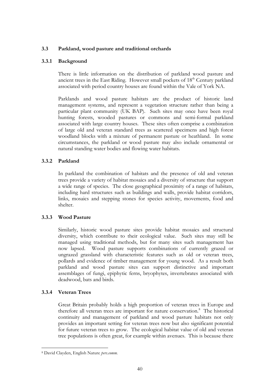### **3.3 Parkland, wood pasture and traditional orchards**

### **3.3.1 Background**

There is little information on the distribution of parkland wood pasture and ancient trees in the East Riding. However small pockets of  $18<sup>th</sup>$  Century parkland associated with period country houses are found within the Vale of York NA.

Parklands and wood pasture habitats are the product of historic land management systems, and represent a vegetation structure rather than being a particular plant community (UK BAP). Such sites may once have been royal hunting forests, wooded pastures or commons and semi-formal parkland associated with large country houses. These sites often comprise a combination of large old and veteran standard trees as scattered specimens and high forest woodland blocks with a mixture of permanent pasture or heathland. In some circumstances, the parkland or wood pasture may also include ornamental or natural standing water bodies and flowing water habitats.

### **3.3.2 Parkland**

In parkland the combination of habitats and the presence of old and veteran trees provide a variety of habitat mosaics and a diversity of structure that support a wide range of species. The close geographical proximity of a range of habitats, including hard structures such as buildings and walls, provide habitat corridors, links, mosaics and stepping stones for species activity, movements, food and shelter.

#### **3.3.3 Wood Pasture**

Similarly, historic wood pasture sites provide habitat mosaics and structural diversity, which contribute to their ecological value. Such sites may still be managed using traditional methods, but for many sites such management has now lapsed. Wood pasture supports combinations of currently grazed or ungrazed grassland with characteristic features such as old or veteran trees, pollards and evidence of timber management for young wood. As a result both parkland and wood pasture sites can support distinctive and important assemblages of fungi, epiphytic ferns, bryophytes, invertebrates associated with deadwood, bats and birds.

# **3.3.4 Veteran Trees**

Great Britain probably holds a high proportion of veteran trees in Europe and therefore all veteran trees are important for nature conservation.<sup>8</sup> The historical continuity and management of parkland and wood pasture habitats not only provides an important setting for veteran trees now but also significant potential for future veteran trees to grow. The ecological habitat value of old and veteran tree populations is often great, for example within avenues. This is because there

<sup>1</sup> <sup>8</sup> David Clayden, English Nature *pers.comm.*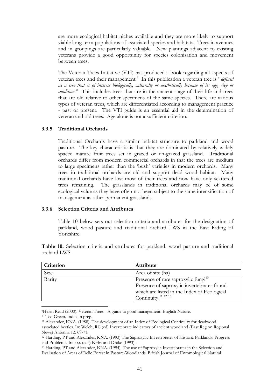are more ecological habitat niches available and they are more likely to support viable long-term populations of associated species and habitats. Trees in avenues and in groupings are particularly valuable. New plantings adjacent to existing veterans provide a good opportunity for species colonisation and movement between trees.

The Veteran Trees Initiative (VTI) has produced a book regarding all aspects of veteran trees and their management.<sup>9</sup> In this publication a veteran tree is "*defined as a tree that is of interest biologically, culturally or aesthetically because of its age, size or condition*." This includes trees that are in the ancient stage of their life and trees that are old relative to other specimens of the same species. There are various types of veteran trees, which are differentiated according to management practice - past or present. The VTI guide is an essential aid in the determination of veteran and old trees. Age alone is not a sufficient criterion.

#### **3.3.5 Traditional Orchards**

Traditional Orchards have a similar habitat structure to parkland and wood pasture. The key characteristic is that they are dominated by relatively widely spaced mature fruit trees set in grazed or un-grazed grassland. Traditional orchards differ from modern commercial orchards in that the trees are medium to large specimens rather than the 'bush' varieties in modern orchards. Many trees in traditional orchards are old and support dead wood habitat. Many traditional orchards have lost most of their trees and now have only scattered trees remaining. The grasslands in traditional orchards may be of some ecological value as they have often not been subject to the same intensification of management as other permanent grasslands.

#### **3.3.6 Selection Criteria and Attributes**

Table 10 below sets out selection criteria and attributes for the designation of parkland, wood pasture and traditional orchard LWS in the East Riding of Yorkshire.

**Table 10:** Selection criteria and attributes for parkland, wood pasture and traditional orchard LWS.

| Criterion | <b>Attribute</b>                                |
|-----------|-------------------------------------------------|
| Size      | Area of site (ha)                               |
| Rarity    | Presence of rare saproxylic fungi <sup>10</sup> |
|           | Presence of saproxylic invertebrates found      |
|           | which are listed in the Index of Ecological     |
|           | Continuity. <sup>11 12 13</sup>                 |

<sup>9</sup>Helen Read (2000). Veteran Trees - A guide to good management. English Nature.

<u>.</u>

<sup>10</sup> Ted Green. Index in prep.

<sup>11</sup> Alexander, KNA. (1988). The development of an Index of Ecological Continuity for deadwood associated beetles. In: Welch, RC (ed) Invertebrate indicators of ancient woodland (East Region Regional News) Antenna 12: 69-71.

<sup>12</sup> Harding, PT and Alexander, KNA. (1993) The Saproxylic Invertebrates of Historic Parklands: Progress and Problems. In: xxx (eds) Kirby and Drake (1993).

<sup>13</sup> Harding, PT and Alexander, KNA. (1994). The use of Saproxylic Invertebrates in the Selection and Evaluation of Areas of Relic Forest in Pasture-Woodlands. British Journal of Entomological Natural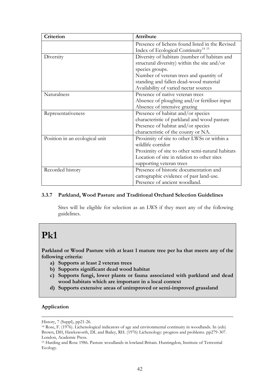| Criterion                      | Attribute                                        |
|--------------------------------|--------------------------------------------------|
|                                | Presence of lichens found listed in the Revised  |
|                                | Index of Ecological Continuity <sup>14 15</sup>  |
| Diversity                      | Diversity of habitats (number of habitats and    |
|                                | structural diversity) within the site and/or     |
|                                | species groups.                                  |
|                                | Number of veteran trees and quantity of          |
|                                | standing and fallen dead-wood material           |
|                                | Availability of varied nectar sources            |
| Naturalness                    | Presence of native veteran trees                 |
|                                | Absence of ploughing and/or fertiliser input     |
|                                | Absence of intensive grazing                     |
| Representativeness             | Presence of habitat and/or species               |
|                                | characteristic of parkland and wood pasture      |
|                                | Presence of habitat and/or species               |
|                                | characteristic of the county or NA.              |
| Position in an ecological unit | Proximity of site to other LWSs or within a      |
|                                | wildlife corridor                                |
|                                | Proximity of site to other semi-natural habitats |
|                                | Location of site in relation to other sites      |
|                                | supporting veteran trees                         |
| Recorded history               | Presence of historic documentation and           |
|                                | cartographic evidence of past land-use.          |
|                                | Presence of ancient woodland.                    |

### **3.3.7 Parkland, Wood Pasture and Traditional Orchard Selection Guidelines**

Sites will be eligible for selection as an LWS if they meet any of the following guidelines.

# **Pk1**

**Parkland or Wood Pasture with at least 1 mature tree per ha that meets any of the following criteria:** 

- **a) Supports at least 2 veteran trees**
- **b) Supports significant dead wood habitat**
- **c) Supports fungi, lower plants or fauna associated with parkland and dead wood habitats which are important in a local context**
- **d) Supports extensive areas of unimproved or semi-improved grassland**

### **Application**

1

History, 7 (Suppl), pp21-26.

<sup>14</sup> Rose, F. (1976). Lichenological indicators of age and environmental continuity in woodlands. In (eds) Brown, DH, Hawksworth, DL and Bailey, RH. (1976) Lichenology: progress and problems. pp279-307. London, Academic Press.

<sup>15</sup> Harding and Rose 1986. Pasture woodlands in lowland Britain. Huntingdon, Institute of Terrestrial Ecology.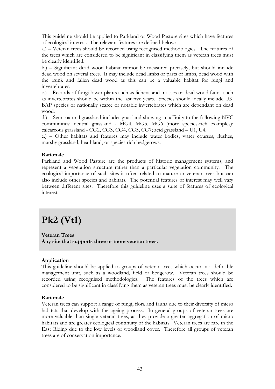This guideline should be applied to Parkland or Wood Pasture sites which have features of ecological interest. The relevant features are defined below:

a.) – Veteran trees should be recorded using recognised methodologies. The features of the trees which are considered to be significant in classifying them as veteran trees must be clearly identified.

b.) – Significant dead wood habitat cannot be measured precisely, but should include dead wood on several trees. It may include dead limbs or parts of limbs, dead wood with the trunk and fallen dead wood as this can be a valuable habitat for fungi and invertebrates.

c.) – Records of fungi lower plants such as lichens and mosses or dead wood fauna such as invertebrates should be within the last five years. Species should ideally include UK BAP species or nationally scarce or notable invertebrates which are dependant on dead wood.

d.) – Semi-natural grassland includes grassland showing an affinity to the following NVC communities: neutral grassland - MG4, MG5, MG6 (more species-rich examples); calcareous grassland - CG2, CG3, CG4, CG5, CG7; acid grassland – U1, U4.

e.) – Other habitats and features may include water bodies, water courses, flushes, marshy grassland, heathland, or species rich hedgerows.

#### **Rationale**

Parkland and Wood Pasture are the products of historic management systems, and represent a vegetation structure rather than a particular vegetation community. The ecological importance of such sites is often related to mature or veteran trees but can also include other species and habitats. The potential features of interest may well vary between different sites. Therefore this guideline uses a suite of features of ecological interest.

# **Pk2 (Vt1)**

**Veteran Trees Any site that supports three or more veteran trees.**

#### **Application**

This guideline should be applied to groups of veteran trees which occur in a definable management unit, such as a woodland, field or hedgerow. Veteran trees should be recorded using recognised methodologies. The features of the trees which are considered to be significant in classifying them as veteran trees must be clearly identified.

#### **Rationale**

Veteran trees can support a range of fungi, flora and fauna due to their diversity of micro habitats that develop with the ageing process. In general groups of veteran trees are more valuable than single veteran trees, as they provide a greater aggregation of micro habitats and are greater ecological continuity of the habitats. Veteran trees are rare in the East Riding due to the low levels of woodland cover. Therefore all groups of veteran trees are of conservation importance.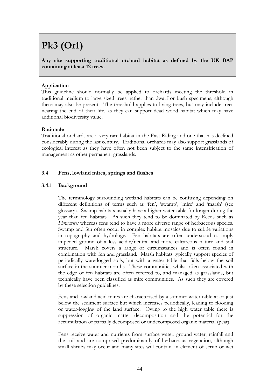# **Pk3 (Or1)**

**Any site supporting traditional orchard habitat as defined by the UK BAP containing at least 12 trees.**

### **Application**

This guideline should normally be applied to orchards meeting the threshold in traditional medium to large sized trees, rather than dwarf or bush specimens, although these may also be present. The threshold applies to living trees, but may include trees nearing the end of their life, as they can support dead wood habitat which may have additional biodiversity value.

#### **Rationale**

Traditional orchards are a very rare habitat in the East Riding and one that has declined considerably during the last century. Traditional orchards may also support grasslands of ecological interest as they have often not been subject to the same intensification of management as other permanent grasslands.

### **3.4 Fens, lowland mires, springs and flushes**

### **3.4.1 Background**

The terminology surrounding wetland habitats can be confusing depending on different definitions of terms such as 'fen', 'swamp', 'mire' and 'marsh' (see glossary). Swamp habitats usually have a higher water table for longer during the year than fen habitats. As such they tend to be dominated by Reeds such as *Phragmites* whereas fens tend to have a more diverse range of herbaceous species. Swamp and fen often occur in complex habitat mosaics due to subtle variations in topography and hydrology. Fen habitats are often understood to imply impeded ground of a less acidic/neutral and more calcareous nature and soil structure. Marsh covers a range of circumstances and is often found in combination with fen and grassland. Marsh habitats typically support species of periodically waterlogged soils, but with a water table that falls below the soil surface in the summer months. These communities whilst often associated with the edge of fen habitats are often referred to, and managed as grasslands, but technically have been classified as mire communities. As such they are covered by these selection guidelines.

Fens and lowland acid mires are characterised by a summer water table at or just below the sediment surface but which increases periodically, leading to flooding or water-logging of the land surface. Owing to the high water table there is suppression of organic matter decomposition and the potential for the accumulation of partially decomposed or undecomposed organic material (peat).

Fens receive water and nutrients from surface water, ground water, rainfall and the soil and are comprised predominantly of herbaceous vegetation, although small shrubs may occur and many sites will contain an element of scrub or wet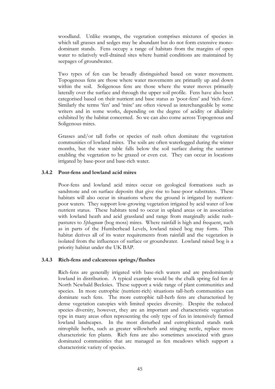woodland. Unlike swamps, the vegetation comprises mixtures of species in which tall grasses and sedges may be abundant but do not form extensive monodominant stands. Fens occupy a range of habitats from the margins of open water to relatively well-drained sites where humid conditions are maintained by seepages of groundwater.

Two types of fen can be broadly distinguished based on water movement. Topogenous fens are those where water movements are primarily up and down within the soil. Soligenous fens are those where the water moves primarily laterally over the surface and through the upper soil profile. Fens have also been categorised based on their nutrient and base status as 'poor-fens' and 'rich-fens'. Similarly the terms 'fen' and 'mire' are often viewed as interchangeable by some writers and in some works, depending on the degree of acidity or alkalinity exhibited by the habitat concerned. So we can also come across Topogenous and Soligenous mires.

Grasses and/or tall forbs or species of rush often dominate the vegetation communities of lowland mires. The soils are often waterlogged during the winter months, but the water table falls below the soil surface during the summer enabling the vegetation to be grazed or even cut. They can occur in locations irrigated by base-poor and base-rich water.

#### **3.4.2 Poor-fens and lowland acid mires**

Poor-fens and lowland acid mires occur on geological formations such as sandstone and on surface deposits that give rise to base-poor substrates. These habitats will also occur in situations where the ground is irrigated by nutrientpoor waters. They support low-growing vegetation irrigated by acid water of low nutrient status. These habitats tend to occur in upland areas or in association with lowland heath and acid grassland and range from marginally acidic rushpastures to *Sphagnum* (bog moss) mires. Where rainfall is high and frequent, such as in parts of the Humberhead Levels, lowland raised bog may form. This habitat derives all of its water requirements from rainfall and the vegetation is isolated from the influences of surface or groundwater. Lowland raised bog is a priority habitat under the UK BAP.

#### **3.4.3 Rich-fens and calcareous springs/flushes**

Rich-fens are generally irrigated with base-rich waters and are predominantly lowland in distribution. A typical example would be the chalk spring fed fen at North Newbald Becksies. These support a wide range of plant communities and species. In more eutrophic (nutrient-rich) situations tall-herb communities can dominate such fens. The more eutrophic tall-herb fens are characterised by dense vegetation canopies with limited species diversity. Despite the reduced species diversity, however, they are an important and characteristic vegetation type in many areas often representing the only type of fen in intensively farmed lowland landscapes. In the most disturbed and eutrophicated stands rank nitrophile herbs, such as greater willowherb and stinging nettle, replace more characteristic fen plants. Rich fens are also sometimes associated with grass dominated communities that are managed as fen meadows which support a characteristic variety of species.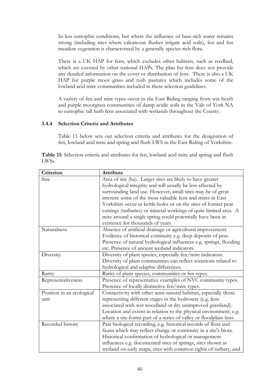In less eutrophic conditions, but where the influence of base-rich water remains strong (including sites where calcareous flushes irrigate acid soils), fen and fen meadow vegetation is characterised by a generally species-rich flora.

There is a UK HAP for fens, which excludes other habitats, such as reedbed, which are covered by other national HAPs. The plan for fens does not provide any detailed information on the cover or distribution of fens. There is also a UK HAP for purple moor grass and rush pastures which includes some of the lowland acid mire communities included in these selection guidelines.

A variety of fen and mire types occur in the East Riding ranging from wet heath and purple moorgrass communities of damp acidic soils in the Vale of York NA to eutrophic tall herb fens associated with wetlands throughout the County.

#### **3.4.4 Selection Criteria and Attributes**

Table 11 below sets out selection criteria and attributes for the designation of fen, lowland acid mire and spring and flush LWS in the East Riding of Yorkshire.

|                    | Table 11: Selection criteria and attributes for fen, lowland acid mire and spring and flush |  |  |  |  |  |  |
|--------------------|---------------------------------------------------------------------------------------------|--|--|--|--|--|--|
| LWS <sub>s</sub> . |                                                                                             |  |  |  |  |  |  |

| Criterion                 | Attribute                                                          |
|---------------------------|--------------------------------------------------------------------|
| Size                      | Area of site (ha). Larger sites are likely to have greater         |
|                           | hydrological integrity and will usually be less affected by        |
|                           | surrounding land use. However, small sites may be of great         |
|                           | interest: some of the most valuable fens and mires in East         |
|                           | Yorkshire occur in kettle-holes or on the sites of former peat     |
|                           | cuttings (turbaries) or mineral workings of quite limited area. A  |
|                           | mire around a single spring could potentially have been in         |
|                           | existence for thousands of years                                   |
| Naturalness               | Absence of artificial drainage or agricultural improvement.        |
|                           | Evidence of historical continuity e.g. deep deposits of peat.      |
|                           | Presence of natural hydrological influences e.g. springs, flooding |
|                           | etc. Presence of ancient wetland indicators.                       |
| Diversity                 | Diversity of plant species, especially fen/mire indicators.        |
|                           | Diversity of plant communities can reflect zonations related to    |
|                           | hydrological and edaphic differences.                              |
| Rarity                    | Rarity of plant species, communities or fen types.                 |
| Representativeness        | Presence of representative examples of NVC community types.        |
|                           | Presence of locally distinctive fen/mire types.                    |
| Position in an ecological | Connectivity with other semi-natural habitats, especially those    |
| unit                      | representing different stages in the hydrosere (e.g. fens          |
|                           | associated with wet woodland or dry unimproved grassland).         |
|                           | Location and extent in relation to the physical environment, e.g.  |
|                           | where a site forms part of a series of valley or floodplain fens.  |
| Recorded history          | Past biological recording, e.g. historical records of flora and    |
|                           | fauna which may reflect change or continuity in a site's biota.    |
|                           | Historical confirmation of hydrological or management              |
|                           | influences e.g. documented sites of springs, sites shown as        |
|                           | wetland on early maps, sites with common rights of turbary, and    |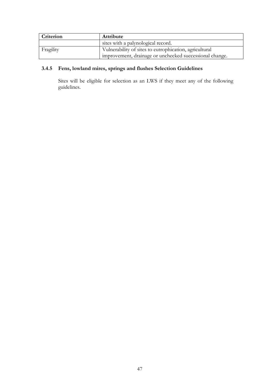| Criterion | Attribute                                               |
|-----------|---------------------------------------------------------|
|           | sites with a palynological record.                      |
| Fragility | Vulnerability of sites to eutrophication, agricultural  |
|           | improvement, drainage or unchecked successional change. |

# **3.4.5 Fens, lowland mires, springs and flushes Selection Guidelines**

Sites will be eligible for selection as an LWS if they meet any of the following guidelines.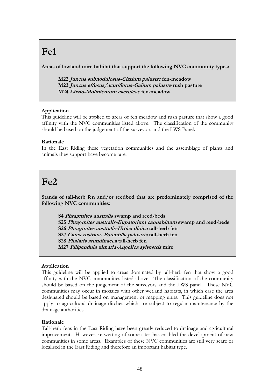# **Fe1**

**Areas of lowland mire habitat that support the following NVC community types:**

**M22 Juncus subnodulosus-Cirsium palustre fen-meadow M23 Juncus effusus/acutiflorus-Galium palustre rush pasture M24 Cirsio-Molinientum caeruleae fen-meadow**

# **Application**

This guideline will be applied to areas of fen meadow and rush pasture that show a good affinity with the NVC communities listed above. The classification of the community should be based on the judgement of the surveyors and the LWS Panel.

### **Rationale**

In the East Riding these vegetation communities and the assemblage of plants and animals they support have become rare.

# **Fe2**

**Stands of tall-herb fen and/or reedbed that are predominately comprised of the following NVC communities:**

**S4 Phragmites australis swamp and reed-beds S25 Phragmites australis-Eupatorium cannabinum swamp and reed-beds S26 Phragmites australis-Urtica dioica tall-herb fen S27 Carex rostrata- Potentilla palustris tall-herb fen S28 Phalaris arundinacea tall-herb fen M27 Filipendula ulmaria-Angelica sylvestris mire**

# **Application**

This guideline will be applied to areas dominated by tall-herb fen that show a good affinity with the NVC communities listed above. The classification of the community should be based on the judgement of the surveyors and the LWS panel. These NVC communities may occur in mosaics with other wetland habitats, in which case the area designated should be based on management or mapping units. This guideline does not apply to agricultural drainage ditches which are subject to regular maintenance by the drainage authorities.

#### **Rationale**

Tall-herb fens in the East Riding have been greatly reduced to drainage and agricultural improvement. However, re-wetting of some sites has enabled the development of new communities in some areas. Examples of these NVC communities are still very scare or localised in the East Riding and therefore an important habitat type.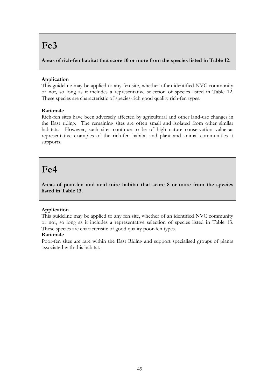# **Fe3**

**Areas of rich-fen habitat that score 10 or more from the species listed in Table 12.**

# **Application**

This guideline may be applied to any fen site, whether of an identified NVC community or not, so long as it includes a representative selection of species listed in Table 12. These species are characteristic of species-rich good quality rich-fen types.

# **Rationale**

Rich-fen sites have been adversely affected by agricultural and other land-use changes in the East riding. The remaining sites are often small and isolated from other similar habitats. However, such sites continue to be of high nature conservation value as representative examples of the rich-fen habitat and plant and animal communities it supports.

# **Fe4**

**Areas of poor-fen and acid mire habitat that score 8 or more from the species listed in Table 13.**

# **Application**

This guideline may be applied to any fen site, whether of an identified NVC community or not, so long as it includes a representative selection of species listed in Table 13. These species are characteristic of good quality poor-fen types.

# **Rationale**

Poor-fen sites are rare within the East Riding and support specialised groups of plants associated with this habitat.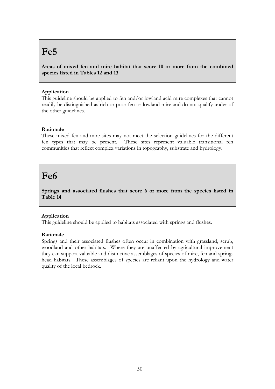# **Fe5**

**Areas of mixed fen and mire habitat that score 10 or more from the combined species listed in Tables 12 and 13**

## **Application**

This guideline should be applied to fen and/or lowland acid mire complexes that cannot readily be distinguished as rich or poor fen or lowland mire and do not qualify under of the other guidelines.

### **Rationale**

These mixed fen and mire sites may not meet the selection guidelines for the different fen types that may be present. These sites represent valuable transitional fen communities that reflect complex variations in topography, substrate and hydrology.

# **Fe6**

**Springs and associated flushes that score 6 or more from the species listed in Table 14**

#### **Application**

This guideline should be applied to habitats associated with springs and flushes.

#### **Rationale**

Springs and their associated flushes often occur in combination with grassland, scrub, woodland and other habitats. Where they are unaffected by agricultural improvement they can support valuable and distinctive assemblages of species of mire, fen and springhead habitats. These assemblages of species are reliant upon the hydrology and water quality of the local bedrock.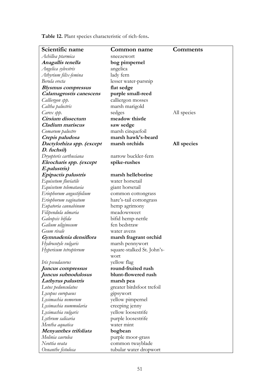**Table 12.** Plant species characteristic of rich-fens**.**

| Scientific name           | Common name                | <b>Comments</b> |
|---------------------------|----------------------------|-----------------|
| Achillea ptarmica         | sneezewort                 |                 |
| Anagallis tenella         | bog pimpernel              |                 |
| Angelica sylvestris       | angelica                   |                 |
| Athyrium filix-femina     | lady fern                  |                 |
| Berula erecta             | lesser water-parsnip       |                 |
| <b>Blysmus</b> compressus | flat sedge                 |                 |
| Calamagrostis canescens   | purple small-reed          |                 |
| Calliergon spp.           | calliergon mosses          |                 |
| Caltha palustris          | marsh marigold             |                 |
| Carex spp.                | sedges                     | All species     |
| Cirsium dissectum         | meadow thistle             |                 |
| Cladium mariscus          | saw sedge                  |                 |
| Comarum palustre          | marsh cinquefoil           |                 |
| Crepis paludosa           | marsh hawk's-beard         |                 |
| Dactylorhiza spp. (except | marsh orchids              | All species     |
| D. fuchsii)               |                            |                 |
| Dryopteris carthusiana    | narrow buckler-fern        |                 |
| Eleocharis spp. (except   | spike-rushes               |                 |
| E.palustris)              |                            |                 |
| Epipactis palustris       | marsh helleborine          |                 |
| Equisetum fluviatile      | water horsetail            |                 |
| Equisetum telemataeia     | giant horsetail            |                 |
| Eriophorum angustifolium  | common cottongrass         |                 |
| Eriophorum vaginatum      | hare's-tail cottongrass    |                 |
| Eupatoria cannabinum      | hemp agrimony              |                 |
| Filipendula ulmaria       | meadowsweet                |                 |
| Galeopsis bifida          | bifid hemp-nettle          |                 |
| Galium uliginosum         | fen bedstraw               |                 |
| Geum rivale               | water avens                |                 |
| Gymnadenia densiflora     | marsh fragrant orchid      |                 |
| Hydrocotyle vulgaris      | marsh pennywort            |                 |
| Hypericum tetrapterum     | square-stalked St. John's- |                 |
|                           | wort                       |                 |
| Iris pseudacorus          | yellow flag                |                 |
| Juncus compressus         | round-fruited rush         |                 |
| Juncus subnodulosus       | blunt-flowered rush        |                 |
| Lathyrus palustris        | marsh pea                  |                 |
| Lotus pedunculatus        | greater birdsfoot trefoil  |                 |
| Lycopus europaeus         | gipsywort                  |                 |
| Lysimachia nemorum        | yellow pimpernel           |                 |
| Lysimachia nummularia     | creeping jenny             |                 |
| Lysimachia vulgaris       | yellow loosestrife         |                 |
| Lythrum salicaria         | purple loosestrife         |                 |
| Mentha aquatica           | water mint                 |                 |
| Menyanthes trifoliata     | bogbean                    |                 |
| Molinia caerulea          | purple moor-grass          |                 |
| Neottia ovata             | common twayblade           |                 |
| Oenanthe fistulosa        | tubular water dropwort     |                 |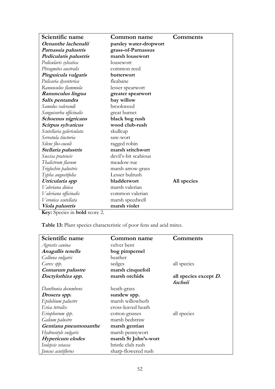| Scientific name          | Common name            | <b>Comments</b> |
|--------------------------|------------------------|-----------------|
| Oenanthe lachenalii      | parsley water-dropwort |                 |
| Parnassia palustris      | grass-of-Parnassus     |                 |
| Pedicularis palustris    | marsh lousewort        |                 |
| Pedicularis sylvatica    | lousewort              |                 |
| Phragmites australis     | common reed            |                 |
| Pinguicula vulgaris      | butterwort             |                 |
| Pulicaria dysenterica    | fleabane               |                 |
| Ranunculus flammula      | lesser spearwort       |                 |
| Ranunculus lingua        | greater spearwort      |                 |
| Salix pentandra          | bay willow             |                 |
| Samolus valerandi        | brookweed              |                 |
| Sanguisorba officinalis  | great burnet           |                 |
| Schoenus nigricans       | black bog rush         |                 |
| Scirpus sylvaticus       | wood club-rush         |                 |
| Scutellaria galericulata | skullcap               |                 |
| Serratula tinctoria      | saw-wort               |                 |
| Silene flos-cuculi       | ragged robin           |                 |
| Stellaria palustris      | marsh stitchwort       |                 |
| Succisa pratensis        | devil's-bit scabious   |                 |
| Thalictrum flavum        | meadow-rue             |                 |
| Triglochin palustris     | marsh arrow-grass      |                 |
| Typha angustifolia       | Lesser bulrush         |                 |
| Utricularia spp          | bladderwort            | All species     |
| Valeriana dioica         | marsh valerian         |                 |
| Valeriana officinalis    | common valerian        |                 |
| Veronica scutellata      | marsh speedwell        |                 |
| Viola palustris          | marsh violet           |                 |

**Table 13:** Plant species characteristic of poor fens and acid mires.

| Scientific name         | Common name          | Comments                 |
|-------------------------|----------------------|--------------------------|
| Agrostis canina         | velvet bent          |                          |
| Anagallis tenella       | bog pimpernel        |                          |
| Calluna vulgaris        | heather              |                          |
| Carex spp.              | sedges               | all species              |
| Comarum palustre        | marsh cinquefoil     |                          |
| Dactylorhiza spp.       | marsh orchids        | all species except $D$ . |
|                         |                      | fuchsii                  |
| Danthonia decumbens     | heath-grass          |                          |
| Drosera spp.            | sundew spp.          |                          |
| Epilobium palustre      | marsh willowherb     |                          |
| Erica tetralix          | cross-leaved heath   |                          |
| Eriophorum spp.         | cotton-grasses       | all species              |
| Galium palustre         | marsh bedstraw       |                          |
| Gentiana pneumonanthe   | marsh gentian        |                          |
| Hydrocotyle vulgaris    | marsh pennywort      |                          |
| <b>Hypericum</b> elodes | marsh St John's-wort |                          |
| Isolepsis setacea       | bristle club rush    |                          |
| Juncus acutiflorus      | sharp-flowered rush  |                          |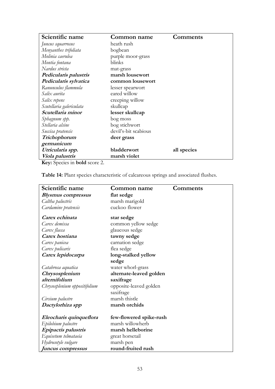| Scientific name                                          | Common name          | Comments    |
|----------------------------------------------------------|----------------------|-------------|
| Juncus squarrosus                                        | heath rush           |             |
| Menyanthes trifoliata                                    | bogbean              |             |
| Molinia caerulea                                         | purple moor-grass    |             |
| Montia fontana                                           | blinks               |             |
| Nardus stricta                                           | mat-grass            |             |
| Pedicularis palustris                                    | marsh lousewort      |             |
| Pedicularis sylvatica                                    | common lousewort     |             |
| Ranunculus flammula                                      | lesser spearwort     |             |
| Salix aurita                                             | eared willow         |             |
| Salix repens                                             | creeping willow      |             |
| Scutellaria galericulata                                 | skullcap             |             |
| Scutellaria minor                                        | lesser skullcap      |             |
| Sphagnum spp.                                            | bog moss             |             |
| Stellaria alsine                                         | bog stichwort        |             |
| Succisa pratensis                                        | devil's-bit scabious |             |
| Trichophorum                                             | deer grass           |             |
| germanicum                                               |                      |             |
| Utricularia spp.                                         | bladderwort          | all species |
| Viola palustris                                          | marsh violet         |             |
| $\mathbf{V}_{\alpha\alpha\beta}$ Consider in hold sector |                      |             |

**Table 14:** Plant species characteristic of calcareous springs and associated flushes.

| Scientific name               | Common name             | Comments |
|-------------------------------|-------------------------|----------|
| <b>Blysmus compressus</b>     | flat sedge              |          |
| Caltha palustris              | marsh marigold          |          |
| Cardamine pratensis           | cuckoo flower           |          |
| Carex echinata                | star sedge              |          |
| Carex demissa                 | common yellow sedge     |          |
| Carex flacca                  | glaucous sedge          |          |
| Carex hostiana                | tawny sedge             |          |
| Carex panicea                 | carnation sedge         |          |
| Carex pulicaris               | flea sedge              |          |
| Carex lepidocarpa             | long-stalked yellow     |          |
|                               | sedge                   |          |
| Catabrosa aquatica            | water whorl-grass       |          |
| Chrysosplenium                | alternate-leaved golden |          |
| alternifolium                 | saxifrage               |          |
| Chrysosplenium oppositifolium | opposite-leaved golden  |          |
|                               | saxifrage               |          |
| Cirsium palustre              | marsh thistle           |          |
| Dactylorhiza spp              | marsh orchids           |          |
| Eleocharis quinqueflora       | few-flowered spike-rush |          |
| Epilobium palustre            | marsh willowherb        |          |
| Epipactis palustris           | marsh helleborine       |          |
| Equisetum telmataeia          | great horsetail         |          |
| Hydrocotyle vulgare           | marsh pen               |          |
| Juncus compressus             | round-fruited rush      |          |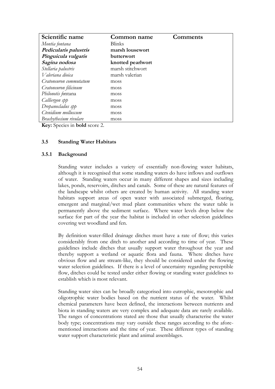| Scientific name        | Common name       | Comments |
|------------------------|-------------------|----------|
| Montia fontana         | <b>Blinks</b>     |          |
| Pedicularis palustris  | marsh lousewort   |          |
| Pinguicula vulgaris    | butterwort        |          |
| Sagina nodosa          | knotted pearlwort |          |
| Stellaria palustris    | marsh stitchwort  |          |
| Valeriana dioica       | marsh valerian    |          |
| Cratoneuron commutatum | moss              |          |
| Cratoneuron filicinum  | moss              |          |
| Philonotis fontana     | moss              |          |
| Calliergon spp         | moss              |          |
| Drepanocladus spp      | moss              |          |
| Ctenidium molluscum    | moss              |          |
| Brachythecium rivulare | moss              |          |

#### **3.5 Standing Water Habitats**

#### **3.5.1 Background**

Standing water includes a variety of essentially non-flowing water habitats, although it is recognised that some standing waters do have inflows and outflows of water. Standing waters occur in many different shapes and sizes including lakes, ponds, reservoirs, ditches and canals. Some of these are natural features of the landscape whilst others are created by human activity. All standing water habitats support areas of open water with associated submerged, floating, emergent and marginal/wet mud plant communities where the water table is permanently above the sediment surface. Where water levels drop below the surface for part of the year the habitat is included in other selection guidelines covering wet woodland and fen.

By definition water-filled drainage ditches must have a rate of flow; this varies considerably from one ditch to another and according to time of year. These guidelines include ditches that usually support water throughout the year and thereby support a wetland or aquatic flora and fauna. Where ditches have obvious flow and are stream-like, they should be considered under the flowing water selection guidelines. If there is a level of uncertainty regarding perceptible flow, ditches could be tested under either flowing or standing water guidelines to establish which is most relevant.

Standing water sites can be broadly categorised into eutrophic, mesotrophic and oligotrophic water bodies based on the nutrient status of the water. Whilst chemical parameters have been defined, the interactions between nutrients and biota in standing waters are very complex and adequate data are rarely available. The ranges of concentrations stated are those that usually characterise the water body type; concentrations may vary outside these ranges according to the aforementioned interactions and the time of year. These different types of standing water support characteristic plant and animal assemblages.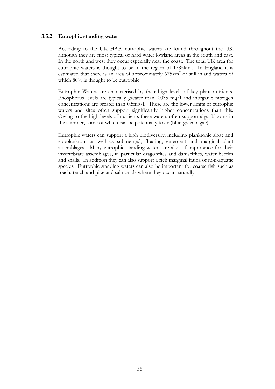#### **3.5.2 Eutrophic standing water**

According to the UK HAP, eutrophic waters are found throughout the UK although they are most typical of hard water lowland areas in the south and east. In the north and west they occur especially near the coast. The total UK area for eutrophic waters is thought to be in the region of  $1785 \text{km}^2$ . In England it is estimated that there is an area of approximately  $675 \text{km}^2$  of still inland waters of which  $80\%$  is thought to be eutrophic.

Eutrophic Waters are characterised by their high levels of key plant nutrients. Phosphorus levels are typically greater than 0.035 mg/l and inorganic nitrogen concentrations are greater than 0.5mg/l. These are the lower limits of eutrophic waters and sites often support significantly higher concentrations than this. Owing to the high levels of nutrients these waters often support algal blooms in the summer, some of which can be potentially toxic (blue-green algae).

Eutrophic waters can support a high biodiversity, including planktonic algae and zooplankton, as well as submerged, floating, emergent and marginal plant assemblages. Many eutrophic standing waters are also of importance for their invertebrate assemblages, in particular dragonflies and damselflies, water beetles and snails. In addition they can also support a rich marginal fauna of non-aquatic species. Eutrophic standing waters can also be important for coarse fish such as roach, tench and pike and salmonids where they occur naturally.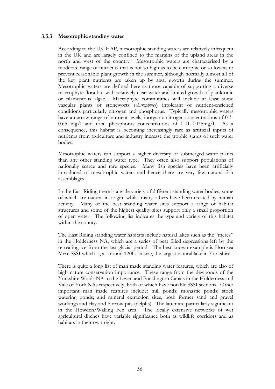#### **3.5.3 Mesotrophic standing water**

According to the UK HAP, mesotrophic standing waters are relatively infrequent in the UK and are largely confined to the margins of the upland areas in the north and west of the country. Mesotrophic waters are characterised by a moderate range of nutrients that is not so high as to be eutrophic or so low as to prevent reasonable plant growth in the summer, although normally almost all of the key plant nutrients are taken up by algal growth during the summer. Mesotrophic waters are defined here as those capable of supporting a diverse macrophyte flora but with relatively clear water and limited growth of planktonic or filamentous algae. Macrophyte communities will include at least some vascular plants or stoneworts (*charophytes*) intolerant of nutrient-enriched conditions particularly nitrogen and phosphorus. Typically mesotrophic waters have a narrow range of nutrient levels, inorganic nitrogen concentrations of 0.3- 0.65 mg/l and total phosphorus concentrations of 0.01-0.035mg/l. As a consequence, this habitat is becoming increasingly rare as artificial inputs of nutrients from agriculture and industry increase the trophic status of such water bodies.

Mesotrophic waters can support a higher diversity of submerged water plants than any other standing water type. They often also support populations of nationally scarce and rare species. Many fish species have been artificially introduced to mesotrophic waters and hence there are very few natural fish assemblages.

In the East Riding there is a wide variety of different standing water bodies, some of which are natural in origin, whilst many others have been created by human activity. Many of the best standing water sites support a range of habitat structures and some of the highest quality sites support only a small proportion of open water. The following list indicates the type and variety of this habitat within the county.

The East Riding standing water habitats include natural lakes such as the "meres" in the Holderness NA, which are a series of peat filled depressions left by the retreating ice from the last glacial period. The best known example is Hornsea Mere SSSI which is, at around 120ha in size, the largest natural lake in Yorkshire.

There is quite a long list of man made standing water features, which are also of high nature conservation importance. These range from the dewponds of the Yorkshire Wolds NA to the Leven and Pocklington Canals in the Holderness and Vale of York NAs respectively, both of which have notable SSSI sections. Other important man made features include: mill ponds; monastic ponds; stock watering ponds; and mineral extraction sites, both former sand and gravel workings and clay and borrow pits (delphs). The latter are particularly significant in the Howden/Walling Fen area. The locally extensive networks of wet agricultural ditches have variable significance both as wildlife corridors and as habitats in their own right.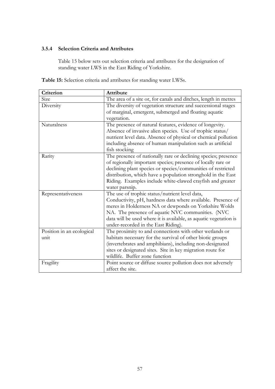## **3.5.4 Selection Criteria and Attributes**

Table 15 below sets out selection criteria and attributes for the designation of standing water LWS in the East Riding of Yorkshire.

| Table 15: Selection criteria and attributes for standing water LWSs. |  |
|----------------------------------------------------------------------|--|
|----------------------------------------------------------------------|--|

| Criterion                 | <b>Attribute</b>                                                                                                       |
|---------------------------|------------------------------------------------------------------------------------------------------------------------|
| Size                      | The area of a site or, for canals and ditches, length in metres                                                        |
| Diversity                 | The diversity of vegetation structure and successional stages<br>of marginal, emergent, submerged and floating aquatic |
|                           | vegetation.                                                                                                            |
| Naturalness               | The presence of natural features, evidence of longevity.                                                               |
|                           | Absence of invasive alien species. Use of trophic status/                                                              |
|                           | nutrient level data. Absence of physical or chemical pollution                                                         |
|                           | including absence of human manipulation such as artificial                                                             |
|                           | fish stocking                                                                                                          |
| Rarity                    | The presence of nationally rare or declining species; presence                                                         |
|                           | of regionally important species; presence of locally rare or                                                           |
|                           | declining plant species or species/communities of restricted                                                           |
|                           | distribution, which have a population stronghold in the East                                                           |
|                           | Riding. Examples include white-clawed crayfish and greater                                                             |
|                           | water parsnip.                                                                                                         |
| Representativeness        | The use of trophic status/nutrient level data,                                                                         |
|                           | Conductivity, pH, hardness data where available. Presence of                                                           |
|                           | meres in Holderness NA or dewponds on Yorkshire Wolds                                                                  |
|                           | NA. The presence of aquatic NVC communities. (NVC                                                                      |
|                           | data will be used where it is available, as aquatic vegetation is                                                      |
|                           | under-recorded in the East Riding).                                                                                    |
| Position in an ecological | The proximity to and connections with other wetlands or                                                                |
| unit                      | habitats necessary for the survival of other biotic groups                                                             |
|                           | (invertebrates and amphibians), including non-designated                                                               |
|                           | sites or designated sites. Site in key migration route for                                                             |
|                           | wildlife. Buffer zone function                                                                                         |
| Fragility                 | Point source or diffuse source pollution does not adversely                                                            |
|                           | affect the site.                                                                                                       |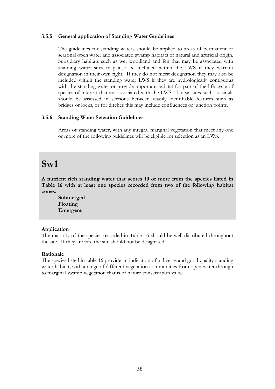#### **3.5.5 General application of Standing Water Guidelines**

The guidelines for standing waters should be applied to areas of permanent or seasonal open water and associated swamp habitats of natural and artificial origin. Subsidiary habitats such as wet woodland and fen that may be associated with standing water sites may also be included within the LWS if they warrant designation in their own right. If they do not merit designation they may also be included within the standing water LWS if they are hydrologically contiguous with the standing water or provide important habitat for part of the life cycle of species of interest that are associated with the LWS. Linear sites such as canals should be assessed in sections between readily identifiable features such as bridges or locks, or for ditches this may include confluences or junction points.

#### **3.5.6 Standing Water Selection Guidelines**

Areas of standing water, with any integral marginal vegetation that meet any one or more of the following guidelines will be eligible for selection as an LWS.

# **Sw1**

**A nutrient rich standing water that scores 10 or more from the species listed in Table 16 with at least one species recorded from two of the following habitat zones:**

**Submerged Floating Emergent**

#### **Application**

The majority of the species recorded in Table 16 should be well distributed throughout the site. If they are rare the site should not be designated.

#### **Rationale**

The species listed in table 16 provide an indication of a diverse and good quality standing water habitat, with a range of different vegetation communities from open water through to marginal swamp vegetation that is of nature conservation value.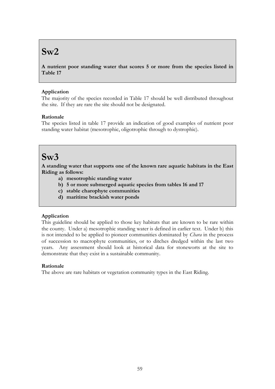# **Sw2**

**A nutrient poor standing water that scores 5 or more from the species listed in Table 17**

# **Application**

The majority of the species recorded in Table 17 should be well distributed throughout the site. If they are rare the site should not be designated.

# **Rationale**

The species listed in table 17 provide an indication of good examples of nutrient poor standing water habitat (mesotrophic, oligotrophic through to dystrophic).

# **Sw3**

**A standing water that supports one of the known rare aquatic habitats in the East Riding as follows:**

- **a) mesotrophic standing water**
- **b) 5 or more submerged aquatic species from tables 16 and 17**
- **c) stable charophyte communities**
- **d) maritime brackish water ponds**

# **Application**

This guideline should be applied to those key habitats that are known to be rare within the county. Under a) mesotrophic standing water is defined in earlier text. Under b) this is not intended to be applied to pioneer communities dominated by *Chara* in the process of succession to macrophyte communities, or to ditches dredged within the last two years. Any assessment should look at historical data for stoneworts at the site to demonstrate that they exist in a sustainable community.

#### **Rationale**

The above are rare habitats or vegetation community types in the East Riding.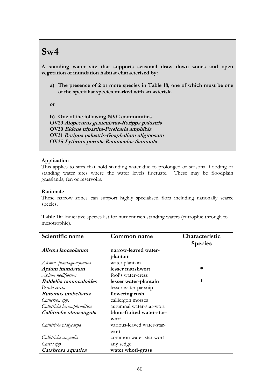# **Sw4**

**A standing water site that supports seasonal draw down zones and open vegetation of inundation habitat characterised by:**

**a) The presence of 2 or more species in Table 18, one of which must be one of the specialist species marked with an asterisk.** 

**or**

**b) One of the following NVC communities OV29 Alopecurus geniculatus-Rorippa palustris OV30 Bidens tripartita-Persicaria amphibia OV31 Rorippa palustris-Gnaphalium uliginosum OV35 Lythrum portula-Ranunculus flammula**

#### **Application**

This applies to sites that hold standing water due to prolonged or seasonal flooding or standing water sites where the water levels fluctuate. These may be floodplain grasslands, fen or reservoirs.

#### **Rationale**

These narrow zones can support highly specialised flora including nationally scarce species.

**Table 16:** Indicative species list for nutrient rich standing waters (eutrophic through to mesotrophic).

| Scientific name                | <b>Common name</b>         | Characteristic |
|--------------------------------|----------------------------|----------------|
|                                |                            | <b>Species</b> |
| Alisma lanceolatum             | narrow-leaved water-       |                |
|                                | plantain                   |                |
| Alisma plantago-aquatica       | water plantain             |                |
| Apium inundatum                | lesser marshwort           | *              |
| Apium nodiflorum               | fool's water-cress         |                |
| <b>Baldellia ranunculoides</b> | lesser water-plantain      | *              |
| Berula erecta                  | lesser water-parsnip       |                |
| <b>Butomus umbellatus</b>      | flowering rush             |                |
| Calliergon spp.                | calliergon mosses          |                |
| Callitriche hermaphroditica    | autumnal water-star-wort   |                |
| Callitriche obtusangula        | blunt-fruited water-star-  |                |
|                                | wort                       |                |
| Callitriche platycarpa         | various-leaved water-star- |                |
|                                | wort                       |                |
| Callitriche stagnalis          | common water-star-wort     |                |
| Carex spp                      | any sedge                  |                |
| Catabrosa aquatica             | water whorl-grass          |                |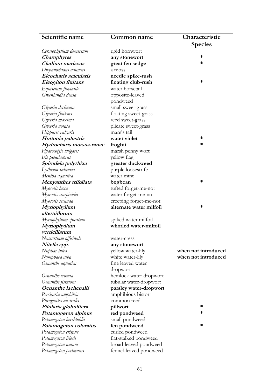| Scientific name           | <b>Common name</b>      | Characteristic      |
|---------------------------|-------------------------|---------------------|
|                           |                         | <b>Species</b>      |
| Ceratophyllum demersum    | rigid hornwort          |                     |
| <b>Charophytes</b>        | any stonewort           | *                   |
| Cladium mariscus          | great fen sedge         | *                   |
| Drepanocladus aduncus     | a moss                  |                     |
| Eleocharis acicularis     | needle spike-rush       |                     |
| <b>Eleogiton</b> fluitans | floating club-rush      | *                   |
| Equisetum fluviatile      | water horsetail         |                     |
| Groenlandia densa         | opposite-leaved         |                     |
|                           | pondweed                |                     |
| Glyceria declinata        | small sweet-grass       |                     |
| Glyceria fluitans         | floating sweet-grass    |                     |
| Glyceria maxima           | reed sweet-grass        |                     |
| Glyceria notata           | plicate sweet-grass     |                     |
| Hippuris vulgaris         | mare's tail             |                     |
| Hottonia palustris        | water violet            | *                   |
| Hydrocharis morsus-ranae  | frogbit                 | *                   |
| Hydrocotyle vulgaris      | marsh penny wort        |                     |
| Iris pseudacorus          | yellow flag             |                     |
| Spirodela polyrhiza       | greater duckweed        |                     |
| Lythrum salicaria         | purple loosestrife      |                     |
| Mentha aquatica           | water mint              |                     |
| Menyanthes trifoliata     | bogbean                 | *                   |
| Myosotis laxa             | tufted forget-me-not    |                     |
| Myosotis scorpioides      | water forget-me-not     |                     |
| Myosotis secunda          | creeping forget-me-not  |                     |
| Myriophyllum              | alternate water milfoil | *                   |
| alterniflorum             |                         |                     |
| Myriophyllum spicatum     | spiked water milfoil    |                     |
| Myriophyllum              | whorled water-milfoil   |                     |
| verticillatum             |                         |                     |
| Nasturtium officinale     | water-cress             |                     |
| Nitella spp.              | any stonewort           |                     |
| Nuphar lutea              | yellow water-lily       | when not introduced |
| Nymphaea alba             | white water-lily        | when not introduced |
| Oenanthe aquatica         | fine leaved water       |                     |
|                           | dropwort                |                     |
| Oenanthe crocata          | hemlock water dropwort  |                     |
| Oenanthe fistulosa        | tubular water-dropwort  |                     |
| Oenanthe lachenalii       | parsley water-dropwort  |                     |
| Persicaria amphibia       | amphibious bistort      |                     |
| Phragmites australis      | common reed             |                     |
| Pilularia globulifera     | pillwort                | ∗                   |
| Potamogeton alpinus       | red pondweed            | ∗                   |
| Potamogeton berchtoldii   | small pondweed          |                     |
| Potamogeton coloratus     | fen pondweed            | ∗                   |
| Potamogeton crispus       | curled pondweed         |                     |
| Potamogeton friesii       | flat-stalked pondweed   |                     |
| Potamogeton natans        | broad-leaved pondweed   |                     |
| Potamogeton pectinatus    | fennel-leaved pondweed  |                     |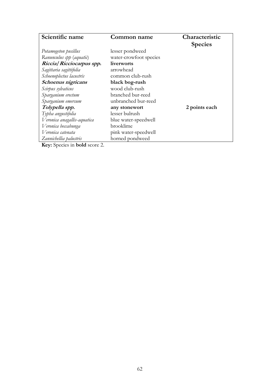| Scientific name             | <b>Common name</b>     | Characteristic |
|-----------------------------|------------------------|----------------|
|                             |                        | <b>Species</b> |
| Potamogeton pusillus        | lesser pondweed        |                |
| Ranunculus spp (aquatic)    | water-crowfoot species |                |
| Riccia/Ricciocarpus spp.    | liverworts             |                |
| Sagittaria sagittifolia     | arrowhead              |                |
| Schoenoplectus lacustris    | common club-rush       |                |
| Schoenus nigricans          | black bog-rush         |                |
| Scirpus sylvaticus          | wood club-rush         |                |
| Sparganium erectum          | branched bur-reed      |                |
| Sparganium emersum          | unbranched bur-reed    |                |
| Tolypella spp.              | any stonewort          | 2 points each  |
| Typha angustifolia          | lesser bulrush         |                |
| Veronica anagallis-aquatica | blue water-speedwell   |                |
| Veronica beccabunga         | brooklime              |                |
| Veronica catenata           | pink water-speedwell   |                |
| Zannichellia palustris      | horned pondweed        |                |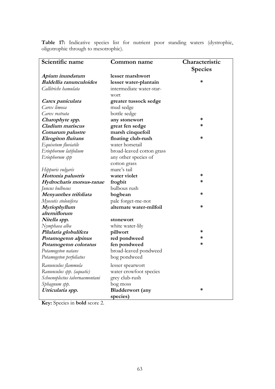**Table 17:** Indicative species list for nutrient poor standing waters (dystrophic, oligotrophic through to mesotrophic).

| Scientific name                | Common name               | Characteristic |
|--------------------------------|---------------------------|----------------|
|                                |                           | <b>Species</b> |
| Apium inundatum                | lesser marshwort          |                |
| <b>Baldellia ranunculoides</b> | lesser water-plantain     | *              |
| Callitriche hamulata           | intermediate water-star-  |                |
|                                | wort                      |                |
| Carex paniculata               | greater tussock sedge     |                |
| Carex limosa                   | mud sedge                 |                |
| Carex rostrata                 | bottle sedge              |                |
| Charophyte spp.                | any stonewort             | *              |
| Cladium mariscus               | great fen sedge           | *              |
| Comarum palustre               | marsh cinquefoil          |                |
| Eleogiton fluitans             | floating club-rush        | *              |
| Equisetum fluviatile           | water horsetail           |                |
| Eriophorum latifolium          | broad-leaved cotton grass |                |
| Eriophorum spp                 | any other species of      |                |
|                                | cotton grass              |                |
| Hippuris vulgaris              | mare's tail               |                |
| Hottonia palustris             | water violet              | ∗              |
| Hydrocharis morsus-ranae       | frogbit                   | *              |
| Juncus bulbosus                | bulbous rush              |                |
| Menyanthes trifoliata          | bogbean                   | *              |
| Myosotis stolonifera           | pale forget-me-not        |                |
| Myriophyllum                   | alternate water-milfoil   | *              |
| alterniflorum                  |                           |                |
| Nitella spp.                   | stonewort                 |                |
| Nymphaea alba                  | white water-lily          |                |
| Pilularia globulifera          | pillwort                  | *              |
| Potamogeton alpinus            | red pondweed              | *              |
| Potamogeton coloratus          | fen pondweed              | *              |
| Potamogeton natans             | broad-leaved pondweed     |                |
| Potamogeton perfoliatus        | bog pondweed              |                |
| Ranunculus flammula            | lesser spearwort          |                |
| Ranunculus spp. (aquatic)      | water crowfoot species    |                |
| Schoenoplectus tabernaemontani | grey club-rush            |                |
| Sphagnum spp.                  | bog moss                  |                |
| Utricularia spp.               | <b>Bladderwort</b> (any   | *              |
|                                | species)                  |                |

**Key:** Species in **bold** score 2.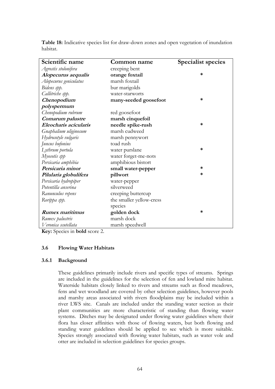**Table 18:** Indicative species list for draw-down zones and open vegetation of inundation habitat.

| Scientific name        | Common name              | <b>Specialist species</b> |
|------------------------|--------------------------|---------------------------|
| Agrostis stolonifera   | creeping bent            |                           |
| Alopecurus aequalis    | orange foxtail           | $\ast$                    |
| Alopecurus geniculatus | marsh foxtail            |                           |
| Bidens spp.            | bur marigolds            |                           |
| Callitriche spp.       | water-starworts          |                           |
| Chenopodium            | many-seeded goosefoot    | *                         |
| polyspermum            |                          |                           |
| Chenopodium rubrum     | red goosefoot            |                           |
| Comarum palustre       | marsh cinquefoil         |                           |
| Eleocharis acicularis  | needle spike-rush        | $\ast$                    |
| Gnaphalium uliginosum  | marsh cudweed            |                           |
| Hydrocotyle vulgaris   | marsh pennywort          |                           |
| Juncus bufonius        | toad rush                |                           |
| Lythrum portula        | water purslane           | $\ast$                    |
| Myosotis spp           | water forget-me-nots     |                           |
| Persicaria amphibia    | amphibious bistort       |                           |
| Persicaria minor       | small water-pepper       | ∗                         |
| Pilularia globulifera  | pillwort                 | $\ast$                    |
| Persicaria hydropiper  | water-pepper             |                           |
| Potentilla anserina    | silverweed               |                           |
| Ranunculus repens      | creeping buttercup       |                           |
| Rorippa spp.           | the smaller yellow-cress |                           |
|                        | species                  |                           |
| <b>Rumex maritimus</b> | golden dock              | $\ast$                    |
| Rumex palustris        | marsh dock               |                           |
| Veronica scutellata    | marsh speedwell          |                           |

**Key:** Species in **bold** score 2.

#### **3.6 Flowing Water Habitats**

#### **3.6.1 Background**

These guidelines primarily include rivers and specific types of streams. Springs are included in the guidelines for the selection of fen and lowland mire habitat. Waterside habitats closely linked to rivers and streams such as flood meadows, fens and wet woodland are covered by other selection guidelines, however pools and marshy areas associated with rivers floodplains may be included within a river LWS site. Canals are included under the standing water section as their plant communities are more characteristic of standing than flowing water systems. Ditches may be designated under flowing water guidelines where their flora has closer affinities with those of flowing waters, but both flowing and standing water guidelines should be applied to see which is more suitable. Species strongly associated with flowing water habitats, such as water vole and otter are included in selection guidelines for species groups.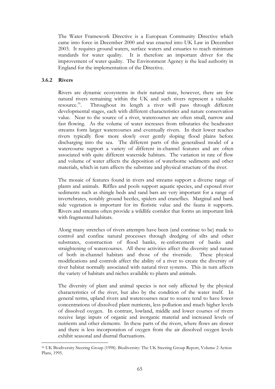The Water Framework Directive is a European Community Directive which came into force in December 2000 and was enacted into UK Law in December 2003. It requires ground waters, surface waters and estuaries to reach minimum standards for water quality. It is therefore an important driver for the improvement of water quality. The Environment Agency is the lead authority in England for the implementation of the Directive.

#### **3.6.2 Rivers**

<u>.</u>

Rivers are dynamic ecosystems in their natural state, however, there are few natural rivers remaining within the UK and such rivers represent a valuable resource.<sup>16</sup>. Throughout its length a river will pass through different developmental stages, each with different characteristics and nature conservation value. Near to the source of a river, watercourses are often small, narrow and fast flowing. As the volume of water increases from tributaries the headwater streams form larger watercourses and eventually rivers. In their lower reaches rivers typically flow more slowly over gently sloping flood plains before discharging into the sea. The different parts of this generalised model of a watercourse support a variety of different in-channel features and are often associated with quite different waterside habitats. The variation in rate of flow and volume of water affects the deposition of waterborne sediments and other materials, which in turn affects the substrate and physical structure of the river.

The mosaic of features found in rivers and streams support a diverse range of plants and animals. Riffles and pools support aquatic species, and exposed river sediments such as shingle beds and sand bars are very important for a range of invertebrates, notably ground beetles, spiders and craneflies. Marginal and bank side vegetation is important for its floristic value and the fauna it supports. Rivers and streams often provide a wildlife corridor that forms an important link with fragmented habitats.

Along many stretches of rivers attempts have been (and continue to be) made to control and confine natural processes through dredging of silts and other substrates, construction of flood banks, re-enforcement of banks and straightening of watercourses. All these activities affect the diversity and nature of both in-channel habitats and those of the riverside. These physical modifications and controls affect the ability of a river to create the diversity of river habitat normally associated with natural river systems. This in turn affects the variety of habitats and niches available to plants and animals.

The diversity of plant and animal species is not only affected by the physical characteristics of the river, but also by the condition of the water itself. In general terms, upland rivers and watercourses near to source tend to have lower concentrations of dissolved plant nutrients, less pollution and much higher levels of dissolved oxygen. In contrast, lowland, middle and lower courses of rivers receive large inputs of organic and inorganic material and increased levels of nutrients and other elements. In these parts of the rivers, where flows are slower and there is less incorporation of oxygen from the air dissolved oxygen levels exhibit seasonal and diurnal fluctuations.

<sup>16</sup> UK Biodiversity Steering Group (1998). Biodiversity: The UK Steering Group Report, Volume 2 Action Plans, 1995.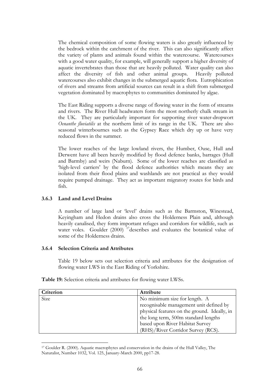The chemical composition of some flowing waters is also greatly influenced by the bedrock within the catchment of the river. This can also significantly affect the variety of plants and animals found within the watercourse. Watercourses with a good water quality, for example, will generally support a higher diversity of aquatic invertebrates than those that are heavily polluted. Water quality can also affect the diversity of fish and other animal groups. Heavily polluted watercourses also exhibit changes in the submerged aquatic flora. Eutrophication of rivers and streams from artificial sources can result in a shift from submerged vegetation dominated by macrophytes to communities dominated by algae.

The East Riding supports a diverse range of flowing water in the form of streams and rivers. The River Hull headwaters form the most northerly chalk stream in the UK. They are particularly important for supporting river water-dropwort *Oenanthe fluviatilis* at the northern limit of its range in the UK. There are also seasonal winterbournes such as the Gypsey Race which dry up or have very reduced flows in the summer.

The lower reaches of the large lowland rivers, the Humber, Ouse, Hull and Derwent have all been heavily modified by flood defence banks, barrages (Hull and Barmby) and weirs (Naburn). Some of the lower reaches are classified as 'high-level carriers' by the flood defence authorities which means they are isolated from their flood plains and washlands are not practical as they would require pumped drainage. They act as important migratory routes for birds and fish.

#### **3.6.3 Land and Level Drains**

<u>.</u>

A number of large land or 'level' drains such as the Barmston, Winestead, Keyingham and Hedon drains also cross the Holderness Plain and, although heavily canalised, they form important refuges and corridors for wildlife, such as water voles. Goulder (2000) <sup>17</sup>describes and evaluates the botanical value of some of the Holderness drains.

#### **3.6.4 Selection Criteria and Attributes**

Table 19 below sets out selection criteria and attributes for the designation of flowing water LWS in the East Riding of Yorkshire.

**Table 19:** Selection criteria and attributes for flowing water LWSs.

| Criterion | <b>Attribute</b>                             |
|-----------|----------------------------------------------|
| Size      | No minimum size for length. A                |
|           | recognisable management unit defined by      |
|           | physical features on the ground. Ideally, in |
|           | the long term, 500m standard lengths         |
|           | based upon River Habitat Survey              |
|           | (RHS)/River Corridor Survey (RCS).           |

<sup>17</sup> Goulder R. (2000). Aquatic macrophytes and conservation in the drains of the Hull Valley, The Naturalist, Number 1032, Vol. 125, January-March 2000, pp17-28.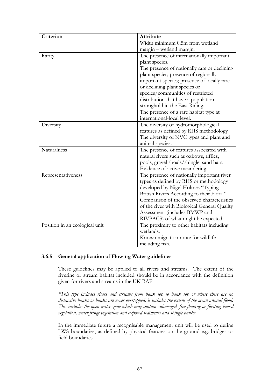| Criterion                      | Attribute                                    |  |
|--------------------------------|----------------------------------------------|--|
|                                | Width minimum 0.5m from wetland              |  |
|                                | margin - wetland margin.                     |  |
| Rarity                         | The presence of internationally important    |  |
|                                | plant species.                               |  |
|                                | The presence of nationally rare or declining |  |
|                                | plant species; presence of regionally        |  |
|                                | important species; presence of locally rare  |  |
|                                | or declining plant species or                |  |
|                                | species/communities of restricted            |  |
|                                | distribution that have a population          |  |
|                                | stronghold in the East Riding.               |  |
|                                | The presence of a rare habitat type at       |  |
|                                | international-local level.                   |  |
| Diversity                      | The diversity of hydromorphological          |  |
|                                | features as defined by RHS methodology       |  |
|                                | The diversity of NVC types and plant and     |  |
|                                | animal species.                              |  |
| Naturalness                    | The presence of features associated with     |  |
|                                | natural rivers such as oxbows, riffles,      |  |
|                                | pools, gravel shoals/shingle, sand bars.     |  |
|                                | Evidence of active meandering.               |  |
| Representativeness             | The presence of nationally important river   |  |
|                                | types as defined by RHS or methodology       |  |
|                                | developed by Nigel Holmes "Typing            |  |
|                                | British Rivers According to their Flora."    |  |
|                                | Comparison of the observed characteristics   |  |
|                                | of the river with Biological General Quality |  |
|                                | Assessment (includes BMWP and                |  |
|                                | RIVPACS) of what might be expected.          |  |
| Position in an ecological unit | The proximity to other habitats including    |  |
|                                | wetlands.                                    |  |
|                                | Known migration route for wildlife           |  |
|                                | including fish.                              |  |

#### **3.6.5 General application of Flowing Water guidelines**

These guidelines may be applied to all rivers and streams. The extent of the riverine or stream habitat included should be in accordance with the definition given for rivers and streams in the UK BAP:

*"This type includes rivers and streams from bank top to bank top or where there are no distinctive banks or banks are never overtopped, it includes the extent of the mean annual flood. This includes the open water zone which may contain submerged, free floating or floating-leaved vegetation, water fringe vegetation and exposed sediments and shingle banks."*

In the immediate future a recognisable management unit will be used to define LWS boundaries, as defined by physical features on the ground e.g. bridges or field boundaries.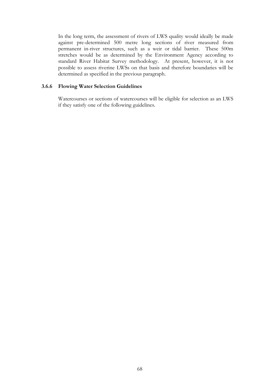In the long term, the assessment of rivers of LWS quality would ideally be made against pre-determined 500 metre long sections of river measured from permanent in-river structures, such as a weir or tidal barrier. These 500m stretches would be as determined by the Environment Agency according to standard River Habitat Survey methodology. At present, however, it is not possible to assess riverine LWSs on that basis and therefore boundaries will be determined as specified in the previous paragraph.

#### **3.6.6 Flowing Water Selection Guidelines**

Watercourses or sections of watercourses will be eligible for selection as an LWS if they satisfy one of the following guidelines.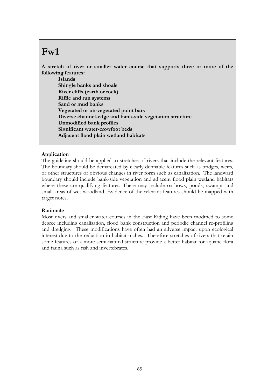## **Fw1**

**A stretch of river or smaller water course that supports three or more of the following features:**

**Islands Shingle banks and shoals River cliffs (earth or rock) Riffle and run systems Sand or mud banks Vegetated or un-vegetated point bars Diverse channel-edge and bank-side vegetation structure Unmodified bank profiles Significant water-crowfoot beds Adjacent flood plain wetland habitats**

## **Application**

The guideline should be applied to stretches of rivers that include the relevant features. The boundary should be demarcated by clearly definable features such as bridges, weirs, or other structures or obvious changes in river form such as canalisation. The landward boundary should include bank-side vegetation and adjacent flood plain wetland habitats where these are qualifying features. These may include ox-bows, ponds, swamps and small areas of wet woodland. Evidence of the relevant features should be mapped with target notes.

#### **Rationale**

Most rivers and smaller water courses in the East Riding have been modified to some degree including canalisation, flood bank construction and periodic channel re-profiling and dredging. These modifications have often had an adverse impact upon ecological interest due to the reduction in habitat niches. Therefore stretches of rivers that retain some features of a more semi-natural structure provide a better habitat for aquatic flora and fauna such as fish and invertebrates.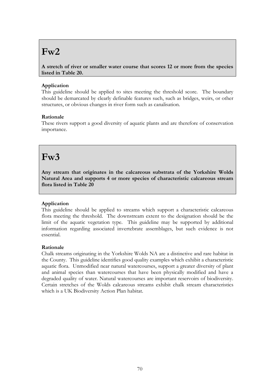## **Fw2**

**A stretch of river or smaller water course that scores 12 or more from the species listed in Table 20.**

## **Application**

This guideline should be applied to sites meeting the threshold score. The boundary should be demarcated by clearly definable features such, such as bridges, weirs, or other structures, or obvious changes in river form such as canalisation.

## **Rationale**

These rivers support a good diversity of aquatic plants and are therefore of conservation importance.

## **Fw3**

**Any stream that originates in the calcareous substrata of the Yorkshire Wolds Natural Area and supports 4 or more species of characteristic calcareous stream flora listed in Table 20**

## **Application**

This guideline should be applied to streams which support a characteristic calcareous flora meeting the threshold. The downstream extent to the designation should be the limit of the aquatic vegetation type. This guideline may be supported by additional information regarding associated invertebrate assemblages, but such evidence is not essential.

## **Rationale**

Chalk streams originating in the Yorkshire Wolds NA are a distinctive and rare habitat in the County. This guideline identifies good quality examples which exhibit a characteristic aquatic flora. Unmodified near natural watercourses, support a greater diversity of plant and animal species than watercourses that have been physically modified and have a degraded quality of water. Natural watercourses are important reservoirs of biodiversity. Certain stretches of the Wolds calcareous streams exhibit chalk stream characteristics which is a UK Biodiversity Action Plan habitat.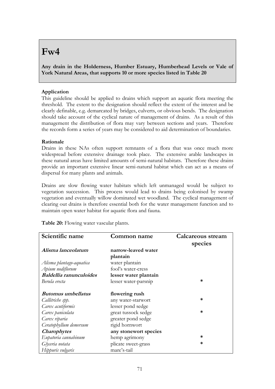## **Fw4**

**Any drain in the Holderness, Humber Estuary, Humberhead Levels or Vale of York Natural Areas, that supports 10 or more species listed in Table 20**

## **Application**

This guideline should be applied to drains which support an aquatic flora meeting the threshold. The extent to the designation should reflect the extent of the interest and be clearly definable, e.g. demarcated by bridges, culverts, or obvious bends. The designation should take account of the cyclical nature of management of drains. As a result of this management the distribution of flora may vary between sections and years. Therefore the records form a series of years may be considered to aid determination of boundaries.

## **Rationale**

Drains in these NAs often support remnants of a flora that was once much more widespread before extensive drainage took place. The extensive arable landscapes in these natural areas have limited amounts of semi-natural habitats. Therefore these drains provide an important extensive linear semi-natural habitat which can act as a means of dispersal for many plants and animals.

Drains are slow flowing water habitats which left unmanaged would be subject to vegetation succession. This process would lead to drains being colonised by swamp vegetation and eventually willow dominated wet woodland. The cyclical management of clearing out drains is therefore essential both for the water management function and to maintain open water habitat for aquatic flora and fauna.

| Scientific name                | <b>Common name</b>    | <b>Calcareous stream</b> |  |  |  |
|--------------------------------|-----------------------|--------------------------|--|--|--|
|                                |                       | species                  |  |  |  |
| Alisma lanceolatum             | narrow-leaved water   |                          |  |  |  |
|                                | plantain              |                          |  |  |  |
| Alisma plantago-aquatica       | water plantain        |                          |  |  |  |
| Apium nodiflorum               | fool's water-cress    |                          |  |  |  |
| <b>Baldellia ranunculoides</b> | lesser water plantain |                          |  |  |  |
| Berula erecta                  | lesser water-parsnip  | *                        |  |  |  |
| <i>Butomus umbellatus</i>      | flowering rush        |                          |  |  |  |
| Callitriche spp.               | any water-starwort    | *                        |  |  |  |
| Carex acutiformis              | lesser pond sedge     |                          |  |  |  |
| Carex paniculata               | great tussock sedge   | ж                        |  |  |  |
| Carex riparia                  | greater pond sedge    |                          |  |  |  |
| Ceratophyllum demersum         | rigid hornwort        |                          |  |  |  |
| <b>Charophytes</b>             | any stonewort species |                          |  |  |  |
| Eupatoria cannabinum           | hemp agrimony         | ∗                        |  |  |  |
| Glyceria notata                | plicate sweet-grass   | *                        |  |  |  |
| Hippuris vulgaris              | mare's-tail           |                          |  |  |  |

**Table 20:** Flowing water vascular plants.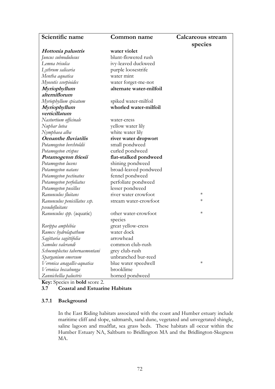| Scientific name                | Common name             | <b>Calcareous stream</b> |
|--------------------------------|-------------------------|--------------------------|
|                                |                         | species                  |
| Hottonia palustris             | water violet            |                          |
| Juncus subnodulosus            | blunt-flowered rush     |                          |
| Lemna trisulca                 | ivy-leaved duckweed     |                          |
| Lythrum salicaria              | purple loosestrife      |                          |
| Mentha aquatica                | water mint              |                          |
| Myosotis scorpioides           | water forget-me-not     |                          |
| Myriophyllum                   | alternate water-milfoil |                          |
| alterniflorum                  |                         |                          |
| Myriophyllum spicatum          | spiked water-milfoil    |                          |
| Myriophyllum                   | whorled water-milfoil   |                          |
| verticillatum                  |                         |                          |
| Nasturtium officinale          | water-cress             |                          |
| Nuphar lutea                   | yellow water lily       |                          |
| Nymphaea alba                  | white water lily        |                          |
| <b>Oenanthe fluviatilis</b>    | river water dropwort    |                          |
| Potamogeton berchtoldii        | small pondweed          |                          |
| Potamogeton crispus            | curled pondweed         |                          |
| Potamogeton friesii            | flat-stalked pondweed   |                          |
| Potamogeton lucens             | shining pondweed        |                          |
| Potamogeton natans             | broad-leaved pondweed   |                          |
| Potamogeton pectinatus         | fennel pondweed         |                          |
| Potamogeton perfoliatus        | perfoliate pondweed     |                          |
| Potamogeton pusillus           | lesser pondweed         |                          |
| Ranunculus fluitans            | river water crowfoot    | $\ast$                   |
| Ranunculus penicillatus ssp.   | stream water-crowfoot   | $\ast$                   |
| pseudofluitans                 |                         |                          |
| Ranunculus spp. (aquatic)      | other water-crowfoot    | $\ast$                   |
|                                | species                 |                          |
| Rorippa amphibia               | great yellow-cress      |                          |
| Rumex hydrolapathum            | water dock              |                          |
| Sagittaria sagittifolia        | arrowhead               |                          |
| Samolus valerandi              | common club-rush        |                          |
| Schoenoplectus tabernaemontani | grey club-rush          |                          |
| Sparganium emersum             | unbranched bur-reed     |                          |
| Veronica anagallis-aquatica    | blue water speedwell    | $\ast$                   |
| Veronica beccabunga            | brooklime               |                          |
| Zannichellia palustris         | horned pondweed         |                          |

**Key:** Species in **bold** score 2.

## **3.7 Coastal and Estuarine Habitats**

## **3.7.1 Background**

In the East Riding habitats associated with the coast and Humber estuary include maritime cliff and slope, saltmarsh, sand dune, vegetated and unvegetated shingle, saline lagoon and mudflat, sea grass beds. These habitats all occur within the Humber Estuary NA, Saltburn to Bridlington MA and the Bridlington-Skegness MA.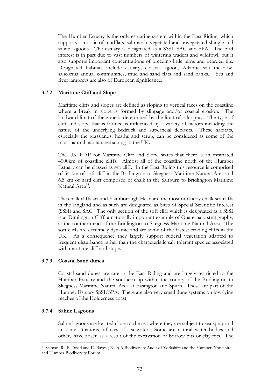The Humber Estuary is the only estuarine system within the East Riding, which supports a mosaic of mudflats, saltmarsh, vegetated and unvegetated shingle and saline lagoons. The estuary is designated as a SSSI, SAC and SPA. The bird interest is in part due to vast numbers of wintering waders and wildfowl, but it also supports important concentrations of breeding little terns and bearded tits. Designated habitats include estuary, coastal lagoon, Atlantic salt meadow, salicornia annual communities, mud and sand flats and sand banks. Sea and river lampreys are also of European significance.

#### **3.7.2 Maritime Cliff and Slope**

Maritime cliffs and slopes are defined as sloping to vertical faces on the coastline where a break in slope is formed by slippage and/or coastal erosion. The landward limit of the zone is determined by the limit of salt spray. The type of cliff and slope that is formed is influenced by a variety of factors including the nature of the underlying bedrock and superficial deposits. These habitats, especially the grasslands, heaths and scrub, can be considered as some of the most natural habitats remaining in the UK.

The UK HAP for Maritime Cliff and Slope states that there is an estimated 4000km of coastline cliffs. Almost all of the coastline north of the Humber Estuary can be classed as sea cliff. In the East Riding this resource is comprised of 54 km of soft cliff in the Bridlington to Skegness Maritime Natural Area and 6.5 km of hard cliff comprised of chalk in the Saltburn to Bridlington Maritime Natural Area<sup>18</sup>.

The chalk cliffs around Flamborough Head are the most northerly chalk sea cliffs in the England and as such are designated as Sites of Special Scientific Interest (SSSI) and SAC. The only section of the soft cliff which is designated as a SSSI is at Dimlington Cliff, a nationally important example of Quaternary stratigraphy, at the southern end of the Bridlington to Skegness Maritime Natural Area. The soft cliffs are extremely dynamic and are some of the fastest eroding cliffs in the UK. As a consequence they largely support ruderal vegetation adapted to frequent disturbance rather than the characteristic salt tolerant species associated with maritime cliff and slope.

#### **3.7.3 Coastal Sand dunes**

Coastal sand dunes are rare in the East Riding and are largely restricted to the Humber Estuary and the southern tip within the county of the Bridlington to Skegness Maritime Natural Area at Easington and Spurn. These are part of the Humber Estuary SSSI/SPA. There are also very small dune systems on low-lying reaches of the Holderness coast.

#### **3.7.4 Saline Lagoons**

<u>.</u>

Saline lagoons are located close to the sea where they are subject to sea spray and in some situations influxes of sea water. Some are natural water bodies and others have arisen as a result of the excavation of borrow pits or clay pits. The

<sup>18</sup> Selman, R., F. Dodd and K. Bayes (1999) A Biodiversity Audit of Yorkshire and the Humber. Yorkshire and Humber Biodiversity Forum.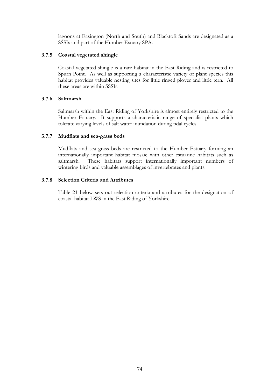lagoons at Easington (North and South) and Blacktoft Sands are designated as a SSSIs and part of the Humber Estuary SPA.

## **3.7.5 Coastal vegetated shingle**

Coastal vegetated shingle is a rare habitat in the East Riding and is restricted to Spurn Point. As well as supporting a characteristic variety of plant species this habitat provides valuable nesting sites for little ringed plover and little tern. All these areas are within SSSIs.

## **3.7.6 Saltmarsh**

Saltmarsh within the East Riding of Yorkshire is almost entirely restricted to the Humber Estuary. It supports a characteristic range of specialist plants which tolerate varying levels of salt water inundation during tidal cycles.

#### **3.7.7 Mudflats and sea-grass beds**

Mudflats and sea grass beds are restricted to the Humber Estuary forming an internationally important habitat mosaic with other estuarine habitats such as saltmarsh. These habitats support internationally important numbers of wintering birds and valuable assemblages of invertebrates and plants.

### **3.7.8 Selection Criteria and Attributes**

Table 21 below sets out selection criteria and attributes for the designation of coastal habitat LWS in the East Riding of Yorkshire.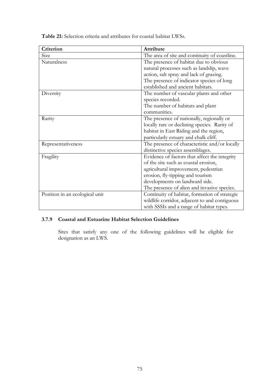**Table 21:** Selection criteria and attributes for coastal habitat LWSs.

| Criterion                      | Attribute                                     |
|--------------------------------|-----------------------------------------------|
| Size                           | The area of site and continuity of coastline. |
| Naturalness                    | The presence of habitat due to obvious        |
|                                | natural processes such as landslip, wave      |
|                                | action, salt spray and lack of grazing.       |
|                                | The presence of indicator species of long     |
|                                | established and ancient habitats.             |
| Diversity                      | The number of vascular plants and other       |
|                                | species recorded.                             |
|                                | The number of habitats and plant              |
|                                | communities.                                  |
| Rarity                         | The presence of nationally, regionally or     |
|                                | locally rare or declining species. Rarity of  |
|                                | habitat in East Riding and the region,        |
|                                | particularly estuary and chalk cliff.         |
| Representativeness             | The presence of characteristic and/or locally |
|                                | distinctive species assemblages.              |
| Fragility                      | Evidence of factors that affect the integrity |
|                                | of the site such as coastal erosion,          |
|                                | agricultural improvement, pedestrian          |
|                                | erosion, fly-tipping and tourism              |
|                                | developments on landward side.                |
|                                | The presence of alien and invasive species.   |
| Position in an ecological unit | Continuity of habitat, formation of strategic |
|                                | wildlife corridor, adjacent to and contiguous |
|                                | with SSSIs and a range of habitat types.      |

## **3.7.9 Coastal and Estuarine Habitat Selection Guidelines**

Sites that satisfy any one of the following guidelines will be eligible for designation as an LWS.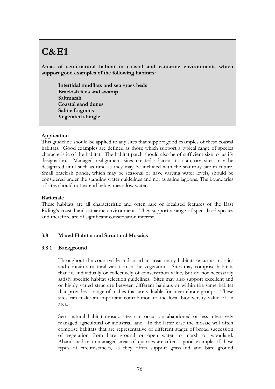## **C&E1**

**Areas of semi-natural habitat in coastal and estuarine environments which support good examples of the following habitats:**

**Intertidal mudflats and sea grass beds Brackish fens and swamp Saltmarsh Coastal sand dunes Saline Lagoons Vegetated shingle**

## **Application**

This guideline should be applied to any sites that support good examples of these coastal habitats. Good examples are defined as those which support a typical range of species characteristic of the habitat. The habitat patch should also be of sufficient size to justify designation. Managed realignment sites created adjacent to statutory sites may be designated until such as time as they may be included with the statutory site in future. Small brackish ponds, which may be seasonal or have varying water levels, should be considered under the standing water guidelines and not as saline lagoons. The boundaries of sites should not extend below mean low water.

## **Rationale**

These habitats are all characteristic and often rare or localised features of the East Riding's coastal and estuarine environment. They support a range of specialised species and therefore are of significant conservation interest.

## **3.8 Mixed Habitat and Structural Mosaics**

## **3.8.1 Background**

Throughout the countryside and in urban areas many habitats occur as mosaics and contain structural variation in the vegetation. Sites may comprise habitats that are individually or collectively of conservation value, but do not necessarily satisfy specific habitat selection guidelines. Sites may also support excellent and or highly varied structure between different habitats or within the same habitat that provides a range of niches that are valuable for invertebrate groups. These sites can make an important contribution to the local biodiversity value of an area.

Semi-natural habitat mosaic sites can occur on abandoned or less intensively managed agricultural or industrial land. In the latter case the mosaic will often comprise habitats that are representative of different stages of broad succession of vegetation from bare ground or open water to marsh or woodland. Abandoned or unmanaged areas of quarries are often a good example of these types of circumstances, as they often support grassland and bare ground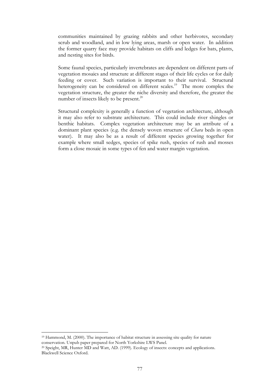communities maintained by grazing rabbits and other herbivores, secondary scrub and woodland, and in low lying areas, marsh or open water. In addition the former quarry face may provide habitats on cliffs and ledges for bats, plants, and nesting sites for birds.

Some faunal species, particularly invertebrates are dependent on different parts of vegetation mosaics and structure at different stages of their life cycles or for daily feeding or cover. Such variation is important to their survival. Structural heterogeneity can be considered on different scales.<sup>19</sup> The more complex the vegetation structure, the greater the niche diversity and therefore, the greater the number of insects likely to be present.<sup>20</sup>

Structural complexity is generally a function of vegetation architecture, although it may also refer to substrate architecture. This could include river shingles or benthic habitats. Complex vegetation architecture may be an attribute of a dominant plant species (e.g. the densely woven structure of *Chara* beds in open water). It may also be as a result of different species growing together for example where small sedges, species of spike rush, species of rush and mosses form a close mosaic in some types of fen and water margin vegetation.

1

<sup>19</sup> Hammond, M. (2000). The importance of habitat structure in assessing site quality for nature conservation. Unpub paper prepared for North Yorkshire LWS Panel.

<sup>&</sup>lt;sup>20</sup> Speight, MR, Hunter MD and Watt, AD. (1999). Ecology of insects: concepts and applications. Blackwell Science Oxford.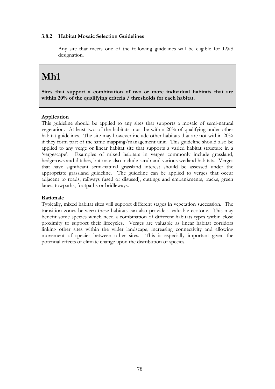## **3.8.2 Habitat Mosaic Selection Guidelines**

Any site that meets one of the following guidelines will be eligible for LWS designation.

## **Mh1**

**Sites that support a combination of two or more individual habitats that are within 20% of the qualifying criteria / thresholds for each habitat.**

## **Application**

This guideline should be applied to any sites that supports a mosaic of semi-natural vegetation. At least two of the habitats must be within 20% of qualifying under other habitat guidelines. The site may however include other habitats that are not within 20% if they form part of the same mapping/management unit. This guideline should also be applied to any verge or linear habitat site that supports a varied habitat structure in a 'vergescape'. Examples of mixed habitats in verges commonly include grassland, hedgerows and ditches, but may also include scrub and various wetland habitats. Verges that have significant semi-natural grassland interest should be assessed under the appropriate grassland guideline. The guideline can be applied to verges that occur adjacent to roads, railways (used or disused), cuttings and embankments, tracks, green lanes, towpaths, footpaths or bridleways.

#### **Rationale**

Typically, mixed habitat sites will support different stages in vegetation succession. The transition zones between these habitats can also provide a valuable ecotone. This may benefit some species which need a combination of different habitats types within close proximity to support their lifecycles. Verges are valuable as linear habitat corridors linking other sites within the wider landscape, increasing connectivity and allowing movement of species between other sites. This is especially important given the potential effects of climate change upon the distribution of species.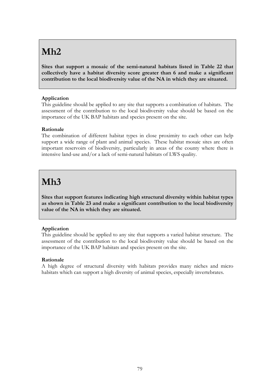# **Mh2**

**Sites that support a mosaic of the semi-natural habitats listed in Table 22 that collectively have a habitat diversity score greater than 6 and make a significant contribution to the local biodiversity value of the NA in which they are situated.**

## **Application**

This guideline should be applied to any site that supports a combination of habitats. The assessment of the contribution to the local biodiversity value should be based on the importance of the UK BAP habitats and species present on the site.

## **Rationale**

The combination of different habitat types in close proximity to each other can help support a wide range of plant and animal species. These habitat mosaic sites are often important reservoirs of biodiversity, particularly in areas of the county where there is intensive land-use and/or a lack of semi-natural habitats of LWS quality.

## **Mh3**

**Sites that support features indicating high structural diversity within habitat types as shown in Table 23 and make a significant contribution to the local biodiversity value of the NA in which they are situated.** 

## **Application**

This guideline should be applied to any site that supports a varied habitat structure. The assessment of the contribution to the local biodiversity value should be based on the importance of the UK BAP habitats and species present on the site.

## **Rationale**

A high degree of structural diversity with habitats provides many niches and micro habitats which can support a high diversity of animal species, especially invertebrates.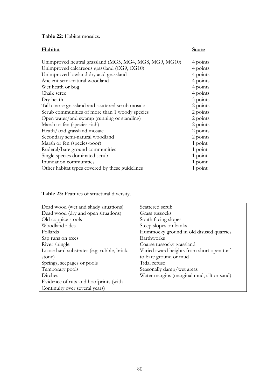**Table 22:** Habitat mosaics.

| <b>Habitat</b>                                          | <b>Score</b> |
|---------------------------------------------------------|--------------|
|                                                         |              |
| Unimproved neutral grassland (MG5, MG4, MG8, MG9, MG10) | 4 points     |
| Unimproved calcareous grassland (CG9, CG10)             | 4 points     |
| Unimproved lowland dry acid grassland                   | 4 points     |
| Ancient semi-natural woodland                           | 4 points     |
| Wet heath or bog                                        | 4 points     |
| Chalk scree                                             | 4 points     |
| Dry heath                                               | 3 points     |
| Tall coarse grassland and scattered scrub mosaic        | 2 points     |
| Scrub communities of more than 1 woody species          | 2 points     |
| Open water/and swamp (running or standing)              | 2 points     |
| Marsh or fen (species-rich)                             | 2 points     |
| Heath/acid grassland mosaic                             | 2 points     |
| Secondary semi-natural woodland                         | 2 points     |
| Marsh or fen (species-poor)                             | 1 point      |
| Ruderal/bare ground communities                         | 1 point      |
| Single species dominated scrub                          | 1 point      |
| Inundation communities                                  | 1 point      |
| Other habitat types covered by these guidelines         | 1 point      |
|                                                         |              |

**Table 23:** Features of structural diversity.

| Dead wood (wet and shady situations)       | Scattered scrub                            |
|--------------------------------------------|--------------------------------------------|
| Dead wood (dry and open situations)        | Grass tussocks                             |
| Old coppice stools                         | South facing slopes                        |
| Woodland rides                             | Steep slopes on banks                      |
| Pollards                                   | Hummocky ground in old disused quarries    |
| Sap runs on trees                          | Earthworks                                 |
| River shingle                              | Coarse tussocky grassland                  |
| Loose hard substrates (e.g. rubble, brick, | Varied sward heights from short open turf  |
| stone)                                     | to bare ground or mud                      |
| Springs, seepages or pools                 | Tidal refuse                               |
| Temporary pools                            | Seasonally damp/wet areas                  |
| Ditches                                    | Water margins (marginal mud, silt or sand) |
| Evidence of ruts and hoofprints (with      |                                            |
| Continuity over several years)             |                                            |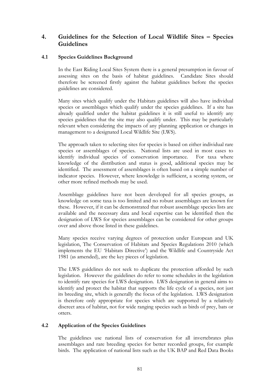## **4. Guidelines for the Selection of Local Wildlife Sites – Species Guidelines**

## **4.1 Species Guidelines Background**

In the East Riding Local Sites System there is a general presumption in favour of assessing sites on the basis of habitat guidelines. Candidate Sites should therefore be screened firstly against the habitat guidelines before the species guidelines are considered.

Many sites which qualify under the Habitats guidelines will also have individual species or assemblages which qualify under the species guidelines. If a site has already qualified under the habitat guidelines it is still useful to identify any species guidelines that the site may also qualify under. This may be particularly relevant when considering the impacts of any planning application or changes in management to a designated Local Wildlife Site (LWS).

The approach taken to selecting sites for species is based on either individual rare species or assemblages of species. National lists are used in most cases to identify individual species of conservation importance. For taxa where knowledge of the distribution and status is good, additional species may be identified. The assessment of assemblages is often based on a simple number of indicator species. However, where knowledge is sufficient, a scoring system, or other more refined methods may be used.

Assemblage guidelines have not been developed for all species groups, as knowledge on some taxa is too limited and no robust assemblages are known for these. However, if it can be demonstrated that robust assemblage species lists are available and the necessary data and local expertise can be identified then the designation of LWS for species assemblages can be considered for other groups over and above those listed in these guidelines.

Many species receive varying degrees of protection under European and UK legislation, The Conservation of Habitats and Species Regulations 2010 (which implements the EU 'Habitats Directive') and the Wildlife and Countryside Act 1981 (as amended), are the key pieces of legislation.

The LWS guidelines do not seek to duplicate the protection afforded by such legislation. However the guidelines do refer to some schedules in the legislation to identify rare species for LWS designation. LWS designation in general aims to identify and protect the habitat that supports the life cycle of a species, not just its breeding site, which is generally the focus of the legislation. LWS designation is therefore only appropriate for species which are supported by a relatively discreet area of habitat, not for wide ranging species such as birds of prey, bats or otters.

## **4.2 Application of the Species Guidelines**

The guidelines use national lists of conservation for all invertebrates plus assemblages and rare breeding species for better recorded groups, for example birds. The application of national lists such as the UK BAP and Red Data Books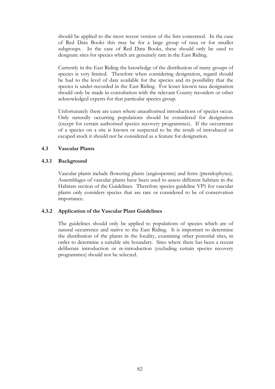should be applied to the most recent version of the lists concerned. In the case of Red Data Books this may be for a large group of taxa or for smaller subgroups. In the case of Red Data Books, these should only be used to designate sites for species which are genuinely rare in the East Riding.

Currently in the East Riding the knowledge of the distribution of many groups of species is very limited. Therefore when considering designation, regard should be had to the level of data available for the species and its possibility that the species is under-recorded in the East Riding. For lesser known taxa designation should only be made in consultation with the relevant County recorders or other acknowledged experts for that particular species group.

Unfortunately there are cases where unauthorised introductions of species occur. Only naturally occurring populations should be considered for designation (except for certain authorised species recovery programmes). If the occurrence of a species on a site is known or suspected to be the result of introduced or escaped stock it should not be considered as a feature for designation.

## **4.3 Vascular Plants**

## **4.3.1 Background**

Vascular plants include flowering plants (angiosperms) and ferns (pteridophytes). Assemblages of vascular plants have been used to assess different habitats in the Habitats section of the Guidelines. Therefore species guideline VP1 for vascular plants only considers species that are rare or considered to be of conservation importance.

## **4.3.2 Application of the Vascular Plant Guidelines**

The guidelines should only be applied to populations of species which are of natural occurrence and native to the East Riding. It is important to determine the distribution of the plants in the locality, examining other potential sites, in order to determine a suitable site boundary. Sites where there has been a recent deliberate introduction or re-introduction (excluding certain species recovery programmes) should not be selected.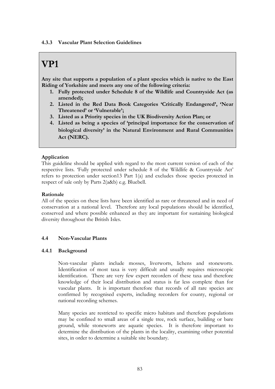#### **4.3.3 Vascular Plant Selection Guidelines**

## **VP1**

**Any site that supports a population of a plant species which is native to the East Riding of Yorkshire and meets any one of the following criteria:**

- **1. Fully protected under Schedule 8 of the Wildlife and Countryside Act (as amended);**
- **2. Listed in the Red Data Book Categories 'Critically Endangered', 'Near Threatened' or 'Vulnerable';**
- **3. Listed as a Priority species in the UK Biodiversity Action Plan; or**
- **4. Listed as being a species of 'principal importance for the conservation of biological diversity' in the Natural Environment and Rural Communities Act (NERC).**

## **Application**

This guideline should be applied with regard to the most current version of each of the respective lists. 'Fully protected under schedule 8 of the Wildlife & Countryside Act' refers to protection under section13 Part 1(a) and excludes those species protected in respect of sale only by Parts 2(a&b) e.g. Bluebell.

#### **Rationale**

All of the species on these lists have been identified as rare or threatened and in need of conservation at a national level. Therefore any local populations should be identified, conserved and where possible enhanced as they are important for sustaining biological diversity throughout the British Isles.

## **4.4 Non-Vascular Plants**

#### **4.4.1 Background**

Non-vascular plants include mosses, liverworts, lichens and stoneworts. Identification of most taxa is very difficult and usually requires microscopic identification. There are very few expert recorders of these taxa and therefore knowledge of their local distribution and status is far less complete than for vascular plants. It is important therefore that records of all rare species are confirmed by recognised experts, including recorders for county, regional or national recording schemes.

Many species are restricted to specific micro habitats and therefore populations may be confined to small areas of a single tree, rock surface, building or bare ground, while stoneworts are aquatic species. It is therefore important to determine the distribution of the plants in the locality, examining other potential sites, in order to determine a suitable site boundary.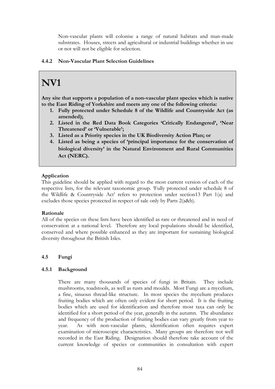Non-vascular plants will colonise a range of natural habitats and man-made substrates. Houses, streets and agricultural or industrial buildings whether in use or not will not be eligible for selection.

## **4.4.2 Non-Vascular Plant Selection Guidelines**

# **NV1**

**Any site that supports a population of a non-vascular plant species which is native to the East Riding of Yorkshire and meets any one of the following criteria:**

- **1. Fully protected under Schedule 8 of the Wildlife and Countryside Act (as amended);**
- **2. Listed in the Red Data Book Categories 'Critically Endangered', 'Near Threatened' or 'Vulnerable';**
- **3. Listed as a Priority species in the UK Biodiversity Action Plan; or**
- **4. Listed as being a species of 'principal importance for the conservation of biological diversity' in the Natural Environment and Rural Communities Act (NERC).**

## **Application**

This guideline should be applied with regard to the most current version of each of the respective lists, for the relevant taxonomic group. 'Fully protected under schedule 8 of the Wildlife & Countryside Act' refers to protection under section13 Part 1(a) and excludes those species protected in respect of sale only by Parts 2(a&b).

## **Rationale**

All of the species on these lists have been identified as rare or threatened and in need of conservation at a national level. Therefore any local populations should be identified, conserved and where possible enhanced as they are important for sustaining biological diversity throughout the British Isles.

## **4.5 Fungi**

## **4.5.1 Background**

There are many thousands of species of fungi in Britain. They include mushrooms, toadstools, as well as rusts and moulds. Most Fungi are a mycelium, a fine, sinuous thread-like structure. In most species the mycelium produces fruiting bodies which are often only evident for short period. It is the fruiting bodies which are used for identification and therefore most taxa can only be identified for a short period of the year, generally in the autumn. The abundance and frequency of the production of fruiting bodies can vary greatly from year to year. As with non-vascular plants, identification often requires expert examination of microscopic characteristics. Many groups are therefore not well recorded in the East Riding. Designation should therefore take account of the current knowledge of species or communities in consultation with expert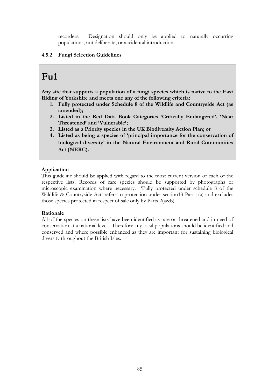recorders. Designation should only be applied to naturally occurring populations, not deliberate, or accidental introductions.

## **4.5.2 Fungi Selection Guidelines**

## **Fu1**

**Any site that supports a population of a fungi species which is native to the East Riding of Yorkshire and meets one any of the following criteria:**

- **1. Fully protected under Schedule 8 of the Wildlife and Countryside Act (as amended);**
- **2. Listed in the Red Data Book Categories 'Critically Endangered', 'Near Threatened' and 'Vulnerable';**
- **3. Listed as a Priority species in the UK Biodiversity Action Plan; or**
- **4. Listed as being a species of 'principal importance for the conservation of biological diversity' in the Natural Environment and Rural Communities Act (NERC).**

## **Application**

This guideline should be applied with regard to the most current version of each of the respective lists. Records of rare species should be supported by photographs or microscopic examination where necessary. 'Fully protected under schedule 8 of the Wildlife & Countryside Act' refers to protection under section13 Part 1(a) and excludes those species protected in respect of sale only by Parts 2(a&b).

## **Rationale**

All of the species on these lists have been identified as rare or threatened and in need of conservation at a national level. Therefore any local populations should be identified and conserved and where possible enhanced as they are important for sustaining biological diversity throughout the British Isles.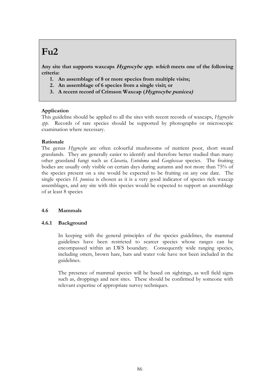# **Fu2**

**Any site that supports waxcaps Hygrocybe spp. which meets one of the following criteria:**

- **1. An assemblage of 8 or more species from multiple visits;**
- **2. An assemblage of 6 species from a single visit; or**
- **3. A recent record of Crimson Waxcap (Hygrocybe punicea)**

## **Application**

This guideline should be applied to all the sites with recent records of waxcaps, *Hygrocybe spp.* Records of rare species should be supported by photographs or microscopic examination where necessary.

#### **Rationale**

The genus *Hygrocybe* are often colourful mushrooms of nutrient poor, short sward grasslands. They are generally easier to identify and therefore better studied than many other grassland fungi such as *Clavaria, Entoloma* and *Geoglosscae* species. The fruiting bodies are usually only visible on certain days during autumn and not more than 75% of the species present on a site would be expected to be fruiting on any one date. The single species *H. punicea* is chosen as it is a very good indicator of species rich waxcap assemblages, and any site with this species would be expected to support an assemblage of at least 8 species

## **4.6 Mammals**

## **4.6.1 Background**

In keeping with the general principles of the species guidelines, the mammal guidelines have been restricted to scarcer species whose ranges can be encompassed within an LWS boundary. Consequently wide ranging species, including otters, brown hare, bats and water vole have not been included in the guidelines.

The presence of mammal species will be based on sightings, as well field signs such as, droppings and nest sites. These should be confirmed by someone with relevant expertise of appropriate survey techniques.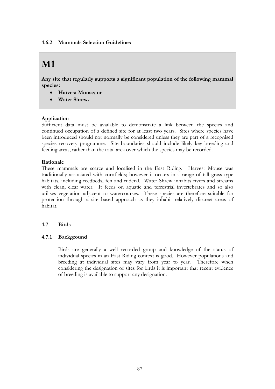#### **4.6.2 Mammals Selection Guidelines**

# **M1**

**Any site that regularly supports a significant population of the following mammal species:**

- **Harvest Mouse; or**
- **Water Shrew.**

## **Application**

Sufficient data must be available to demonstrate a link between the species and continued occupation of a defined site for at least two years. Sites where species have been introduced should not normally be considered unless they are part of a recognised species recovery programme. Site boundaries should include likely key breeding and feeding areas, rather than the total area over which the species may be recorded.

#### **Rationale**

These mammals are scarce and localised in the East Riding. Harvest Mouse was traditionally associated with cornfields; however it occurs in a range of tall grass type habitats, including reedbeds, fen and ruderal. Water Shrew inhabits rivers and streams with clean, clear water. It feeds on aquatic and terrestrial invertebrates and so also utilises vegetation adjacent to watercourses. These species are therefore suitable for protection through a site based approach as they inhabit relatively discreet areas of habitat.

## **4.7 Birds**

## **4.7.1 Background**

Birds are generally a well recorded group and knowledge of the status of individual species in an East Riding context is good. However populations and breeding at individual sites may vary from year to year. Therefore when considering the designation of sites for birds it is important that recent evidence of breeding is available to support any designation.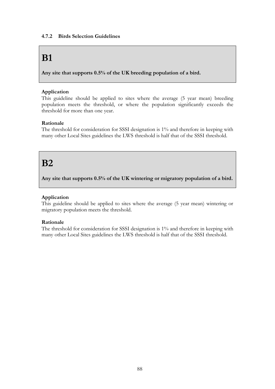## **4.7.2 Birds Selection Guidelines**

## **B1**

**Any site that supports 0.5% of the UK breeding population of a bird.**

## **Application**

This guideline should be applied to sites where the average (5 year mean) breeding population meets the threshold, or where the population significantly exceeds the threshold for more than one year.

## **Rationale**

The threshold for consideration for SSSI designation is 1% and therefore in keeping with many other Local Sites guidelines the LWS threshold is half that of the SSSI threshold.

## **B2**

**Any site that supports 0.5% of the UK wintering or migratory population of a bird.**

## **Application**

This guideline should be applied to sites where the average (5 year mean) wintering or migratory population meets the threshold.

## **Rationale**

The threshold for consideration for SSSI designation is 1% and therefore in keeping with many other Local Sites guidelines the LWS threshold is half that of the SSSI threshold.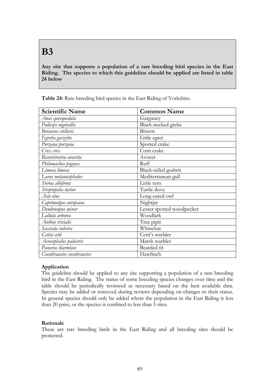# **B3**

**Any site that supports a population of a rare breeding bird species in the East Riding. The species to which this guideline should be applied are listed in table 24 below**

| <b>Scientific Name</b>      | <b>Common Name</b>        |
|-----------------------------|---------------------------|
| Anas querquedula            | Garganey                  |
| Podiceps nigricollis        | Black-necked grebe        |
| Botaurus stellaris          | Bittern                   |
| Egretta garzetta            | Little egret              |
| Porzana porzana             | Spotted crake             |
| $C$ rex crex                | Corn crake                |
| Recurvirostra avocetta      | Avocet                    |
| Philomachus pugnax          | Ruff                      |
| Limosa limosa               | Black-tailed godwit       |
| Larus melanocephalus        | Mediterranean gull        |
| Sterna albifrons            | Little tern               |
| Streptopelia turtur         | Turtle dove               |
| Asio otus                   | Long-eared owl            |
| Caprimulgus europaeus       | Nightjar                  |
| Dendrocopus minor           | Lesser spotted woodpecker |
| Lullula arborea             | Woodlark                  |
| Anthus trivialis            | Tree pipit                |
| Saxicola rubetra            | Whinchat                  |
| Cettia cetti                | Cetti's warbler           |
| Acrocephalus palustris      | Marsh warbler             |
| Panurus biarmicus           | Bearded tit               |
| Cocothraustes cocothraustes | Hawfinch                  |

**Table 24:** Rare breeding bird species in the East Riding of Yorkshire.

## **Application**

The guideline should be applied to any site supporting a population of a rare breeding bird in the East Riding. The status of some breeding species changes over time and the table should be periodically reviewed as necessary based on the best available data. Species may be added or removed during reviews depending on changes to their status. In general species should only be added where the population in the East Riding is less than 20 pairs, or the species is confined to less than 5 sites.

## **Rationale**

These are rare breeding birds in the East Riding and all breeding sites should be protected.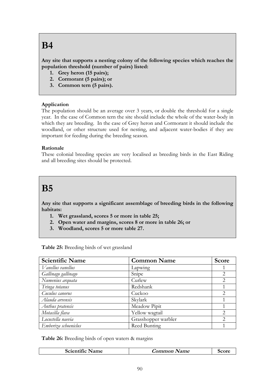# **B4**

**Any site that supports a nesting colony of the following species which reaches the population threshold (number of pairs) listed:**

- **1. Grey heron (15 pairs);**
- **2. Cormorant (5 pairs); or**
- **3. Common tern (5 pairs).**

## **Application**

The population should be an average over 3 years, or double the threshold for a single year. In the case of Common tern the site should include the whole of the water-body in which they are breeding. In the case of Grey heron and Cormorant it should include the woodland, or other structure used for nesting, and adjacent water-bodies if they are important for feeding during the breeding season.

## **Rationale**

These colonial breeding species are very localised as breeding birds in the East Riding and all breeding sites should be protected.

## **B5**

**Any site that supports a significant assemblage of breeding birds in the following habitats:**

- **1. Wet grassland, scores 5 or more in table 25;**
- **2. Open water and margins, scores 8 or more in table 26; or**
- **3. Woodland, scores 5 or more table 27.**

| Table 25: Breeding birds of wet grassland |  |  |  |
|-------------------------------------------|--|--|--|
|-------------------------------------------|--|--|--|

| <b>Scientific Name</b> | <b>Common Name</b>  | <b>Score</b>   |
|------------------------|---------------------|----------------|
| Vanellus vanellus      | Lapwing             |                |
| Gallinago gallinago    | Snipe               | 2              |
| Numenius arquata       | Curlew              | $\overline{2}$ |
| Tringa totanus         | Redshank            |                |
| Cuculus canorus        | Cuckoo              | 2              |
| Alauda arvensis        | Skylark             |                |
| Anthus pratensis       | Meadow Pipit        |                |
| Motacilla flava        | Yellow wagtail      | 2              |
| Locustella naevia      | Grasshopper warbler | 2              |
| Emberiza schoeniclus   | Reed Bunting        |                |

**Table 26:** Breeding birds of open waters & margins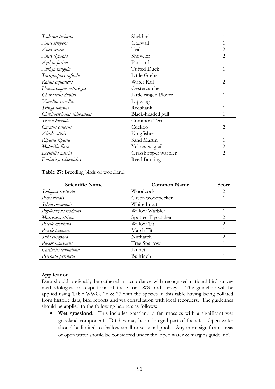| Tadorna tadorna            | Shelduck             | $\mathbf{1}$   |
|----------------------------|----------------------|----------------|
| Anas strepera              | Gadwall              |                |
| Anas crecca                | Teal                 | $\overline{2}$ |
| Anas clypeata              | Shoveler             | $\overline{2}$ |
| Aythya farina              | Pochard              | 1              |
| Aythya fuligula            | <b>Tufted Duck</b>   | 1              |
| Tachybaptus ruficollis     | Little Grebe         |                |
| Rallus aquaticus           | Water Rail           | $\overline{2}$ |
| Haemataopus ostralegus     | Oystercatcher        | 1              |
| Charadrius dubius          | Little ringed Plover | $\mathbf{1}$   |
| Vanellus vanellus          | Lapwing              | 1              |
| Tringa totanus             | Redshank             | 1              |
| Chroicocephalus ridibundus | Black-headed gull    | 1              |
| Sterna hirundo             | Common Tern          | 1              |
| Cuculus canorus            | Cuckoo               | $\overline{2}$ |
| Alcedo atthis              | Kingfisher           | $\mathbf{1}$   |
| Riparia riparia            | Sand Martin          | 1              |
| Motacilla flava            | Yellow wagtail       | $\overline{2}$ |
| Locutella naevia           | Grasshopper warbler  | $\overline{2}$ |
| Emberiza schoeniclus       | Reed Bunting         | 1              |

#### **Table 27:** Breeding birds of woodland

| <b>Scientific Name</b><br><b>Common Name</b> |                    | Score                       |
|----------------------------------------------|--------------------|-----------------------------|
| Scolopax rusticola                           | Woodcock           | 2                           |
| Picus viridis                                | Green woodpecker   |                             |
| Sylvia communis                              | Whitethroat        |                             |
| Phylloscopus trochilus                       | Willow Warbler     |                             |
| Muscicapa striata                            | Spotted Flycatcher | $\mathcal{D}_{\mathcal{L}}$ |
| Poecile montana                              | Willow Tit         | 2                           |
| Poecile palustris                            | Marsh Tit          | 1                           |
| Sitta europaea                               | Nuthatch           | $\mathcal{D}_{\mathcal{L}}$ |
| Passer montanus                              | Tree Sparrow       |                             |
| Carduelis cannabina                          | Linnet             |                             |
| Pyrrhula pyrrhula                            | Bullfinch          |                             |

## **Application**

Data should preferably be gathered in accordance with recognised national bird survey methodologies or adaptations of these for LWS bird surveys. The guideline will be applied using Table WWG, 26 & 27 with the species in this table having being collated from historic data, bird reports and via consultation with local recorders. The guidelines should be applied to the following habitats as follows:

 **Wet grassland.** This includes grassland / fen mosaics with a significant wet grassland component. Ditches may be an integral part of the site. Open water should be limited to shallow small or seasonal pools. Any more significant areas of open water should be considered under the 'open water & margins guideline'.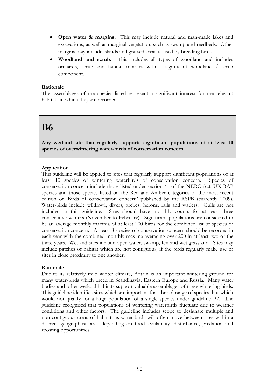- **Open water & margins.** This may include natural and man-made lakes and excavations, as well as marginal vegetation, such as swamp and reedbeds. Other margins may include islands and grassed areas utilised by breeding birds.
- **Woodland and scrub.** This includes all types of woodland and includes orchards, scrub and habitat mosaics with a significant woodland / scrub component.

#### **Rationale**

The assemblages of the species listed represent a significant interest for the relevant habitats in which they are recorded.

## **B6**

**Any wetland site that regularly supports significant populations of at least 10 species of overwintering water-birds of conservation concern.**

## **Application**

This guideline will be applied to sites that regularly support significant populations of at least 10 species of wintering waterbirds of conservation concern. Species of conservation concern include those listed under section 41 of the NERC Act, UK BAP species and those species listed on the Red and Amber categories of the most recent edition of 'Birds of conservation concern' published by the RSPB (currently 2009). Water-birds include wildfowl, divers, grebes, herons, rails and waders. Gulls are not included in this guideline. Sites should have monthly counts for at least three consecutive winters (November to February). Significant populations are considered to be an average monthly maxima of at least 200 birds for the combined list of species of conservation concern. At least 8 species of conservation concern should be recorded in each year with the combined monthly maxima averaging over 200 in at least two of the three years. Wetland sites include open water, swamp, fen and wet grassland. Sites may include patches of habitat which are not contiguous, if the birds regularly make use of sites in close proximity to one another.

## **Rationale**

Due to its relatively mild winter climate, Britain is an important wintering ground for many water-birds which breed in Scandinavia, Eastern Europe and Russia. Many water bodies and other wetland habitats support valuable assemblages of these wintering birds. This guideline identifies sites which are important for a broad range of species, but which would not qualify for a large population of a single species under guideline B2. The guideline recognised that populations of wintering waterbirds fluctuate due to weather conditions and other factors. The guideline includes scope to designate multiple and non-contiguous areas of habitat, as water-birds will often move between sites within a discreet geographical area depending on food availability, disturbance, predation and roosting opportunities.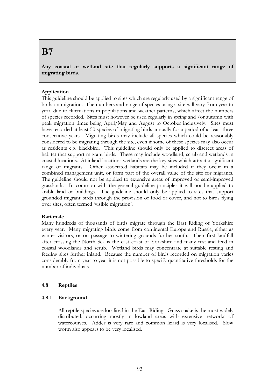## **B7**

**Any coastal or wetland site that regularly supports a significant range of migrating birds.**

## **Application**

This guideline should be applied to sites which are regularly used by a significant range of birds on migration. The numbers and range of species using a site will vary from year to year, due to fluctuations in populations and weather patterns, which affect the numbers of species recorded. Sites must however be used regularly in spring and /or autumn with peak migration times being April/May and August to October inclusively. Sites must have recorded at least 50 species of migrating birds annually for a period of at least three consecutive years. Migrating birds may include all species which could be reasonably considered to be migrating through the site, even if some of these species may also occur as residents e.g. blackbird. This guideline should only be applied to discreet areas of habitat that support migrant birds. These may include woodland, scrub and wetlands in coastal locations. At inland locations wetlands are the key sites which attract a significant range of migrants. Other associated habitats may be included if they occur in a combined management unit, or form part of the overall value of the site for migrants. The guideline should not be applied to extensive areas of improved or semi-improved grasslands. In common with the general guideline principles it will not be applied to arable land or buildings. The guideline should only be applied to sites that support grounded migrant birds through the provision of food or cover, and not to birds flying over sites, often termed 'visible migration'.

## **Rationale**

Many hundreds of thousands of birds migrate through the East Riding of Yorkshire every year. Many migrating birds come from continental Europe and Russia, either as winter visitors, or on passage to wintering grounds further south. Their first landfall after crossing the North Sea is the east coast of Yorkshire and many rest and feed in coastal woodlands and scrub. Wetland birds may concentrate at suitable resting and feeding sites further inland. Because the number of birds recorded on migration varies considerably from year to year it is not possible to specify quantitative thresholds for the number of individuals.

## **4.8 Reptiles**

## **4.8.1 Background**

All reptile species are localised in the East Riding. Grass snake is the most widely distributed, occurring mostly in lowland areas with extensive networks of watercourses. Adder is very rare and common lizard is very localised. Slow worm also appears to be very localised.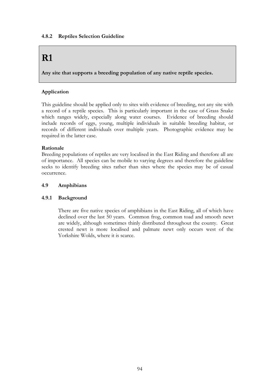## **4.8.2 Reptiles Selection Guideline**

## **R1**

**Any site that supports a breeding population of any native reptile species.**

## **Application**

This guideline should be applied only to sites with evidence of breeding, not any site with a record of a reptile species. This is particularly important in the case of Grass Snake which ranges widely, especially along water courses. Evidence of breeding should include records of eggs, young, multiple individuals in suitable breeding habitat, or records of different individuals over multiple years. Photographic evidence may be required in the latter case.

## **Rationale**

Breeding populations of reptiles are very localised in the East Riding and therefore all are of importance. All species can be mobile to varying degrees and therefore the guideline seeks to identify breeding sites rather than sites where the species may be of casual occurrence.

## **4.9 Amphibians**

## **4.9.1 Background**

There are five native species of amphibians in the East Riding, all of which have declined over the last 50 years. Common frog, common toad and smooth newt are widely, although sometimes thinly distributed throughout the county. Great crested newt is more localised and palmate newt only occurs west of the Yorkshire Wolds, where it is scarce.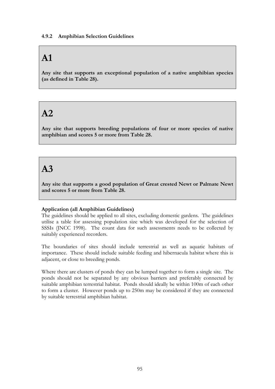## **A1**

**Any site that supports an exceptional population of a native amphibian species (as defined in Table 28).**

## **A2**

**Any site that supports breeding populations of four or more species of native amphibian and scores 5 or more from Table 28.**

## **A3**

**Any site that supports a good population of Great crested Newt or Palmate Newt and scores 5 or more from Table 28.**

## **Application (all Amphibian Guidelines)**

The guidelines should be applied to all sites, excluding domestic gardens. The guidelines utilise a table for assessing population size which was developed for the selection of SSSIs (JNCC 1998). The count data for such assessments needs to be collected by suitably experienced recorders.

The boundaries of sites should include terrestrial as well as aquatic habitats of importance. These should include suitable feeding and hibernacula habitat where this is adjacent, or close to breeding ponds.

Where there are clusters of ponds they can be lumped together to form a single site. The ponds should not be separated by any obvious barriers and preferably connected by suitable amphibian terrestrial habitat. Ponds should ideally be within 100m of each other to form a cluster. However ponds up to 250m may be considered if they are connected by suitable terrestrial amphibian habitat.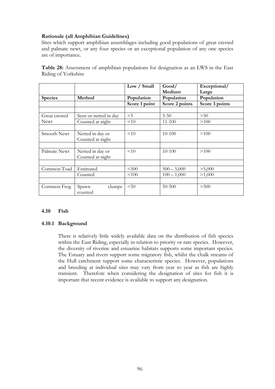## **Rationale (all Amphibian Guidelines)**

Sites which support amphibian assemblages including good populations of great crested and palmate newt, or any four species or an exceptional population of any one species are of importance.

|                     | Table 28: Assessment of amphibian populations for designation as an LWS in the East |  |  |  |  |
|---------------------|-------------------------------------------------------------------------------------|--|--|--|--|
| Riding of Yorkshire |                                                                                     |  |  |  |  |

|                |                       | Low / Small   | Good/          | Exceptional/   |
|----------------|-----------------------|---------------|----------------|----------------|
|                |                       |               | Medium         | Large          |
| <b>Species</b> | Method                | Population    | Population     | Population     |
|                |                       | Score 1 point | Score 2 points | Score 3 points |
|                |                       |               |                |                |
| Great crested  | Seen or netted in day | $<$ 5         | $5 - 50$       | >50            |
| <b>Newt</b>    | Counted at night      | < 10          | $11 - 100$     | >100           |
|                |                       |               |                |                |
| Smooth Newt    | Netted in day or      | <10           | $10 - 100$     | >100           |
|                | Counted at night      |               |                |                |
|                |                       |               |                |                |
| Palmate Newt   | Netted in day or      | <10           | $10 - 100$     | >100           |
|                | Counted at night      |               |                |                |
|                |                       |               |                |                |
| Common Toad    | Estimated             | < 500         | $500 - 5,000$  | >5,000         |
|                | Counted               | < 100         | $100 - 1,000$  | >1,000         |
|                |                       |               |                |                |
| Common Frog    | Spawn<br>clumps       | $50$          | $50 - 500$     | > 500          |
|                | counted               |               |                |                |

## **4.10 Fish**

## **4.10.1 Background**

There is relatively little widely available data on the distribution of fish species within the East Riding, especially in relation to priority or rare species. However, the diversity of riverine and estuarine habitats supports some important species. The Estuary and rivers support some migratory fish, whilst the chalk streams of the Hull catchment support some characteristic species. However, populations and breeding at individual sites may vary from year to year as fish are highly transient. Therefore when considering the designation of sites for fish it is important that recent evidence is available to support any designation.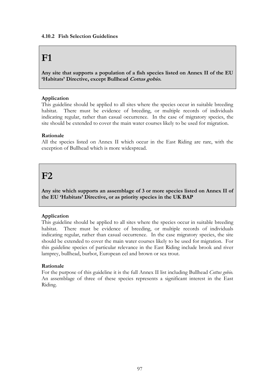## **F1**

**Any site that supports a population of a fish species listed on Annex II of the EU 'Habitats' Directive, except Bullhead Cottus gobio.**

## **Application**

This guideline should be applied to all sites where the species occur in suitable breeding habitat. There must be evidence of breeding, or multiple records of individuals indicating regular, rather than casual occurrence. In the case of migratory species, the site should be extended to cover the main water courses likely to be used for migration.

## **Rationale**

All the species listed on Annex II which occur in the East Riding are rare, with the exception of Bullhead which is more widespread.

## **F2**

**Any site which supports an assemblage of 3 or more species listed on Annex II of the EU 'Habitats' Directive, or as priority species in the UK BAP**

## **Application**

This guideline should be applied to all sites where the species occur in suitable breeding habitat. There must be evidence of breeding, or multiple records of individuals indicating regular, rather than casual occurrence. In the case migratory species, the site should be extended to cover the main water courses likely to be used for migration. For this guideline species of particular relevance in the East Riding include brook and river lamprey, bullhead, burbot, European eel and brown or sea trout.

## **Rationale**

For the purpose of this guideline it is the full Annex II list including Bullhead *Cottus gobio.* An assemblage of three of these species represents a significant interest in the East Riding.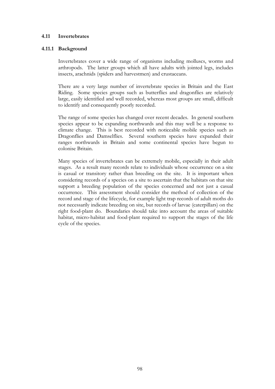### **4.11 Invertebrates**

#### **4.11.1 Background**

Invertebrates cover a wide range of organisms including molluscs, worms and arthropods. The latter groups which all have adults with jointed legs, includes insects, arachnids (spiders and harvestmen) and crustaceans.

There are a very large number of invertebrate species in Britain and the East Riding. Some species groups such as butterflies and dragonflies are relatively large, easily identified and well recorded, whereas most groups are small, difficult to identify and consequently poorly recorded.

The range of some species has changed over recent decades. In general southern species appear to be expanding northwards and this may well be a response to climate change. This is best recorded with noticeable mobile species such as Dragonflies and Damselflies. Several southern species have expanded their ranges northwards in Britain and some continental species have begun to colonise Britain.

Many species of invertebrates can be extremely mobile, especially in their adult stages. As a result many records relate to individuals whose occurrence on a site is casual or transitory rather than breeding on the site. It is important when considering records of a species on a site to ascertain that the habitats on that site support a breeding population of the species concerned and not just a casual occurrence. This assessment should consider the method of collection of the record and stage of the lifecycle, for example light trap records of adult moths do not necessarily indicate breeding on site, but records of larvae (caterpillars) on the right food-plant do. Boundaries should take into account the areas of suitable habitat, micro-habitat and food-plant required to support the stages of the life cycle of the species.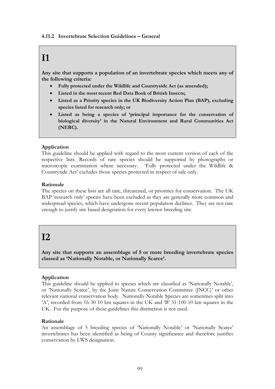## **I1**

**Any site that supports a population of an invertebrate species which meets any of the following criteria:**

- **Fully protected under the Wildlife and Countryside Act (as amended);**
- **Listed in the most recent Red Data Book of British Insects;**
- **Listed as a Priority species in the UK Biodiversity Action Plan (BAP), excluding species listed for research only; or**
- **Listed as being a species of 'principal importance for the conservation of biological diversity' in the Natural Environment and Rural Communities Act (NERC).**

## **Application**

This guideline should be applied with regard to the most current version of each of the respective lists. Records of rare species should be supported by photographs or microscopic examination where necessary. 'Fully protected under the Wildlife & Countryside Act' excludes those species protected in respect of sale only.

## **Rationale**

The species on these lists are all rare, threatened, or priorities for conservation. The UK BAP 'research only' species have been excluded as they are generally more common and widespread species, which have undergone recent population declines. They are not rare enough to justify site based designation for every known breeding site.

## **I2**

**Any site that supports an assemblage of 5 or more breeding invertebrate species classed as 'Nationally Notable, or Nationally Scarce'.**

## **Application**

This guideline should be applied to species which are classified as 'Nationally Notable', or 'Nationally Scarce', by the Joint Nature Conservation Committee (JNCC)' or other relevant national conservation body. Nationally Notable Species are sometimes split into 'A', recorded from 16-30 10 km squares in the UK and 'B' 31-100 10 km squares in the UK. For the purpose of these guidelines this distinction is not used.

## **Rationale**

An assemblage of 5 breeding species of 'Nationally Notable' or 'Nationally Scarce' invertebrates has been identified as being of County significance and therefore justifies conservation by LWS designation.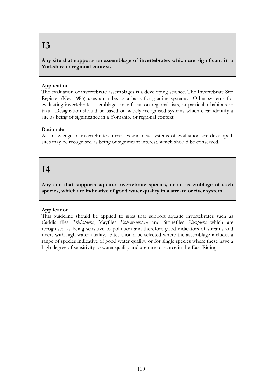## **I3**

**Any site that supports an assemblage of invertebrates which are significant in a Yorkshire or regional context.**

## **Application**

The evaluation of invertebrate assemblages is a developing science. The Invertebrate Site Register (Key 1986) uses an index as a basis for grading systems. Other systems for evaluating invertebrate assemblages may focus on regional lists, or particular habitats or taxa. Designation should be based on widely recognised systems which clear identify a site as being of significance in a Yorkshire or regional context.

## **Rationale**

As knowledge of invertebrates increases and new systems of evaluation are developed, sites may be recognised as being of significant interest, which should be conserved.

## **I4**

**Any site that supports aquatic invertebrate species, or an assemblage of such species, which are indicative of good water quality in a stream or river system.**

## **Application**

This guideline should be applied to sites that support aquatic invertebrates such as Caddis flies *Trichoptera*, Mayflies *Ephemeroptera* and Stoneflies *Plecoptera* which are recognised as being sensitive to pollution and therefore good indicators of streams and rivers with high water quality. Sites should be selected where the assemblage includes a range of species indicative of good water quality, or for single species where these have a high degree of sensitivity to water quality and are rare or scarce in the East Riding.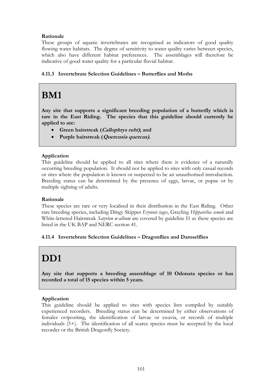## **Rationale**

These groups of aquatic invertebrates are recognised as indicators of good quality flowing water habitats. The degree of sensitivity to water quality varies between species, which also have different habitat preferences. The assemblages will therefore be indicative of good water quality for a particular fluvial habitat.

## **4.11.3 Invertebrate Selection Guidelines – Butterflies and Moths**

# **BM1**

**Any site that supports a significant breeding population of a butterfly which is rare in the East Riding. The species that this guideline should currently be applied to are:**

- **Green hairstreak (Callophrys rubi); and**
- **Purple hairstreak (Quercusia quercus).**

## **Application**

This guideline should be applied to all sites where there is evidence of a naturally occurring breeding population. It should not be applied to sites with only casual records or sites where the population is known or suspected to be an unauthorised introduction. Breeding status can be determined by the presence of eggs, larvae, or pupae or by multiple sighting of adults.

## **Rationale**

These species are rare or very localised in their distribution in the East Riding. Other rare breeding species, including Dingy Skipper *Erynnis tages*, Grayling *Hipparchia semele* and White-lettered Hairstreak *Satyrion w-album* are covered by guideline I1 as these species are listed in the UK BAP and NERC section 41.

## **4.11.4 Invertebrate Selection Guidelines – Dragonflies and Damselflies**

# **DD1**

**Any site that supports a breeding assemblage of 10 Odonata species or has recorded a total of 15 species within 5 years.**

## **Application**

This guideline should be applied to sites with species lists compiled by suitably experienced recorders. Breeding status can be determined by either observations of females ovipositing, the identification of larvae or exuvia, or records of multiple individuals (5+). The identification of all scarce species must be accepted by the local recorder or the British Dragonfly Society.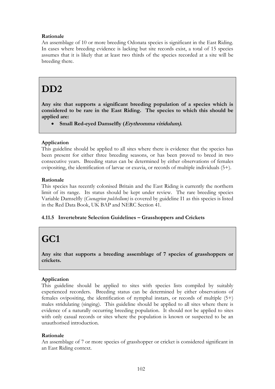## **Rationale**

An assemblage of 10 or more breeding Odonata species is significant in the East Riding. In cases where breeding evidence is lacking but site records exist, a total of 15 species assumes that it is likely that at least two thirds of the species recorded at a site will be breeding there.

# **DD2**

**Any site that supports a significant breeding population of a species which is considered to be rare in the East Riding. The species to which this should be applied are:**

**Small Red-eyed Damselfly (Erythromma viridulum).**

## **Application**

This guideline should be applied to all sites where there is evidence that the species has been present for either three breeding seasons, or has been proved to breed in two consecutive years. Breeding status can be determined by either observations of females ovipositing, the identification of larvae or exuvia, or records of multiple individuals (5+).

## **Rationale**

This species has recently colonised Britain and the East Riding is currently the northern limit of its range. Its status should be kept under review. The rare breeding species Variable Damselfly (*Coenagrion pulchellum)* is covered by guideline I1 as this species is listed in the Red Data Book, UK BAP and NERC Section 41.

## **4.11.5 Invertebrate Selection Guidelines – Grasshoppers and Crickets**

# **GC1**

**Any site that supports a breeding assemblage of 7 species of grasshoppers or crickets.**

## **Application**

This guideline should be applied to sites with species lists compiled by suitably experienced recorders. Breeding status can be determined by either observations of females ovipositing, the identification of nymphal instars, or records of multiple (5+) males stridulating (singing). This guideline should be applied to all sites where there is evidence of a naturally occurring breeding population. It should not be applied to sites with only casual records or sites where the population is known or suspected to be an unauthorised introduction.

## **Rationale**

An assemblage of 7 or more species of grasshopper or cricket is considered significant in an East Riding context.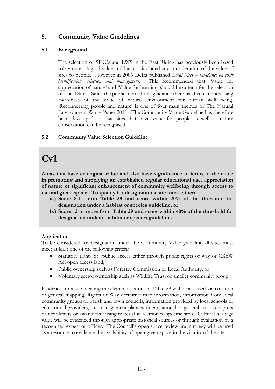## **5. Community Value Guidelines**

## **5.1 Background**

The selection of SINCs and LWS in the East Riding has previously been based solely on ecological value and has not included any consideration of the value of sites to people. However in 2006 Defra published *Local Sites – Guidance on their identification, selection and management*. This recommended that 'Value for appreciation of nature' and 'Value for learning' should be criteria for the selection of Local Sites. Since the publication of this guidance there has been an increasing awareness of the value of natural environment for human well being. 'Reconnecting people and nature' is one of four main themes of The Natural Environment White Paper 2011. The Community Value Guideline has therefore been developed so that sites that have value for people as well as nature conservation can be recognised.

## **5.2 Community Value Selection Guideline**

# **Cv1**

**Areas that have ecological value and also have significance in terms of their role in promoting and supplying an established regular educational use, appreciation of nature or significant enhancement of community wellbeing through access to natural green space. To qualify for designation a site must either:**

- **a.) Score 8-11 from Table 29 and score within 20% of the threshold for designation under a habitat or species guideline, or**
- **b.) Score 12 or more from Table 29 and score within 40% of the threshold for designation under a habitat or species guideline.**

## **Application**

To be considered for designation under the Community Value guideline all sites must meet at least one of the following criteria:

- Statutory rights of public access either through public rights of way or CRoW Act open access land;
- Public ownership such as Forestry Commission or Local Authority; or
- Voluntary sector ownership such as Wildlife Trust or smaller community group.

Evidence for a site meeting the elements set out in Table 29 will be assessed via collation of general mapping, Rights of Way definitive map information, information from local community groups or parish and town councils, information provided by local schools or educational providers, site management plans with educational or general access chapters or newsletters or awareness raising material in relation to specific sites. Cultural heritage value will be evidenced through appropriate historical sources or through evaluation by a recognised expert or officer. The Council's open space review and strategy will be used as a resource to evidence the availability of open green space in the vicinity of the site.